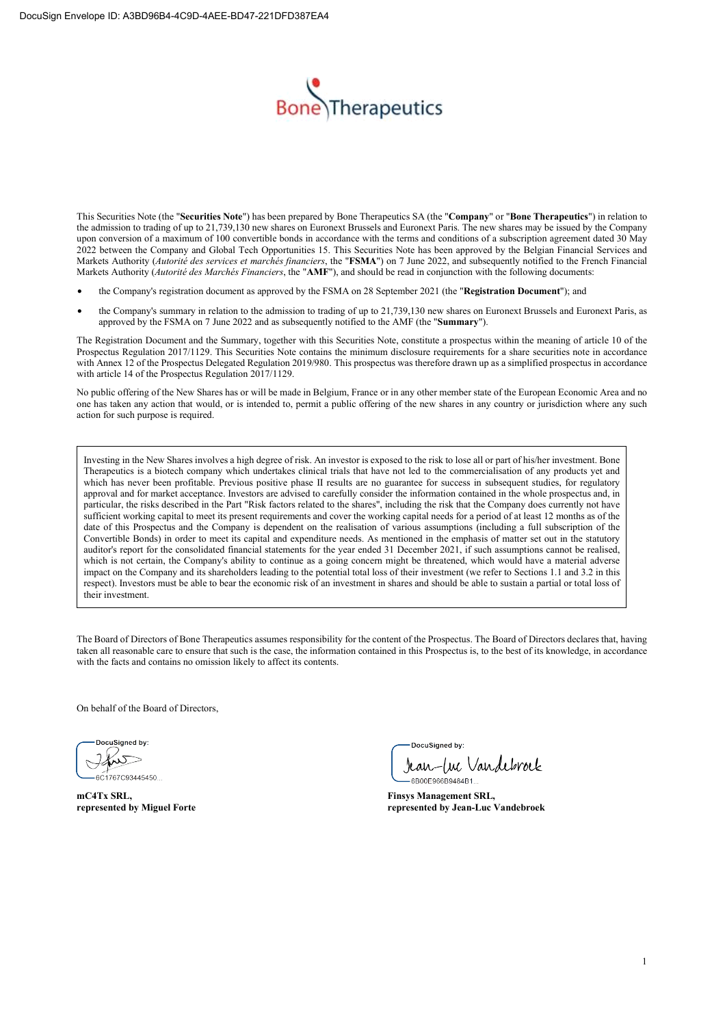

This Securities Note (the "**Securities Note**") has been prepared by Bone Therapeutics SA (the "**Company**" or "**Bone Therapeutics**") in relation to the admission to trading of up to 21,739,130 new shares on Euronext Brussels and Euronext Paris. The new shares may be issued by the Company upon conversion of a maximum of 100 convertible bonds in accordance with the terms and conditions of a subscription agreement dated 30 May 2022 between the Company and Global Tech Opportunities 15. This Securities Note has been approved by the Belgian Financial Services and Markets Authority (*Autorité des services et marchés financiers*, the "**FSMA**") on 7 June 2022, and subsequently notified to the French Financial Markets Authority (*Autorité des Marchés Financiers*, the "**AMF**"), and should be read in conjunction with the following documents:

- the Company's registration document as approved by the FSMA on 28 September 2021 (the "**Registration Document**"); and
- the Company's summary in relation to the admission to trading of up to 21,739,130 new shares on Euronext Brussels and Euronext Paris, as approved by the FSMA on 7 June 2022 and as subsequently notified to the AMF (the "**Summary**").

The Registration Document and the Summary, together with this Securities Note, constitute a prospectus within the meaning of article 10 of the Prospectus Regulation 2017/1129. This Securities Note contains the minimum disclosure requirements for a share securities note in accordance with Annex 12 of the Prospectus Delegated Regulation 2019/980. This prospectus was therefore drawn up as a simplified prospectus in accordance with article 14 of the Prospectus Regulation 2017/1129.

No public offering of the New Shares has or will be made in Belgium, France or in any other member state of the European Economic Area and no one has taken any action that would, or is intended to, permit a public offering of the new shares in any country or jurisdiction where any such action for such purpose is required.

Investing in the New Shares involves a high degree of risk. An investor is exposed to the risk to lose all or part of his/her investment. Bone Therapeutics is a biotech company which undertakes clinical trials that have not led to the commercialisation of any products yet and which has never been profitable. Previous positive phase II results are no guarantee for success in subsequent studies, for regulatory approval and for market acceptance. Investors are advised to carefully consider the information contained in the whole prospectus and, in particular, the risks described in the Part "Risk factors related to the shares", including the risk that the Company does currently not have sufficient working capital to meet its present requirements and cover the working capital needs for a period of at least 12 months as of the date of this Prospectus and the Company is dependent on the realisation of various assumptions (including a full subscription of the Convertible Bonds) in order to meet its capital and expenditure needs. As mentioned in the emphasis of matter set out in the statutory auditor's report for the consolidated financial statements for the year ended 31 December 2021, if such assumptions cannot be realised, which is not certain, the Company's ability to continue as a going concern might be threatened, which would have a material adverse impact on the Company and its shareholders leading to the potential total loss of their investment (we refer to Sections 1.1 and 3.2 in this respect). Investors must be able to bear the economic risk of an investment in shares and should be able to sustain a partial or total loss of their investment.

The Board of Directors of Bone Therapeutics assumes responsibility for the content of the Prospectus. The Board of Directors declares that, having taken all reasonable care to ensure that such is the case, the information contained in this Prospectus is, to the best of its knowledge, in accordance with the facts and contains no omission likely to affect its contents.

On behalf of the Board of Directors,

 $601767093445450$ 

**mC4Tx SRL, Finsys Management SRL,** 

DocuSianed by:

Jean-Luc Vandebroek

represented by Jean-Luc Vandebroek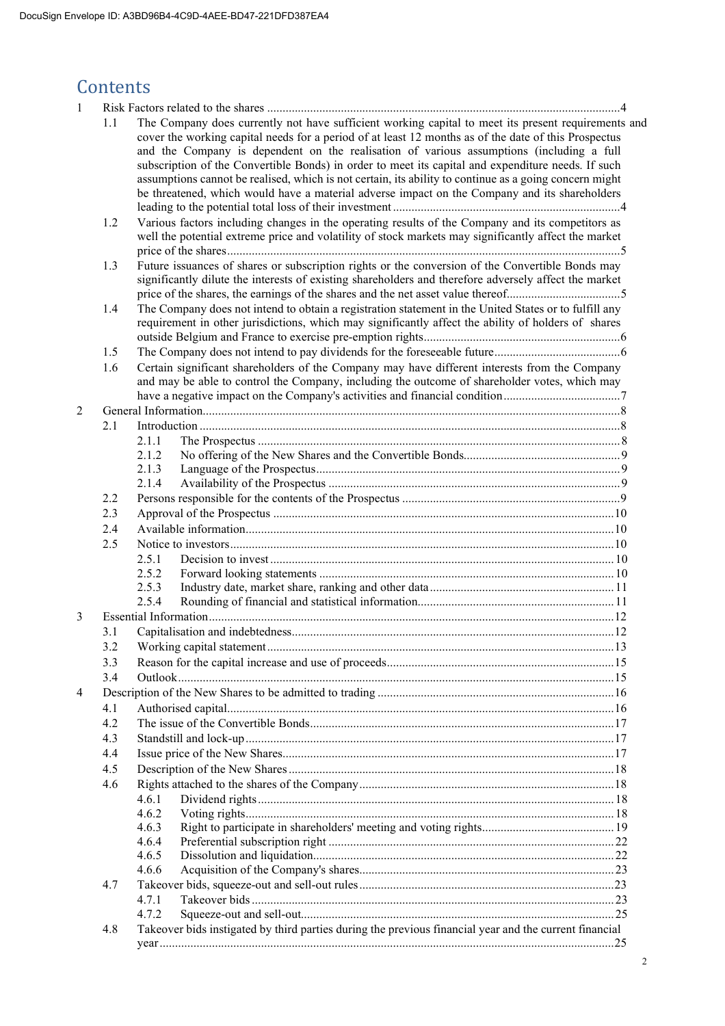# **Contents**

| 1              |     |                                                                                                                                                                                                                                                                                                                                                                                                                                                                                                                                                                                                                          |  |
|----------------|-----|--------------------------------------------------------------------------------------------------------------------------------------------------------------------------------------------------------------------------------------------------------------------------------------------------------------------------------------------------------------------------------------------------------------------------------------------------------------------------------------------------------------------------------------------------------------------------------------------------------------------------|--|
|                | 1.1 | The Company does currently not have sufficient working capital to meet its present requirements and<br>cover the working capital needs for a period of at least 12 months as of the date of this Prospectus<br>and the Company is dependent on the realisation of various assumptions (including a full<br>subscription of the Convertible Bonds) in order to meet its capital and expenditure needs. If such<br>assumptions cannot be realised, which is not certain, its ability to continue as a going concern might<br>be threatened, which would have a material adverse impact on the Company and its shareholders |  |
|                | 1.2 | Various factors including changes in the operating results of the Company and its competitors as<br>well the potential extreme price and volatility of stock markets may significantly affect the market                                                                                                                                                                                                                                                                                                                                                                                                                 |  |
|                | 1.3 | Future issuances of shares or subscription rights or the conversion of the Convertible Bonds may<br>significantly dilute the interests of existing shareholders and therefore adversely affect the market                                                                                                                                                                                                                                                                                                                                                                                                                |  |
|                | 1.4 | The Company does not intend to obtain a registration statement in the United States or to fulfill any<br>requirement in other jurisdictions, which may significantly affect the ability of holders of shares                                                                                                                                                                                                                                                                                                                                                                                                             |  |
|                | 1.5 |                                                                                                                                                                                                                                                                                                                                                                                                                                                                                                                                                                                                                          |  |
|                | 1.6 | Certain significant shareholders of the Company may have different interests from the Company                                                                                                                                                                                                                                                                                                                                                                                                                                                                                                                            |  |
|                |     | and may be able to control the Company, including the outcome of shareholder votes, which may                                                                                                                                                                                                                                                                                                                                                                                                                                                                                                                            |  |
|                |     |                                                                                                                                                                                                                                                                                                                                                                                                                                                                                                                                                                                                                          |  |
| $\overline{2}$ |     |                                                                                                                                                                                                                                                                                                                                                                                                                                                                                                                                                                                                                          |  |
|                | 2.1 |                                                                                                                                                                                                                                                                                                                                                                                                                                                                                                                                                                                                                          |  |
|                |     | 2.1.1                                                                                                                                                                                                                                                                                                                                                                                                                                                                                                                                                                                                                    |  |
|                |     | 2.1.2                                                                                                                                                                                                                                                                                                                                                                                                                                                                                                                                                                                                                    |  |
|                |     | 2.1.3<br>2.1.4                                                                                                                                                                                                                                                                                                                                                                                                                                                                                                                                                                                                           |  |
|                | 2.2 |                                                                                                                                                                                                                                                                                                                                                                                                                                                                                                                                                                                                                          |  |
|                | 2.3 |                                                                                                                                                                                                                                                                                                                                                                                                                                                                                                                                                                                                                          |  |
|                | 2.4 |                                                                                                                                                                                                                                                                                                                                                                                                                                                                                                                                                                                                                          |  |
|                | 2.5 |                                                                                                                                                                                                                                                                                                                                                                                                                                                                                                                                                                                                                          |  |
|                |     | 2.5.1                                                                                                                                                                                                                                                                                                                                                                                                                                                                                                                                                                                                                    |  |
|                |     | 2.5.2                                                                                                                                                                                                                                                                                                                                                                                                                                                                                                                                                                                                                    |  |
|                |     | 2.5.3                                                                                                                                                                                                                                                                                                                                                                                                                                                                                                                                                                                                                    |  |
|                |     | 2.5.4                                                                                                                                                                                                                                                                                                                                                                                                                                                                                                                                                                                                                    |  |
| 3              |     |                                                                                                                                                                                                                                                                                                                                                                                                                                                                                                                                                                                                                          |  |
|                | 3.1 |                                                                                                                                                                                                                                                                                                                                                                                                                                                                                                                                                                                                                          |  |
|                |     |                                                                                                                                                                                                                                                                                                                                                                                                                                                                                                                                                                                                                          |  |
|                | 3.3 |                                                                                                                                                                                                                                                                                                                                                                                                                                                                                                                                                                                                                          |  |
|                | 3.4 |                                                                                                                                                                                                                                                                                                                                                                                                                                                                                                                                                                                                                          |  |
| 4              |     |                                                                                                                                                                                                                                                                                                                                                                                                                                                                                                                                                                                                                          |  |
|                | 4.1 |                                                                                                                                                                                                                                                                                                                                                                                                                                                                                                                                                                                                                          |  |
|                | 4.2 |                                                                                                                                                                                                                                                                                                                                                                                                                                                                                                                                                                                                                          |  |
|                | 4.3 |                                                                                                                                                                                                                                                                                                                                                                                                                                                                                                                                                                                                                          |  |
|                | 4.4 |                                                                                                                                                                                                                                                                                                                                                                                                                                                                                                                                                                                                                          |  |
|                | 4.5 |                                                                                                                                                                                                                                                                                                                                                                                                                                                                                                                                                                                                                          |  |
|                | 4.6 |                                                                                                                                                                                                                                                                                                                                                                                                                                                                                                                                                                                                                          |  |
|                |     | 4.6.1                                                                                                                                                                                                                                                                                                                                                                                                                                                                                                                                                                                                                    |  |
|                |     | 4.6.2                                                                                                                                                                                                                                                                                                                                                                                                                                                                                                                                                                                                                    |  |
|                |     | 4.6.3                                                                                                                                                                                                                                                                                                                                                                                                                                                                                                                                                                                                                    |  |
|                |     | 4.6.4                                                                                                                                                                                                                                                                                                                                                                                                                                                                                                                                                                                                                    |  |
|                |     | 4.6.5                                                                                                                                                                                                                                                                                                                                                                                                                                                                                                                                                                                                                    |  |
|                |     | 4.6.6                                                                                                                                                                                                                                                                                                                                                                                                                                                                                                                                                                                                                    |  |
|                | 4.7 |                                                                                                                                                                                                                                                                                                                                                                                                                                                                                                                                                                                                                          |  |
|                |     | 4.7.1                                                                                                                                                                                                                                                                                                                                                                                                                                                                                                                                                                                                                    |  |
|                |     | 4.7.2                                                                                                                                                                                                                                                                                                                                                                                                                                                                                                                                                                                                                    |  |
|                | 4.8 | Takeover bids instigated by third parties during the previous financial year and the current financial                                                                                                                                                                                                                                                                                                                                                                                                                                                                                                                   |  |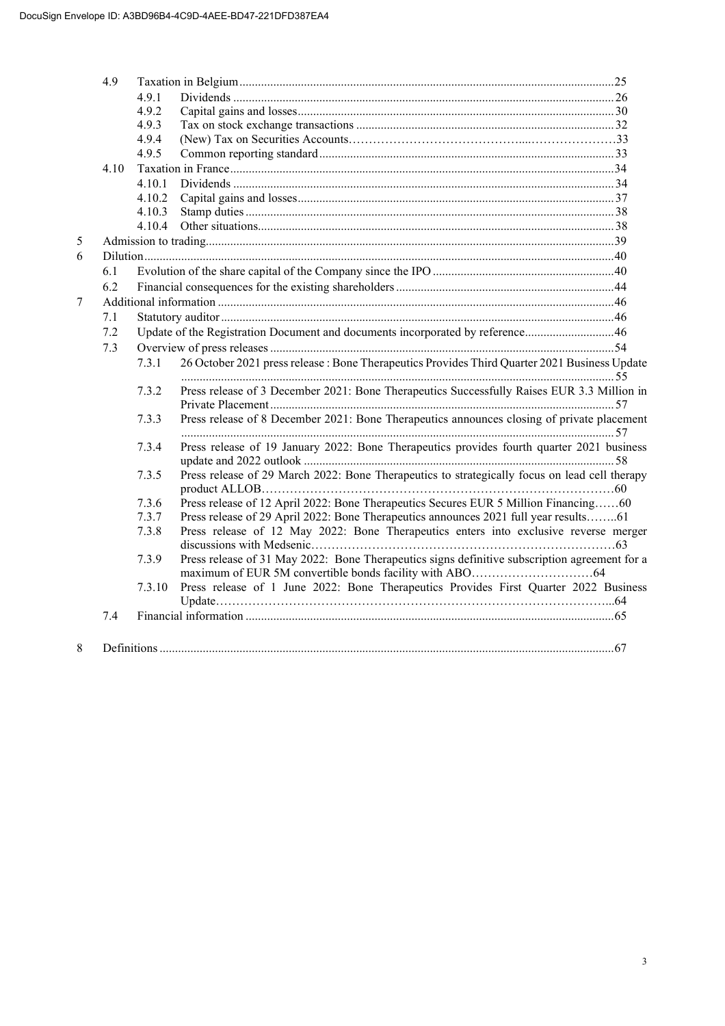|   | 4.9  |        |                                                                                               |  |  |  |  |
|---|------|--------|-----------------------------------------------------------------------------------------------|--|--|--|--|
|   |      | 4.9.1  |                                                                                               |  |  |  |  |
|   |      | 4.9.2  |                                                                                               |  |  |  |  |
|   |      | 4.9.3  |                                                                                               |  |  |  |  |
|   |      | 4.9.4  |                                                                                               |  |  |  |  |
|   |      | 4.9.5  |                                                                                               |  |  |  |  |
|   | 4.10 |        |                                                                                               |  |  |  |  |
|   |      | 4.10.1 |                                                                                               |  |  |  |  |
|   |      | 4.10.2 |                                                                                               |  |  |  |  |
|   |      | 4.10.3 |                                                                                               |  |  |  |  |
|   |      | 4.10.4 |                                                                                               |  |  |  |  |
| 5 |      |        |                                                                                               |  |  |  |  |
| 6 |      |        |                                                                                               |  |  |  |  |
|   | 6.1  |        |                                                                                               |  |  |  |  |
|   | 6.2  |        |                                                                                               |  |  |  |  |
| 7 |      |        |                                                                                               |  |  |  |  |
|   | 7.1  |        |                                                                                               |  |  |  |  |
|   | 7.2  |        | Update of the Registration Document and documents incorporated by reference46                 |  |  |  |  |
|   | 7.3  |        |                                                                                               |  |  |  |  |
|   |      | 7.3.1  | 26 October 2021 press release : Bone Therapeutics Provides Third Quarter 2021 Business Update |  |  |  |  |
|   |      | 7.3.2  | Press release of 3 December 2021: Bone Therapeutics Successfully Raises EUR 3.3 Million in    |  |  |  |  |
|   |      | 7.3.3  | Press release of 8 December 2021: Bone Therapeutics announces closing of private placement    |  |  |  |  |
|   |      | 7.3.4  | Press release of 19 January 2022: Bone Therapeutics provides fourth quarter 2021 business     |  |  |  |  |
|   |      | 7.3.5  | Press release of 29 March 2022: Bone Therapeutics to strategically focus on lead cell therapy |  |  |  |  |
|   |      | 7.3.6  | Press release of 12 April 2022: Bone Therapeutics Secures EUR 5 Million Financing60           |  |  |  |  |
|   |      | 7.3.7  | Press release of 29 April 2022: Bone Therapeutics announces 2021 full year results61          |  |  |  |  |
|   |      | 7.3.8  | Press release of 12 May 2022: Bone Therapeutics enters into exclusive reverse merger          |  |  |  |  |
|   |      |        |                                                                                               |  |  |  |  |
|   |      | 7.3.9  | Press release of 31 May 2022: Bone Therapeutics signs definitive subscription agreement for a |  |  |  |  |
|   |      | 7.3.10 | Press release of 1 June 2022: Bone Therapeutics Provides First Quarter 2022 Business          |  |  |  |  |
|   | 7.4  |        |                                                                                               |  |  |  |  |
|   |      |        |                                                                                               |  |  |  |  |
| 8 |      |        |                                                                                               |  |  |  |  |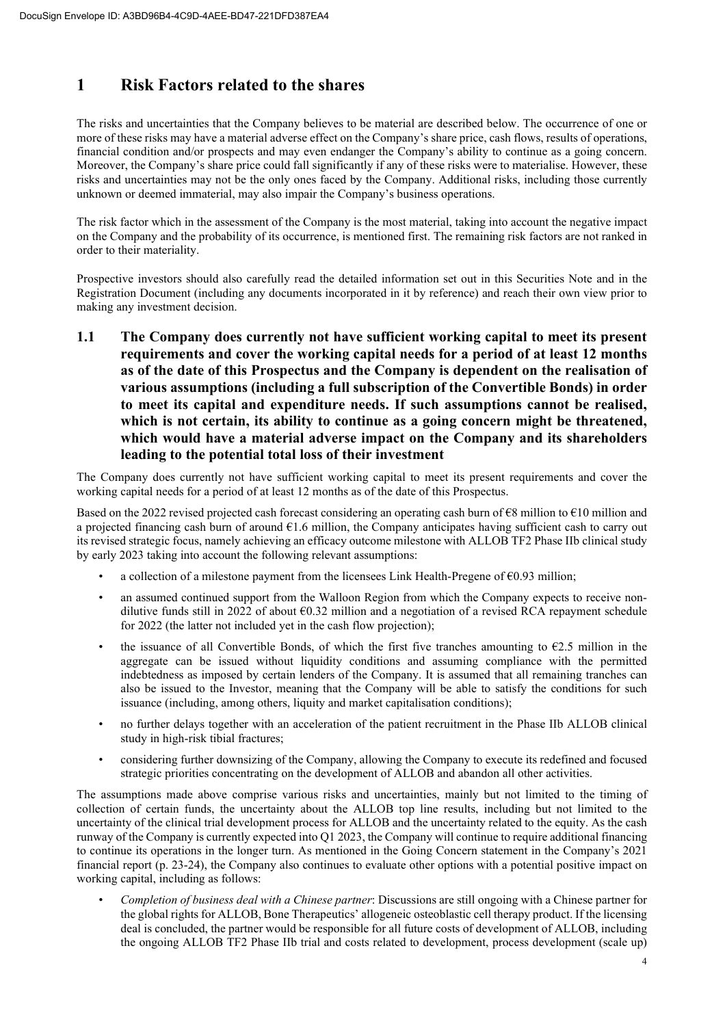# **1 Risk Factors related to the shares**

The risks and uncertainties that the Company believes to be material are described below. The occurrence of one or more of these risks may have a material adverse effect on the Company's share price, cash flows, results of operations, financial condition and/or prospects and may even endanger the Company's ability to continue as a going concern. Moreover, the Company's share price could fall significantly if any of these risks were to materialise. However, these risks and uncertainties may not be the only ones faced by the Company. Additional risks, including those currently unknown or deemed immaterial, may also impair the Company's business operations.

The risk factor which in the assessment of the Company is the most material, taking into account the negative impact on the Company and the probability of its occurrence, is mentioned first. The remaining risk factors are not ranked in order to their materiality.

Prospective investors should also carefully read the detailed information set out in this Securities Note and in the Registration Document (including any documents incorporated in it by reference) and reach their own view prior to making any investment decision.

**1.1 The Company does currently not have sufficient working capital to meet its present requirements and cover the working capital needs for a period of at least 12 months as of the date of this Prospectus and the Company is dependent on the realisation of various assumptions (including a full subscription of the Convertible Bonds) in order to meet its capital and expenditure needs. If such assumptions cannot be realised, which is not certain, its ability to continue as a going concern might be threatened, which would have a material adverse impact on the Company and its shareholders leading to the potential total loss of their investment** 

The Company does currently not have sufficient working capital to meet its present requirements and cover the working capital needs for a period of at least 12 months as of the date of this Prospectus.

Based on the 2022 revised projected cash forecast considering an operating cash burn of  $\epsilon$ 8 million to  $\epsilon$ 10 million and a projected financing cash burn of around  $61.6$  million, the Company anticipates having sufficient cash to carry out its revised strategic focus, namely achieving an efficacy outcome milestone with ALLOB TF2 Phase IIb clinical study by early 2023 taking into account the following relevant assumptions:

- a collection of a milestone payment from the licensees Link Health-Pregene of  $\epsilon$ 0.93 million;
- an assumed continued support from the Walloon Region from which the Company expects to receive nondilutive funds still in 2022 of about €0.32 million and a negotiation of a revised RCA repayment schedule for 2022 (the latter not included yet in the cash flow projection);
- the issuance of all Convertible Bonds, of which the first five tranches amounting to  $62.5$  million in the aggregate can be issued without liquidity conditions and assuming compliance with the permitted indebtedness as imposed by certain lenders of the Company. It is assumed that all remaining tranches can also be issued to the Investor, meaning that the Company will be able to satisfy the conditions for such issuance (including, among others, liquity and market capitalisation conditions);
- no further delays together with an acceleration of the patient recruitment in the Phase IIb ALLOB clinical study in high-risk tibial fractures;
- considering further downsizing of the Company, allowing the Company to execute its redefined and focused strategic priorities concentrating on the development of ALLOB and abandon all other activities.

The assumptions made above comprise various risks and uncertainties, mainly but not limited to the timing of collection of certain funds, the uncertainty about the ALLOB top line results, including but not limited to the uncertainty of the clinical trial development process for ALLOB and the uncertainty related to the equity. As the cash runway of the Company is currently expected into Q1 2023, the Company will continue to require additional financing to continue its operations in the longer turn. As mentioned in the Going Concern statement in the Company's 2021 financial report (p. 23-24), the Company also continues to evaluate other options with a potential positive impact on working capital, including as follows:

• *Completion of business deal with a Chinese partner*: Discussions are still ongoing with a Chinese partner for the global rights for ALLOB, Bone Therapeutics' allogeneic osteoblastic cell therapy product. If the licensing deal is concluded, the partner would be responsible for all future costs of development of ALLOB, including the ongoing ALLOB TF2 Phase IIb trial and costs related to development, process development (scale up)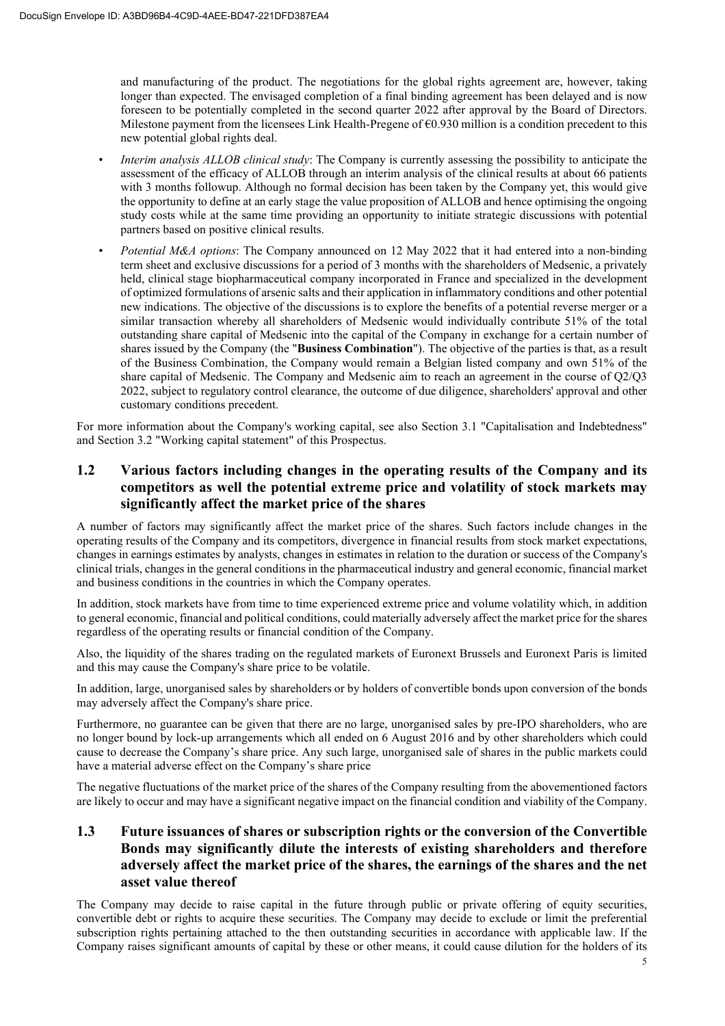and manufacturing of the product. The negotiations for the global rights agreement are, however, taking longer than expected. The envisaged completion of a final binding agreement has been delayed and is now foreseen to be potentially completed in the second quarter 2022 after approval by the Board of Directors. Milestone payment from the licensees Link Health-Pregene of  $\epsilon$ 0.930 million is a condition precedent to this new potential global rights deal.

- *Interim analysis ALLOB clinical study*: The Company is currently assessing the possibility to anticipate the assessment of the efficacy of ALLOB through an interim analysis of the clinical results at about 66 patients with 3 months followup. Although no formal decision has been taken by the Company yet, this would give the opportunity to define at an early stage the value proposition of ALLOB and hence optimising the ongoing study costs while at the same time providing an opportunity to initiate strategic discussions with potential partners based on positive clinical results.
- *Potential M&A options*: The Company announced on 12 May 2022 that it had entered into a non-binding term sheet and exclusive discussions for a period of 3 months with the shareholders of Medsenic, a privately held, clinical stage biopharmaceutical company incorporated in France and specialized in the development of optimized formulations of arsenic salts and their application in inflammatory conditions and other potential new indications. The objective of the discussions is to explore the benefits of a potential reverse merger or a similar transaction whereby all shareholders of Medsenic would individually contribute 51% of the total outstanding share capital of Medsenic into the capital of the Company in exchange for a certain number of shares issued by the Company (the "**Business Combination**"). The objective of the parties is that, as a result of the Business Combination, the Company would remain a Belgian listed company and own 51% of the share capital of Medsenic. The Company and Medsenic aim to reach an agreement in the course of Q2/Q3 2022, subject to regulatory control clearance, the outcome of due diligence, shareholders' approval and other customary conditions precedent.

For more information about the Company's working capital, see also Section 3.1 "Capitalisation and Indebtedness" and Section 3.2 "Working capital statement" of this Prospectus.

# **1.2 Various factors including changes in the operating results of the Company and its competitors as well the potential extreme price and volatility of stock markets may significantly affect the market price of the shares**

A number of factors may significantly affect the market price of the shares. Such factors include changes in the operating results of the Company and its competitors, divergence in financial results from stock market expectations, changes in earnings estimates by analysts, changes in estimates in relation to the duration or success of the Company's clinical trials, changes in the general conditions in the pharmaceutical industry and general economic, financial market and business conditions in the countries in which the Company operates.

In addition, stock markets have from time to time experienced extreme price and volume volatility which, in addition to general economic, financial and political conditions, could materially adversely affect the market price for the shares regardless of the operating results or financial condition of the Company.

Also, the liquidity of the shares trading on the regulated markets of Euronext Brussels and Euronext Paris is limited and this may cause the Company's share price to be volatile.

In addition, large, unorganised sales by shareholders or by holders of convertible bonds upon conversion of the bonds may adversely affect the Company's share price.

Furthermore, no guarantee can be given that there are no large, unorganised sales by pre-IPO shareholders, who are no longer bound by lock-up arrangements which all ended on 6 August 2016 and by other shareholders which could cause to decrease the Company's share price. Any such large, unorganised sale of shares in the public markets could have a material adverse effect on the Company's share price

The negative fluctuations of the market price of the shares of the Company resulting from the abovementioned factors are likely to occur and may have a significant negative impact on the financial condition and viability of the Company.

# **1.3 Future issuances of shares or subscription rights or the conversion of the Convertible Bonds may significantly dilute the interests of existing shareholders and therefore adversely affect the market price of the shares, the earnings of the shares and the net asset value thereof**

The Company may decide to raise capital in the future through public or private offering of equity securities, convertible debt or rights to acquire these securities. The Company may decide to exclude or limit the preferential subscription rights pertaining attached to the then outstanding securities in accordance with applicable law. If the Company raises significant amounts of capital by these or other means, it could cause dilution for the holders of its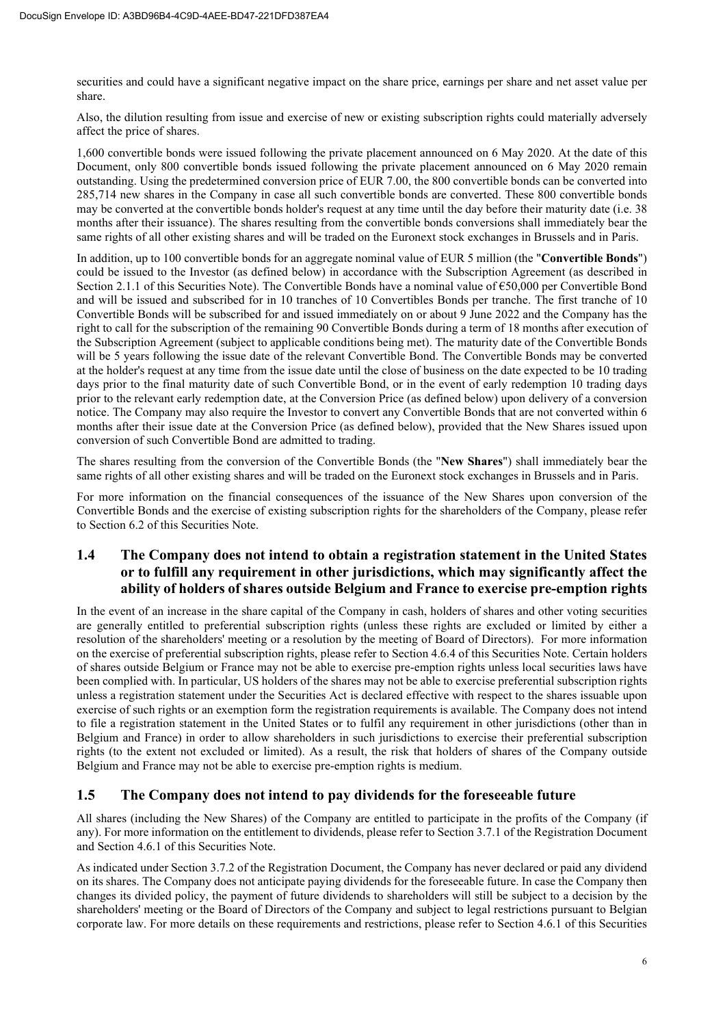securities and could have a significant negative impact on the share price, earnings per share and net asset value per share.

Also, the dilution resulting from issue and exercise of new or existing subscription rights could materially adversely affect the price of shares.

1,600 convertible bonds were issued following the private placement announced on 6 May 2020. At the date of this Document, only 800 convertible bonds issued following the private placement announced on 6 May 2020 remain outstanding. Using the predetermined conversion price of EUR 7.00, the 800 convertible bonds can be converted into 285,714 new shares in the Company in case all such convertible bonds are converted. These 800 convertible bonds may be converted at the convertible bonds holder's request at any time until the day before their maturity date (i.e. 38 months after their issuance). The shares resulting from the convertible bonds conversions shall immediately bear the same rights of all other existing shares and will be traded on the Euronext stock exchanges in Brussels and in Paris.

In addition, up to 100 convertible bonds for an aggregate nominal value of EUR 5 million (the "**Convertible Bonds**") could be issued to the Investor (as defined below) in accordance with the Subscription Agreement (as described in Section 2.1.1 of this Securities Note). The Convertible Bonds have a nominal value of €50,000 per Convertible Bond and will be issued and subscribed for in 10 tranches of 10 Convertibles Bonds per tranche. The first tranche of 10 Convertible Bonds will be subscribed for and issued immediately on or about 9 June 2022 and the Company has the right to call for the subscription of the remaining 90 Convertible Bonds during a term of 18 months after execution of the Subscription Agreement (subject to applicable conditions being met). The maturity date of the Convertible Bonds will be 5 years following the issue date of the relevant Convertible Bond. The Convertible Bonds may be converted at the holder's request at any time from the issue date until the close of business on the date expected to be 10 trading days prior to the final maturity date of such Convertible Bond, or in the event of early redemption 10 trading days prior to the relevant early redemption date, at the Conversion Price (as defined below) upon delivery of a conversion notice. The Company may also require the Investor to convert any Convertible Bonds that are not converted within 6 months after their issue date at the Conversion Price (as defined below), provided that the New Shares issued upon conversion of such Convertible Bond are admitted to trading.

The shares resulting from the conversion of the Convertible Bonds (the "**New Shares**") shall immediately bear the same rights of all other existing shares and will be traded on the Euronext stock exchanges in Brussels and in Paris.

For more information on the financial consequences of the issuance of the New Shares upon conversion of the Convertible Bonds and the exercise of existing subscription rights for the shareholders of the Company, please refer to Section 6.2 of this Securities Note.

# **1.4 The Company does not intend to obtain a registration statement in the United States or to fulfill any requirement in other jurisdictions, which may significantly affect the ability of holders of shares outside Belgium and France to exercise pre-emption rights**

In the event of an increase in the share capital of the Company in cash, holders of shares and other voting securities are generally entitled to preferential subscription rights (unless these rights are excluded or limited by either a resolution of the shareholders' meeting or a resolution by the meeting of Board of Directors). For more information on the exercise of preferential subscription rights, please refer to Section 4.6.4 of this Securities Note. Certain holders of shares outside Belgium or France may not be able to exercise pre-emption rights unless local securities laws have been complied with. In particular, US holders of the shares may not be able to exercise preferential subscription rights unless a registration statement under the Securities Act is declared effective with respect to the shares issuable upon exercise of such rights or an exemption form the registration requirements is available. The Company does not intend to file a registration statement in the United States or to fulfil any requirement in other jurisdictions (other than in Belgium and France) in order to allow shareholders in such jurisdictions to exercise their preferential subscription rights (to the extent not excluded or limited). As a result, the risk that holders of shares of the Company outside Belgium and France may not be able to exercise pre-emption rights is medium.

# **1.5 The Company does not intend to pay dividends for the foreseeable future**

All shares (including the New Shares) of the Company are entitled to participate in the profits of the Company (if any). For more information on the entitlement to dividends, please refer to Section 3.7.1 of the Registration Document and Section 4.6.1 of this Securities Note.

As indicated under Section 3.7.2 of the Registration Document, the Company has never declared or paid any dividend on its shares. The Company does not anticipate paying dividends for the foreseeable future. In case the Company then changes its divided policy, the payment of future dividends to shareholders will still be subject to a decision by the shareholders' meeting or the Board of Directors of the Company and subject to legal restrictions pursuant to Belgian corporate law. For more details on these requirements and restrictions, please refer to Section 4.6.1 of this Securities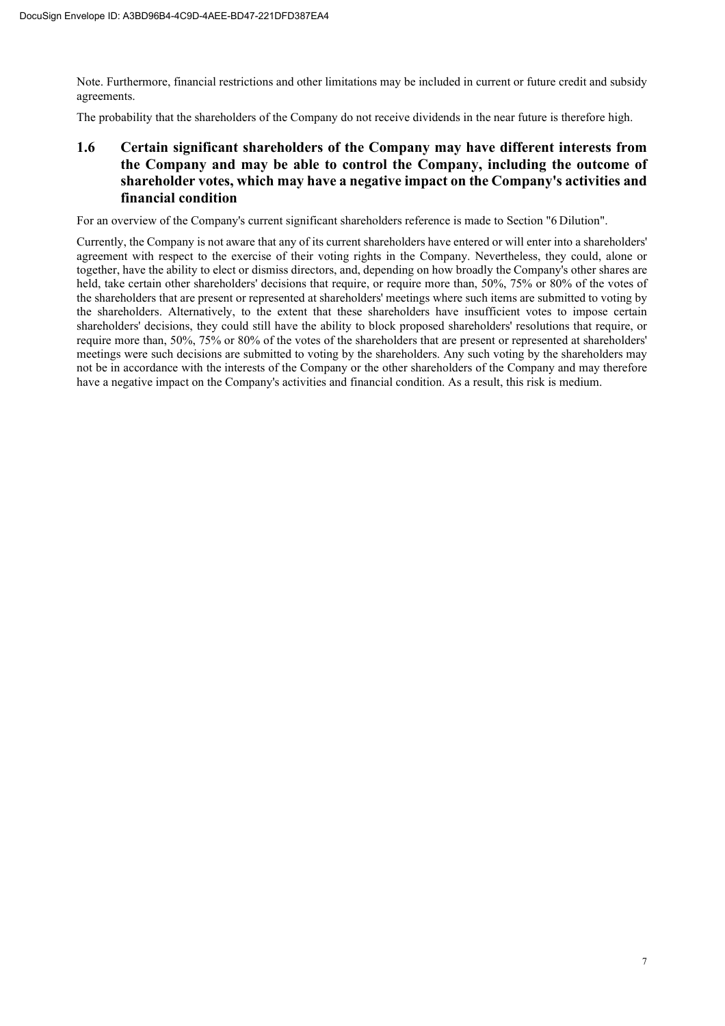Note. Furthermore, financial restrictions and other limitations may be included in current or future credit and subsidy agreements.

The probability that the shareholders of the Company do not receive dividends in the near future is therefore high.

# **1.6 Certain significant shareholders of the Company may have different interests from the Company and may be able to control the Company, including the outcome of shareholder votes, which may have a negative impact on the Company's activities and financial condition**

For an overview of the Company's current significant shareholders reference is made to Section "6 Dilution".

Currently, the Company is not aware that any of its current shareholders have entered or will enter into a shareholders' agreement with respect to the exercise of their voting rights in the Company. Nevertheless, they could, alone or together, have the ability to elect or dismiss directors, and, depending on how broadly the Company's other shares are held, take certain other shareholders' decisions that require, or require more than, 50%, 75% or 80% of the votes of the shareholders that are present or represented at shareholders' meetings where such items are submitted to voting by the shareholders. Alternatively, to the extent that these shareholders have insufficient votes to impose certain shareholders' decisions, they could still have the ability to block proposed shareholders' resolutions that require, or require more than, 50%, 75% or 80% of the votes of the shareholders that are present or represented at shareholders' meetings were such decisions are submitted to voting by the shareholders. Any such voting by the shareholders may not be in accordance with the interests of the Company or the other shareholders of the Company and may therefore have a negative impact on the Company's activities and financial condition. As a result, this risk is medium.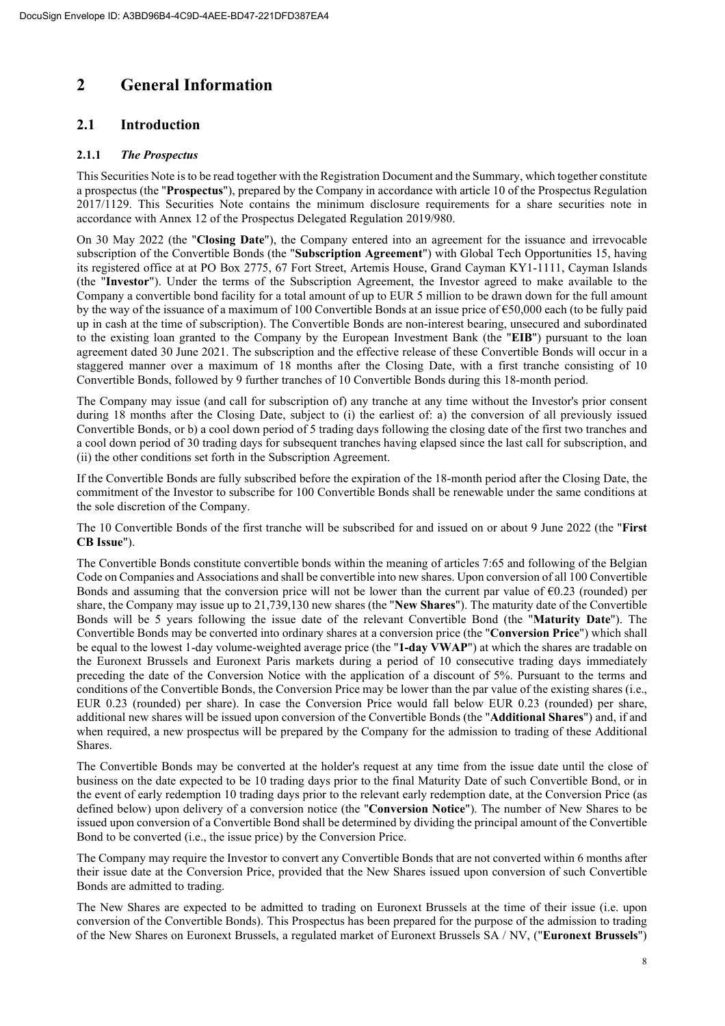# **2 General Information**

# **2.1 Introduction**

# **2.1.1** *The Prospectus*

This Securities Note is to be read together with the Registration Document and the Summary, which together constitute a prospectus (the "**Prospectus**"), prepared by the Company in accordance with article 10 of the Prospectus Regulation 2017/1129. This Securities Note contains the minimum disclosure requirements for a share securities note in accordance with Annex 12 of the Prospectus Delegated Regulation 2019/980.

On 30 May 2022 (the "**Closing Date**"), the Company entered into an agreement for the issuance and irrevocable subscription of the Convertible Bonds (the "**Subscription Agreement**") with Global Tech Opportunities 15, having its registered office at at PO Box 2775, 67 Fort Street, Artemis House, Grand Cayman KY1-1111, Cayman Islands (the "**Investor**"). Under the terms of the Subscription Agreement, the Investor agreed to make available to the Company a convertible bond facility for a total amount of up to EUR 5 million to be drawn down for the full amount by the way of the issuance of a maximum of 100 Convertible Bonds at an issue price of €50,000 each (to be fully paid up in cash at the time of subscription). The Convertible Bonds are non-interest bearing, unsecured and subordinated to the existing loan granted to the Company by the European Investment Bank (the "**EIB**") pursuant to the loan agreement dated 30 June 2021. The subscription and the effective release of these Convertible Bonds will occur in a staggered manner over a maximum of 18 months after the Closing Date, with a first tranche consisting of 10 Convertible Bonds, followed by 9 further tranches of 10 Convertible Bonds during this 18-month period.

The Company may issue (and call for subscription of) any tranche at any time without the Investor's prior consent during 18 months after the Closing Date, subject to (i) the earliest of: a) the conversion of all previously issued Convertible Bonds, or b) a cool down period of 5 trading days following the closing date of the first two tranches and a cool down period of 30 trading days for subsequent tranches having elapsed since the last call for subscription, and (ii) the other conditions set forth in the Subscription Agreement.

If the Convertible Bonds are fully subscribed before the expiration of the 18-month period after the Closing Date, the commitment of the Investor to subscribe for 100 Convertible Bonds shall be renewable under the same conditions at the sole discretion of the Company.

The 10 Convertible Bonds of the first tranche will be subscribed for and issued on or about 9 June 2022 (the "**First CB Issue**").

The Convertible Bonds constitute convertible bonds within the meaning of articles 7:65 and following of the Belgian Code on Companies and Associations and shall be convertible into new shares. Upon conversion of all 100 Convertible Bonds and assuming that the conversion price will not be lower than the current par value of  $\epsilon$ 0.23 (rounded) per share, the Company may issue up to 21,739,130 new shares (the "**New Shares**"). The maturity date of the Convertible Bonds will be 5 years following the issue date of the relevant Convertible Bond (the "**Maturity Date**"). The Convertible Bonds may be converted into ordinary shares at a conversion price (the "**Conversion Price**") which shall be equal to the lowest 1-day volume-weighted average price (the "**1-day VWAP**") at which the shares are tradable on the Euronext Brussels and Euronext Paris markets during a period of 10 consecutive trading days immediately preceding the date of the Conversion Notice with the application of a discount of 5%. Pursuant to the terms and conditions of the Convertible Bonds, the Conversion Price may be lower than the par value of the existing shares (i.e., EUR 0.23 (rounded) per share). In case the Conversion Price would fall below EUR 0.23 (rounded) per share, additional new shares will be issued upon conversion of the Convertible Bonds (the "**Additional Shares**") and, if and when required, a new prospectus will be prepared by the Company for the admission to trading of these Additional Shares.

The Convertible Bonds may be converted at the holder's request at any time from the issue date until the close of business on the date expected to be 10 trading days prior to the final Maturity Date of such Convertible Bond, or in the event of early redemption 10 trading days prior to the relevant early redemption date, at the Conversion Price (as defined below) upon delivery of a conversion notice (the "**Conversion Notice**"). The number of New Shares to be issued upon conversion of a Convertible Bond shall be determined by dividing the principal amount of the Convertible Bond to be converted (i.e., the issue price) by the Conversion Price.

The Company may require the Investor to convert any Convertible Bonds that are not converted within 6 months after their issue date at the Conversion Price, provided that the New Shares issued upon conversion of such Convertible Bonds are admitted to trading.

The New Shares are expected to be admitted to trading on Euronext Brussels at the time of their issue (i.e. upon conversion of the Convertible Bonds). This Prospectus has been prepared for the purpose of the admission to trading of the New Shares on Euronext Brussels, a regulated market of Euronext Brussels SA / NV, ("**Euronext Brussels**")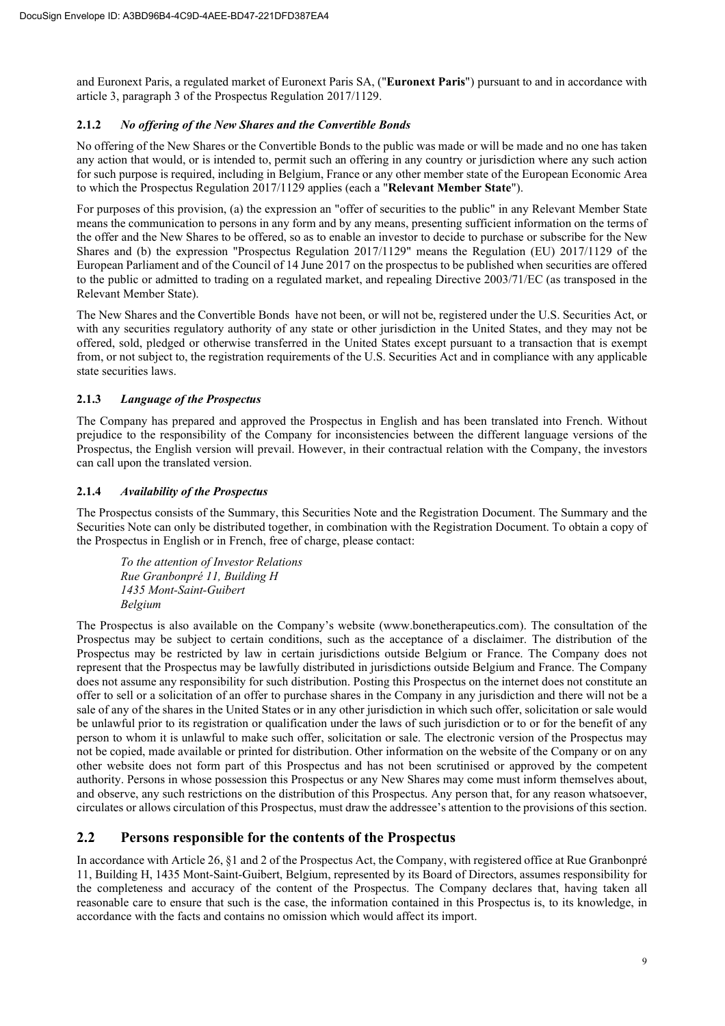and Euronext Paris, a regulated market of Euronext Paris SA, ("**Euronext Paris**") pursuant to and in accordance with article 3, paragraph 3 of the Prospectus Regulation 2017/1129.

# **2.1.2** *No offering of the New Shares and the Convertible Bonds*

No offering of the New Shares or the Convertible Bonds to the public was made or will be made and no one has taken any action that would, or is intended to, permit such an offering in any country or jurisdiction where any such action for such purpose is required, including in Belgium, France or any other member state of the European Economic Area to which the Prospectus Regulation 2017/1129 applies (each a "**Relevant Member State**").

For purposes of this provision, (a) the expression an "offer of securities to the public" in any Relevant Member State means the communication to persons in any form and by any means, presenting sufficient information on the terms of the offer and the New Shares to be offered, so as to enable an investor to decide to purchase or subscribe for the New Shares and (b) the expression "Prospectus Regulation 2017/1129" means the Regulation (EU) 2017/1129 of the European Parliament and of the Council of 14 June 2017 on the prospectus to be published when securities are offered to the public or admitted to trading on a regulated market, and repealing Directive 2003/71/EC (as transposed in the Relevant Member State).

The New Shares and the Convertible Bonds have not been, or will not be, registered under the U.S. Securities Act, or with any securities regulatory authority of any state or other jurisdiction in the United States, and they may not be offered, sold, pledged or otherwise transferred in the United States except pursuant to a transaction that is exempt from, or not subject to, the registration requirements of the U.S. Securities Act and in compliance with any applicable state securities laws.

# **2.1.3** *Language of the Prospectus*

The Company has prepared and approved the Prospectus in English and has been translated into French. Without prejudice to the responsibility of the Company for inconsistencies between the different language versions of the Prospectus, the English version will prevail. However, in their contractual relation with the Company, the investors can call upon the translated version.

# **2.1.4** *Availability of the Prospectus*

The Prospectus consists of the Summary, this Securities Note and the Registration Document. The Summary and the Securities Note can only be distributed together, in combination with the Registration Document. To obtain a copy of the Prospectus in English or in French, free of charge, please contact:

*To the attention of Investor Relations Rue Granbonpré 11, Building H 1435 Mont-Saint-Guibert Belgium* 

The Prospectus is also available on the Company's website (www.bonetherapeutics.com). The consultation of the Prospectus may be subject to certain conditions, such as the acceptance of a disclaimer. The distribution of the Prospectus may be restricted by law in certain jurisdictions outside Belgium or France. The Company does not represent that the Prospectus may be lawfully distributed in jurisdictions outside Belgium and France. The Company does not assume any responsibility for such distribution. Posting this Prospectus on the internet does not constitute an offer to sell or a solicitation of an offer to purchase shares in the Company in any jurisdiction and there will not be a sale of any of the shares in the United States or in any other jurisdiction in which such offer, solicitation or sale would be unlawful prior to its registration or qualification under the laws of such jurisdiction or to or for the benefit of any person to whom it is unlawful to make such offer, solicitation or sale. The electronic version of the Prospectus may not be copied, made available or printed for distribution. Other information on the website of the Company or on any other website does not form part of this Prospectus and has not been scrutinised or approved by the competent authority. Persons in whose possession this Prospectus or any New Shares may come must inform themselves about, and observe, any such restrictions on the distribution of this Prospectus. Any person that, for any reason whatsoever, circulates or allows circulation of this Prospectus, must draw the addressee's attention to the provisions of this section.

# **2.2 Persons responsible for the contents of the Prospectus**

In accordance with Article 26, §1 and 2 of the Prospectus Act, the Company, with registered office at Rue Granbonpré 11, Building H, 1435 Mont-Saint-Guibert, Belgium, represented by its Board of Directors, assumes responsibility for the completeness and accuracy of the content of the Prospectus. The Company declares that, having taken all reasonable care to ensure that such is the case, the information contained in this Prospectus is, to its knowledge, in accordance with the facts and contains no omission which would affect its import.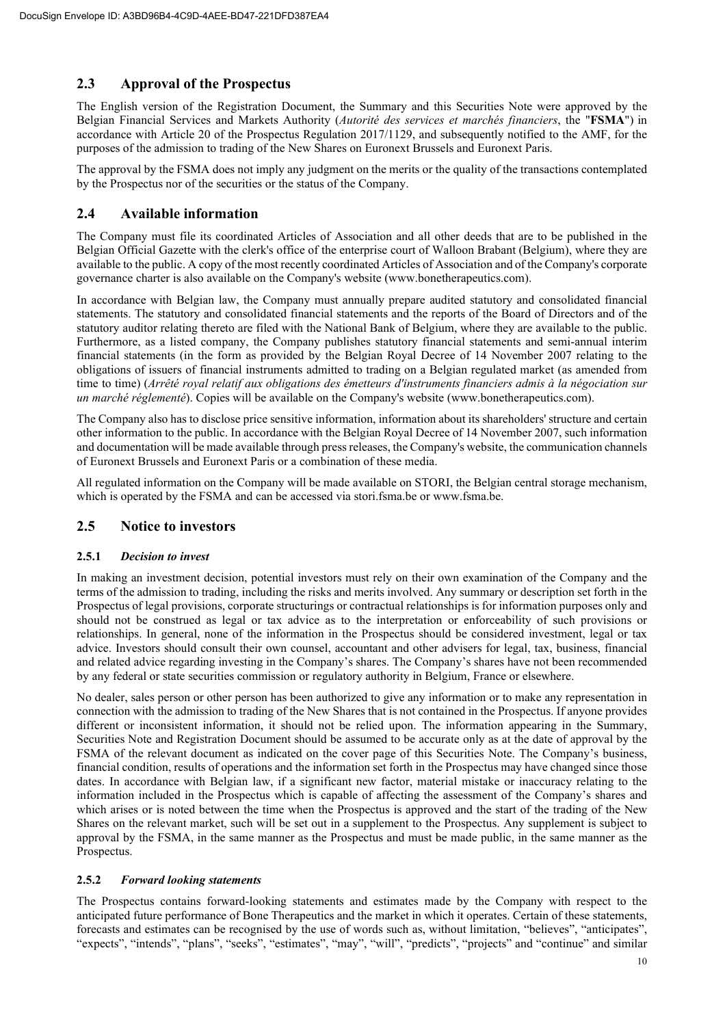# **2.3 Approval of the Prospectus**

The English version of the Registration Document, the Summary and this Securities Note were approved by the Belgian Financial Services and Markets Authority (*Autorité des services et marchés financiers*, the "**FSMA**") in accordance with Article 20 of the Prospectus Regulation 2017/1129, and subsequently notified to the AMF, for the purposes of the admission to trading of the New Shares on Euronext Brussels and Euronext Paris.

The approval by the FSMA does not imply any judgment on the merits or the quality of the transactions contemplated by the Prospectus nor of the securities or the status of the Company.

# **2.4 Available information**

The Company must file its coordinated Articles of Association and all other deeds that are to be published in the Belgian Official Gazette with the clerk's office of the enterprise court of Walloon Brabant (Belgium), where they are available to the public. A copy of the most recently coordinated Articles of Association and of the Company's corporate governance charter is also available on the Company's website (www.bonetherapeutics.com).

In accordance with Belgian law, the Company must annually prepare audited statutory and consolidated financial statements. The statutory and consolidated financial statements and the reports of the Board of Directors and of the statutory auditor relating thereto are filed with the National Bank of Belgium, where they are available to the public. Furthermore, as a listed company, the Company publishes statutory financial statements and semi-annual interim financial statements (in the form as provided by the Belgian Royal Decree of 14 November 2007 relating to the obligations of issuers of financial instruments admitted to trading on a Belgian regulated market (as amended from time to time) (*Arrêté royal relatif aux obligations des émetteurs d'instruments financiers admis à la négociation sur un marché réglementé*). Copies will be available on the Company's website (www.bonetherapeutics.com).

The Company also has to disclose price sensitive information, information about its shareholders' structure and certain other information to the public. In accordance with the Belgian Royal Decree of 14 November 2007, such information and documentation will be made available through press releases, the Company's website, the communication channels of Euronext Brussels and Euronext Paris or a combination of these media.

All regulated information on the Company will be made available on STORI, the Belgian central storage mechanism, which is operated by the FSMA and can be accessed via stori.fsma.be or www.fsma.be.

# **2.5 Notice to investors**

# **2.5.1** *Decision to invest*

In making an investment decision, potential investors must rely on their own examination of the Company and the terms of the admission to trading, including the risks and merits involved. Any summary or description set forth in the Prospectus of legal provisions, corporate structurings or contractual relationships is for information purposes only and should not be construed as legal or tax advice as to the interpretation or enforceability of such provisions or relationships. In general, none of the information in the Prospectus should be considered investment, legal or tax advice. Investors should consult their own counsel, accountant and other advisers for legal, tax, business, financial and related advice regarding investing in the Company's shares. The Company's shares have not been recommended by any federal or state securities commission or regulatory authority in Belgium, France or elsewhere.

No dealer, sales person or other person has been authorized to give any information or to make any representation in connection with the admission to trading of the New Shares that is not contained in the Prospectus. If anyone provides different or inconsistent information, it should not be relied upon. The information appearing in the Summary, Securities Note and Registration Document should be assumed to be accurate only as at the date of approval by the FSMA of the relevant document as indicated on the cover page of this Securities Note. The Company's business, financial condition, results of operations and the information set forth in the Prospectus may have changed since those dates. In accordance with Belgian law, if a significant new factor, material mistake or inaccuracy relating to the information included in the Prospectus which is capable of affecting the assessment of the Company's shares and which arises or is noted between the time when the Prospectus is approved and the start of the trading of the New Shares on the relevant market, such will be set out in a supplement to the Prospectus. Any supplement is subject to approval by the FSMA, in the same manner as the Prospectus and must be made public, in the same manner as the Prospectus.

# **2.5.2** *Forward looking statements*

The Prospectus contains forward-looking statements and estimates made by the Company with respect to the anticipated future performance of Bone Therapeutics and the market in which it operates. Certain of these statements, forecasts and estimates can be recognised by the use of words such as, without limitation, "believes", "anticipates", "expects", "intends", "plans", "seeks", "estimates", "may", "will", "predicts", "projects" and "continue" and similar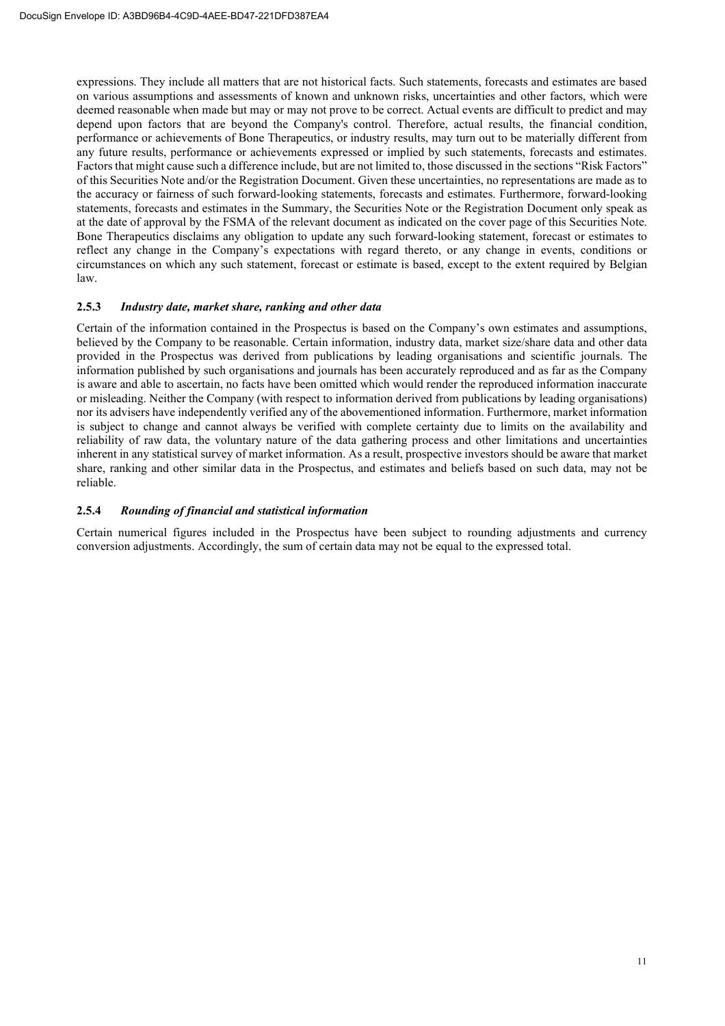expressions. They include all matters that are not historical facts. Such statements, forecasts and estimates are based on various assumptions and assessments of known and unknown risks, uncertainties and other factors, which were deemed reasonable when made but may or may not prove to be correct. Actual events are difficult to predict and may depend upon factors that are beyond the Company's control. Therefore, actual results, the financial condition, performance or achievements of Bone Therapeutics, or industry results, may turn out to be materially different from any future results, performance or achievements expressed or implied by such statements, forecasts and estimates. Factors that might cause such a difference include, but are not limited to, those discussed in the sections "Risk Factors" of this Securities Note and/or the Registration Document. Given these uncertainties, no representations are made as to the accuracy or fairness of such forward-looking statements, forecasts and estimates. Furthermore, forward-looking statements, forecasts and estimates in the Summary, the Securities Note or the Registration Document only speak as at the date of approval by the FSMA of the relevant document as indicated on the cover page of this Securities Note. Bone Therapeutics disclaims any obligation to update any such forward-looking statement, forecast or estimates to reflect any change in the Company's expectations with regard thereto, or any change in events, conditions or circumstances on which any such statement, forecast or estimate is based, except to the extent required by Belgian law.

#### **2.5.3** *Industry date, market share, ranking and other data*

Certain of the information contained in the Prospectus is based on the Company's own estimates and assumptions, believed by the Company to be reasonable. Certain information, industry data, market size/share data and other data provided in the Prospectus was derived from publications by leading organisations and scientific journals. The information published by such organisations and journals has been accurately reproduced and as far as the Company is aware and able to ascertain, no facts have been omitted which would render the reproduced information inaccurate or misleading. Neither the Company (with respect to information derived from publications by leading organisations) nor its advisers have independently verified any of the abovementioned information. Furthermore, market information is subject to change and cannot always be verified with complete certainty due to limits on the availability and reliability of raw data, the voluntary nature of the data gathering process and other limitations and uncertainties inherent in any statistical survey of market information. As a result, prospective investors should be aware that market share, ranking and other similar data in the Prospectus, and estimates and beliefs based on such data, may not be reliable.

#### **2.5.4** *Rounding of financial and statistical information*

Certain numerical figures included in the Prospectus have been subject to rounding adjustments and currency conversion adjustments. Accordingly, the sum of certain data may not be equal to the expressed total.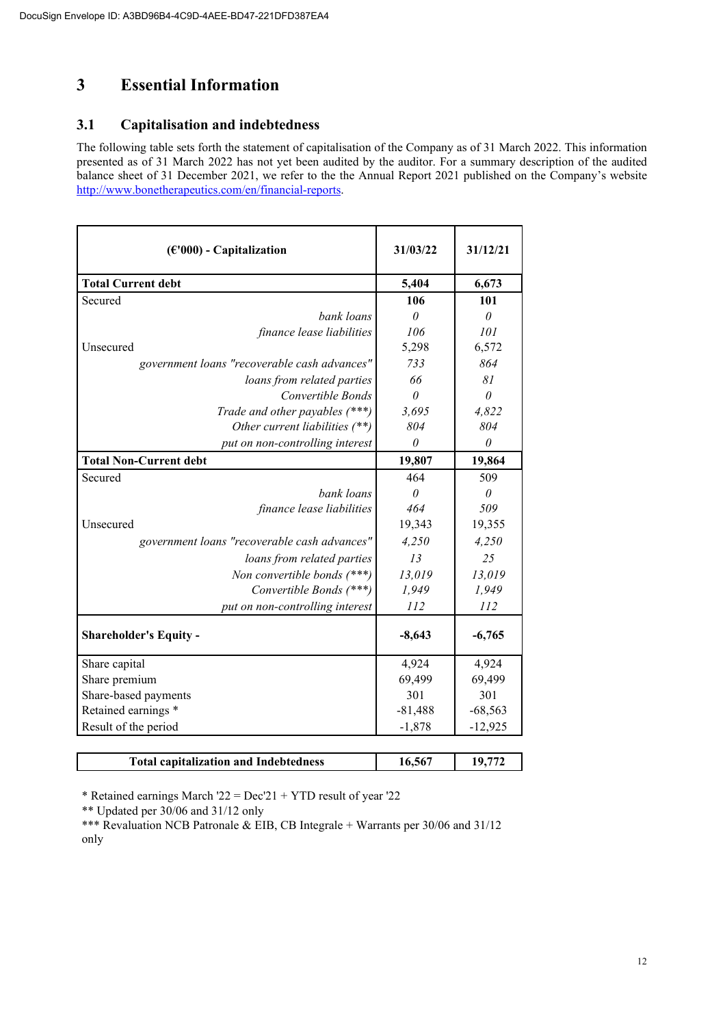# **3 Essential Information**

# **3.1 Capitalisation and indebtedness**

The following table sets forth the statement of capitalisation of the Company as of 31 March 2022. This information presented as of 31 March 2022 has not yet been audited by the auditor. For a summary description of the audited balance sheet of 31 December 2021, we refer to the the Annual Report 2021 published on the Company's website http://www.bonetherapeutics.com/en/financial-reports.

| $(\epsilon'000)$ - Capitalization            | 31/03/22  | 31/12/21  |
|----------------------------------------------|-----------|-----------|
| <b>Total Current debt</b>                    | 5,404     | 6,673     |
| Secured                                      | 106       | 101       |
| bank loans                                   | $\theta$  | $\theta$  |
| finance lease liabilities                    | 106       | 101       |
| Unsecured                                    | 5,298     | 6,572     |
| government loans "recoverable cash advances" | 733       | 864       |
| loans from related parties                   | 66        | 81        |
| Convertible Bonds                            | $\theta$  | $\theta$  |
| Trade and other payables (***)               | 3,695     | 4,822     |
| Other current liabilities (**)               | 804       | 804       |
| put on non-controlling interest              | $\theta$  | $\theta$  |
| <b>Total Non-Current debt</b>                | 19,807    | 19,864    |
| Secured                                      | 464       | 509       |
| bank loans                                   | $\theta$  | $\theta$  |
| finance lease liabilities                    | 464       | 509       |
| Unsecured                                    | 19,343    | 19,355    |
| government loans "recoverable cash advances" | 4,250     | 4,250     |
| loans from related parties                   | 13        | 25        |
| Non convertible bonds $(***)$                | 13,019    | 13,019    |
| Convertible Bonds (***)                      | 1,949     | 1,949     |
| put on non-controlling interest              | 112       | 112       |
| <b>Shareholder's Equity -</b>                | $-8,643$  | $-6,765$  |
| Share capital                                | 4,924     | 4,924     |
| Share premium                                | 69,499    | 69,499    |
| Share-based payments                         | 301       | 301       |
| Retained earnings *                          | $-81,488$ | $-68,563$ |
| Result of the period                         | $-1,878$  | $-12,925$ |
|                                              |           |           |

\* Retained earnings March '22 = Dec'21 + YTD result of year '22

\*\* Updated per 30/06 and 31/12 only

\*\*\* Revaluation NCB Patronale & EIB, CB Integrale + Warrants per 30/06 and 31/12 only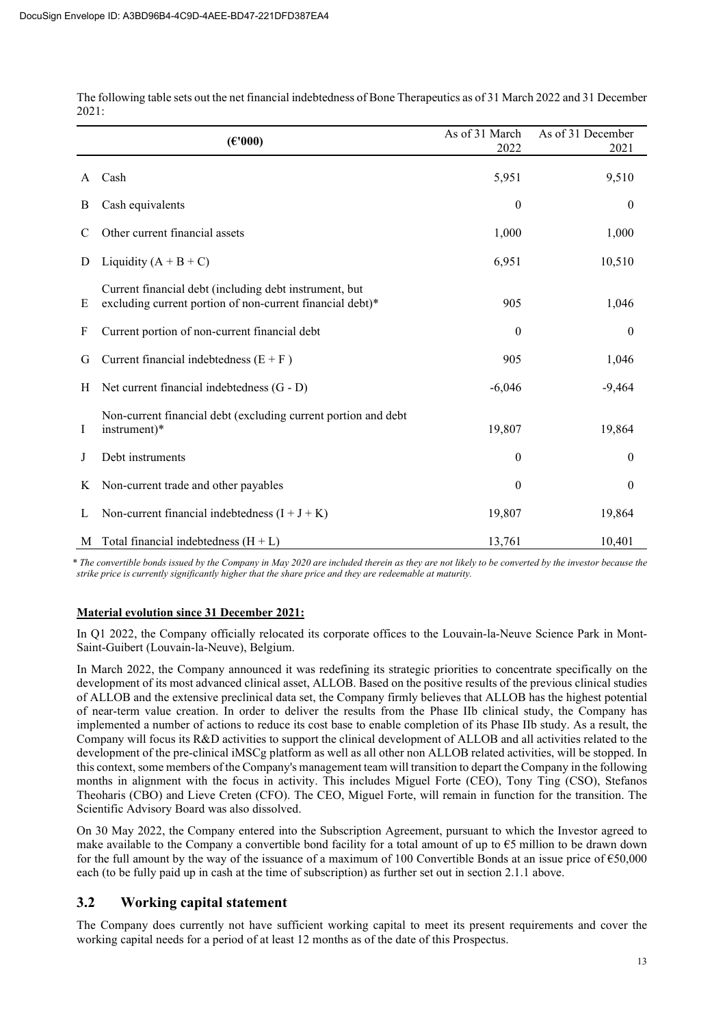|    | (E'000)                                                                                                             | As of 31 March<br>2022 | As of 31 December<br>2021 |
|----|---------------------------------------------------------------------------------------------------------------------|------------------------|---------------------------|
| A  | Cash                                                                                                                | 5,951                  | 9,510                     |
| B  | Cash equivalents                                                                                                    | $\boldsymbol{0}$       | $\mathbf{0}$              |
| C  | Other current financial assets                                                                                      | 1,000                  | 1,000                     |
| D  | Liquidity $(A + B + C)$                                                                                             | 6,951                  | 10,510                    |
| Ε  | Current financial debt (including debt instrument, but<br>excluding current portion of non-current financial debt)* | 905                    | 1,046                     |
| F  | Current portion of non-current financial debt                                                                       | $\mathbf{0}$           | $\boldsymbol{0}$          |
| G  | Current financial indebtedness $(E + F)$                                                                            | 905                    | 1,046                     |
| H  | Net current financial indebtedness (G - D)                                                                          | $-6,046$               | $-9,464$                  |
| Ι. | Non-current financial debt (excluding current portion and debt<br>instrument)*                                      | 19,807                 | 19,864                    |
| J  | Debt instruments                                                                                                    | $\mathbf{0}$           | $\boldsymbol{0}$          |
| K  | Non-current trade and other payables                                                                                | $\mathbf{0}$           | $\boldsymbol{0}$          |
| L  | Non-current financial indebtedness $(I + J + K)$                                                                    | 19,807                 | 19,864                    |
| M  | Total financial indebtedness $(H + L)$                                                                              | 13,761                 | 10,401                    |

The following table sets out the net financial indebtedness of Bone Therapeutics as of 31 March 2022 and 31 December 2021:

*\* The convertible bonds issued by the Company in May 2020 are included therein as they are not likely to be converted by the investor because the strike price is currently significantly higher that the share price and they are redeemable at maturity.* 

# **Material evolution since 31 December 2021:**

In Q1 2022, the Company officially relocated its corporate offices to the Louvain-la-Neuve Science Park in Mont-Saint-Guibert (Louvain-la-Neuve), Belgium.

In March 2022, the Company announced it was redefining its strategic priorities to concentrate specifically on the development of its most advanced clinical asset, ALLOB. Based on the positive results of the previous clinical studies of ALLOB and the extensive preclinical data set, the Company firmly believes that ALLOB has the highest potential of near-term value creation. In order to deliver the results from the Phase IIb clinical study, the Company has implemented a number of actions to reduce its cost base to enable completion of its Phase IIb study. As a result, the Company will focus its R&D activities to support the clinical development of ALLOB and all activities related to the development of the pre-clinical iMSCg platform as well as all other non ALLOB related activities, will be stopped. In this context, some members of the Company's management team will transition to depart the Company in the following months in alignment with the focus in activity. This includes Miguel Forte (CEO), Tony Ting (CSO), Stefanos Theoharis (CBO) and Lieve Creten (CFO). The CEO, Miguel Forte, will remain in function for the transition. The Scientific Advisory Board was also dissolved.

On 30 May 2022, the Company entered into the Subscription Agreement, pursuant to which the Investor agreed to make available to the Company a convertible bond facility for a total amount of up to  $\epsilon$ 5 million to be drawn down for the full amount by the way of the issuance of a maximum of 100 Convertible Bonds at an issue price of  $\epsilon$ 50,000 each (to be fully paid up in cash at the time of subscription) as further set out in section 2.1.1 above.

# **3.2 Working capital statement**

The Company does currently not have sufficient working capital to meet its present requirements and cover the working capital needs for a period of at least 12 months as of the date of this Prospectus.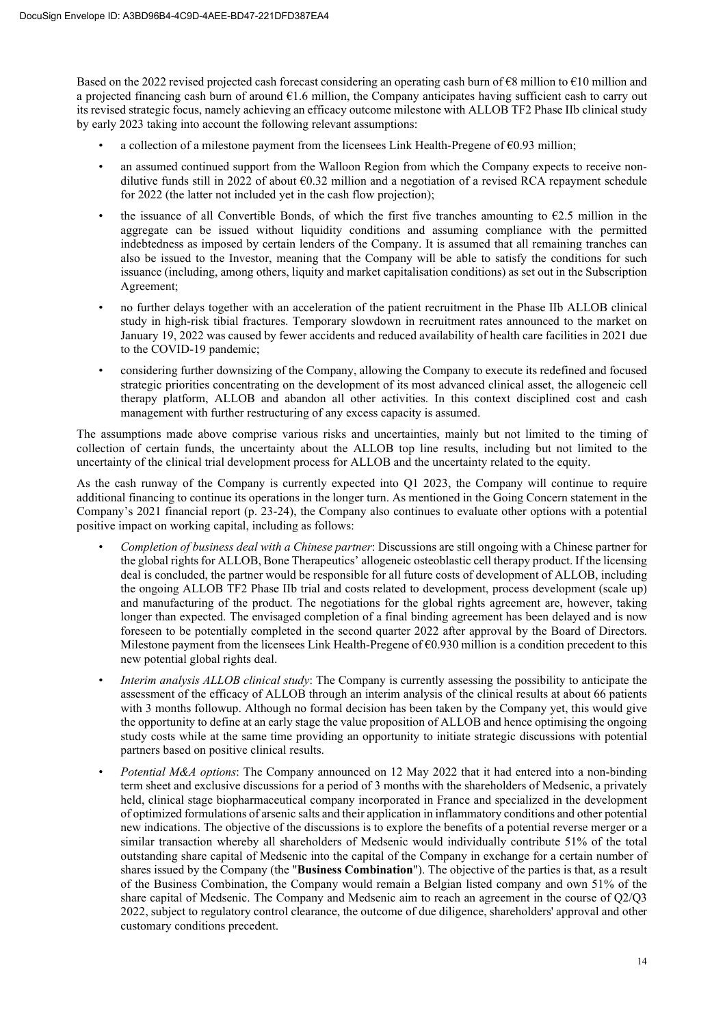Based on the 2022 revised projected cash forecast considering an operating cash burn of  $\epsilon$ 8 million to  $\epsilon$ 10 million and a projected financing cash burn of around  $61.6$  million, the Company anticipates having sufficient cash to carry out its revised strategic focus, namely achieving an efficacy outcome milestone with ALLOB TF2 Phase IIb clinical study by early 2023 taking into account the following relevant assumptions:

- a collection of a milestone payment from the licensees Link Health-Pregene of  $\epsilon$ 0.93 million;
- an assumed continued support from the Walloon Region from which the Company expects to receive nondilutive funds still in 2022 of about €0.32 million and a negotiation of a revised RCA repayment schedule for 2022 (the latter not included yet in the cash flow projection);
- the issuance of all Convertible Bonds, of which the first five tranches amounting to  $E$ 2.5 million in the aggregate can be issued without liquidity conditions and assuming compliance with the permitted indebtedness as imposed by certain lenders of the Company. It is assumed that all remaining tranches can also be issued to the Investor, meaning that the Company will be able to satisfy the conditions for such issuance (including, among others, liquity and market capitalisation conditions) as set out in the Subscription Agreement;
- no further delays together with an acceleration of the patient recruitment in the Phase IIb ALLOB clinical study in high-risk tibial fractures. Temporary slowdown in recruitment rates announced to the market on January 19, 2022 was caused by fewer accidents and reduced availability of health care facilities in 2021 due to the COVID-19 pandemic;
- considering further downsizing of the Company, allowing the Company to execute its redefined and focused strategic priorities concentrating on the development of its most advanced clinical asset, the allogeneic cell therapy platform, ALLOB and abandon all other activities. In this context disciplined cost and cash management with further restructuring of any excess capacity is assumed.

The assumptions made above comprise various risks and uncertainties, mainly but not limited to the timing of collection of certain funds, the uncertainty about the ALLOB top line results, including but not limited to the uncertainty of the clinical trial development process for ALLOB and the uncertainty related to the equity.

As the cash runway of the Company is currently expected into Q1 2023, the Company will continue to require additional financing to continue its operations in the longer turn. As mentioned in the Going Concern statement in the Company's 2021 financial report (p. 23-24), the Company also continues to evaluate other options with a potential positive impact on working capital, including as follows:

- *Completion of business deal with a Chinese partner*: Discussions are still ongoing with a Chinese partner for the global rights for ALLOB, Bone Therapeutics' allogeneic osteoblastic cell therapy product. If the licensing deal is concluded, the partner would be responsible for all future costs of development of ALLOB, including the ongoing ALLOB TF2 Phase IIb trial and costs related to development, process development (scale up) and manufacturing of the product. The negotiations for the global rights agreement are, however, taking longer than expected. The envisaged completion of a final binding agreement has been delayed and is now foreseen to be potentially completed in the second quarter 2022 after approval by the Board of Directors. Milestone payment from the licensees Link Health-Pregene of €0.930 million is a condition precedent to this new potential global rights deal.
- *Interim analysis ALLOB clinical study*: The Company is currently assessing the possibility to anticipate the assessment of the efficacy of ALLOB through an interim analysis of the clinical results at about 66 patients with 3 months followup. Although no formal decision has been taken by the Company yet, this would give the opportunity to define at an early stage the value proposition of ALLOB and hence optimising the ongoing study costs while at the same time providing an opportunity to initiate strategic discussions with potential partners based on positive clinical results.
- *Potential M&A options*: The Company announced on 12 May 2022 that it had entered into a non-binding term sheet and exclusive discussions for a period of 3 months with the shareholders of Medsenic, a privately held, clinical stage biopharmaceutical company incorporated in France and specialized in the development of optimized formulations of arsenic salts and their application in inflammatory conditions and other potential new indications. The objective of the discussions is to explore the benefits of a potential reverse merger or a similar transaction whereby all shareholders of Medsenic would individually contribute 51% of the total outstanding share capital of Medsenic into the capital of the Company in exchange for a certain number of shares issued by the Company (the "**Business Combination**"). The objective of the parties is that, as a result of the Business Combination, the Company would remain a Belgian listed company and own 51% of the share capital of Medsenic. The Company and Medsenic aim to reach an agreement in the course of Q2/Q3 2022, subject to regulatory control clearance, the outcome of due diligence, shareholders' approval and other customary conditions precedent.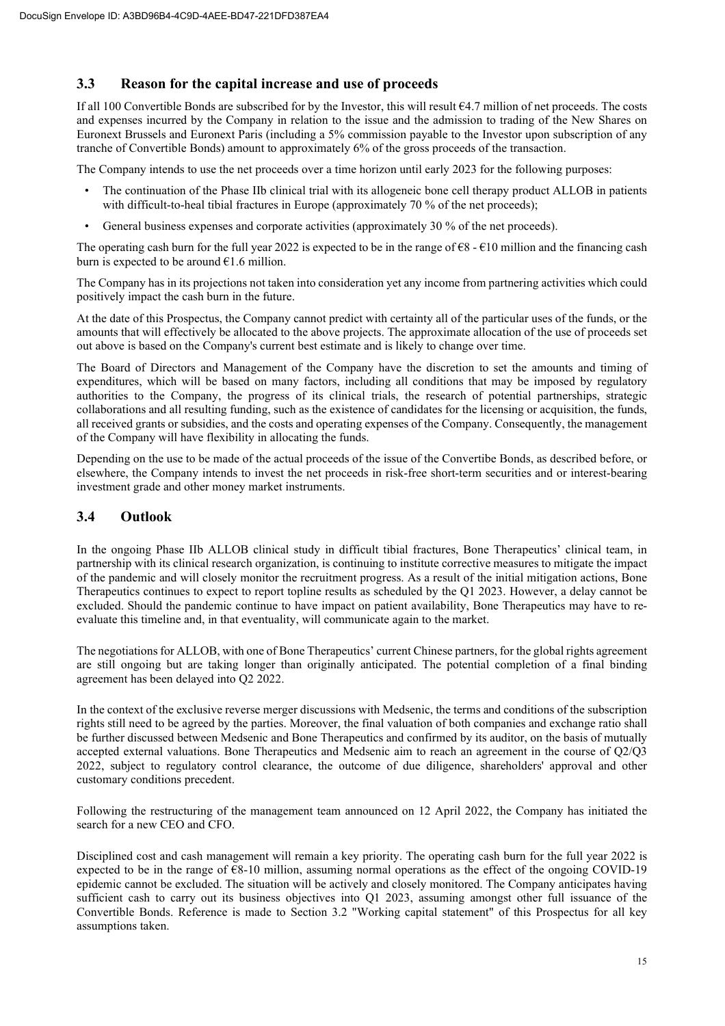# **3.3 Reason for the capital increase and use of proceeds**

If all 100 Convertible Bonds are subscribed for by the Investor, this will result €4.7 million of net proceeds. The costs and expenses incurred by the Company in relation to the issue and the admission to trading of the New Shares on Euronext Brussels and Euronext Paris (including a 5% commission payable to the Investor upon subscription of any tranche of Convertible Bonds) amount to approximately 6% of the gross proceeds of the transaction.

The Company intends to use the net proceeds over a time horizon until early 2023 for the following purposes:

- The continuation of the Phase IIb clinical trial with its allogeneic bone cell therapy product ALLOB in patients with difficult-to-heal tibial fractures in Europe (approximately 70 % of the net proceeds);
- General business expenses and corporate activities (approximately 30 % of the net proceeds).

The operating cash burn for the full year 2022 is expected to be in the range of  $\mathcal{C}8 - \mathcal{C}10$  million and the financing cash burn is expected to be around  $E1.6$  million.

The Company has in its projections not taken into consideration yet any income from partnering activities which could positively impact the cash burn in the future.

At the date of this Prospectus, the Company cannot predict with certainty all of the particular uses of the funds, or the amounts that will effectively be allocated to the above projects. The approximate allocation of the use of proceeds set out above is based on the Company's current best estimate and is likely to change over time.

The Board of Directors and Management of the Company have the discretion to set the amounts and timing of expenditures, which will be based on many factors, including all conditions that may be imposed by regulatory authorities to the Company, the progress of its clinical trials, the research of potential partnerships, strategic collaborations and all resulting funding, such as the existence of candidates for the licensing or acquisition, the funds, all received grants or subsidies, and the costs and operating expenses of the Company. Consequently, the management of the Company will have flexibility in allocating the funds.

Depending on the use to be made of the actual proceeds of the issue of the Convertibe Bonds, as described before, or elsewhere, the Company intends to invest the net proceeds in risk-free short-term securities and or interest-bearing investment grade and other money market instruments.

# **3.4 Outlook**

In the ongoing Phase IIb ALLOB clinical study in difficult tibial fractures, Bone Therapeutics' clinical team, in partnership with its clinical research organization, is continuing to institute corrective measures to mitigate the impact of the pandemic and will closely monitor the recruitment progress. As a result of the initial mitigation actions, Bone Therapeutics continues to expect to report topline results as scheduled by the Q1 2023. However, a delay cannot be excluded. Should the pandemic continue to have impact on patient availability, Bone Therapeutics may have to reevaluate this timeline and, in that eventuality, will communicate again to the market.

The negotiations for ALLOB, with one of Bone Therapeutics' current Chinese partners, for the global rights agreement are still ongoing but are taking longer than originally anticipated. The potential completion of a final binding agreement has been delayed into Q2 2022.

In the context of the exclusive reverse merger discussions with Medsenic, the terms and conditions of the subscription rights still need to be agreed by the parties. Moreover, the final valuation of both companies and exchange ratio shall be further discussed between Medsenic and Bone Therapeutics and confirmed by its auditor, on the basis of mutually accepted external valuations. Bone Therapeutics and Medsenic aim to reach an agreement in the course of Q2/Q3 2022, subject to regulatory control clearance, the outcome of due diligence, shareholders' approval and other customary conditions precedent.

Following the restructuring of the management team announced on 12 April 2022, the Company has initiated the search for a new CEO and CFO.

Disciplined cost and cash management will remain a key priority. The operating cash burn for the full year 2022 is expected to be in the range of  $68-10$  million, assuming normal operations as the effect of the ongoing COVID-19 epidemic cannot be excluded. The situation will be actively and closely monitored. The Company anticipates having sufficient cash to carry out its business objectives into Q1 2023, assuming amongst other full issuance of the Convertible Bonds. Reference is made to Section 3.2 "Working capital statement" of this Prospectus for all key assumptions taken.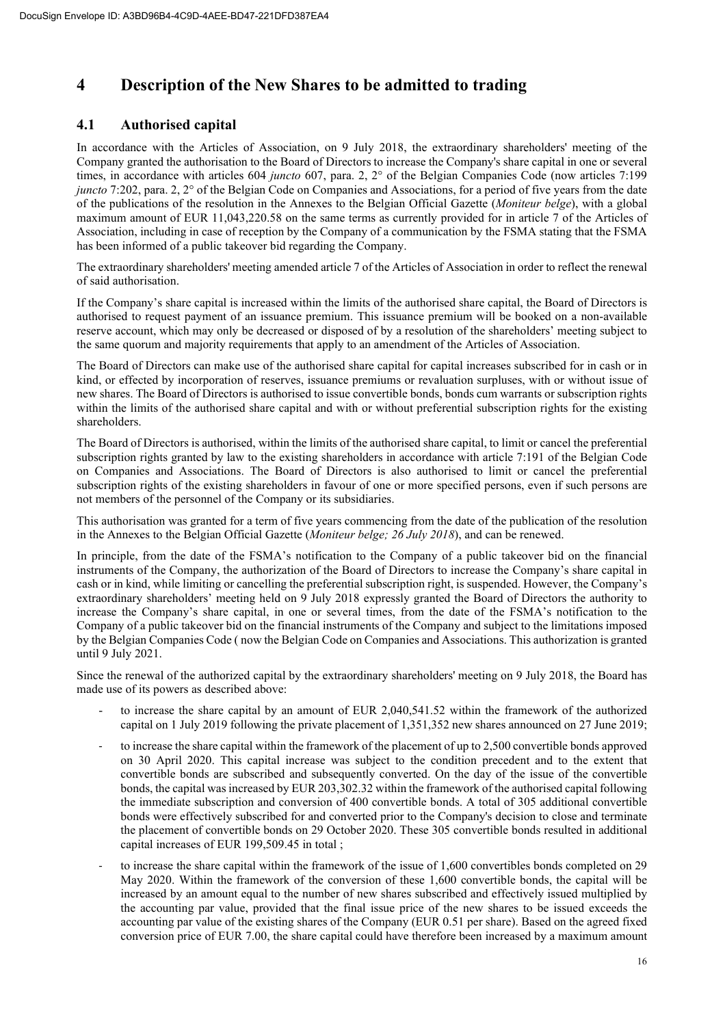# **4 Description of the New Shares to be admitted to trading**

# **4.1 Authorised capital**

In accordance with the Articles of Association, on 9 July 2018, the extraordinary shareholders' meeting of the Company granted the authorisation to the Board of Directors to increase the Company's share capital in one or several times, in accordance with articles 604 *juncto* 607, para. 2, 2° of the Belgian Companies Code (now articles 7:199 *juncto* 7:202, para. 2, 2° of the Belgian Code on Companies and Associations, for a period of five years from the date of the publications of the resolution in the Annexes to the Belgian Official Gazette (*Moniteur belge*), with a global maximum amount of EUR 11,043,220.58 on the same terms as currently provided for in article 7 of the Articles of Association, including in case of reception by the Company of a communication by the FSMA stating that the FSMA has been informed of a public takeover bid regarding the Company.

The extraordinary shareholders' meeting amended article 7 of the Articles of Association in order to reflect the renewal of said authorisation.

If the Company's share capital is increased within the limits of the authorised share capital, the Board of Directors is authorised to request payment of an issuance premium. This issuance premium will be booked on a non-available reserve account, which may only be decreased or disposed of by a resolution of the shareholders' meeting subject to the same quorum and majority requirements that apply to an amendment of the Articles of Association.

The Board of Directors can make use of the authorised share capital for capital increases subscribed for in cash or in kind, or effected by incorporation of reserves, issuance premiums or revaluation surpluses, with or without issue of new shares. The Board of Directors is authorised to issue convertible bonds, bonds cum warrants or subscription rights within the limits of the authorised share capital and with or without preferential subscription rights for the existing shareholders.

The Board of Directors is authorised, within the limits of the authorised share capital, to limit or cancel the preferential subscription rights granted by law to the existing shareholders in accordance with article 7:191 of the Belgian Code on Companies and Associations. The Board of Directors is also authorised to limit or cancel the preferential subscription rights of the existing shareholders in favour of one or more specified persons, even if such persons are not members of the personnel of the Company or its subsidiaries.

This authorisation was granted for a term of five years commencing from the date of the publication of the resolution in the Annexes to the Belgian Official Gazette (*Moniteur belge; 26 July 2018*), and can be renewed.

In principle, from the date of the FSMA's notification to the Company of a public takeover bid on the financial instruments of the Company, the authorization of the Board of Directors to increase the Company's share capital in cash or in kind, while limiting or cancelling the preferential subscription right, is suspended. However, the Company's extraordinary shareholders' meeting held on 9 July 2018 expressly granted the Board of Directors the authority to increase the Company's share capital, in one or several times, from the date of the FSMA's notification to the Company of a public takeover bid on the financial instruments of the Company and subject to the limitations imposed by the Belgian Companies Code ( now the Belgian Code on Companies and Associations. This authorization is granted until 9 July 2021.

Since the renewal of the authorized capital by the extraordinary shareholders' meeting on 9 July 2018, the Board has made use of its powers as described above:

- to increase the share capital by an amount of EUR 2,040,541.52 within the framework of the authorized capital on 1 July 2019 following the private placement of 1,351,352 new shares announced on 27 June 2019;
- to increase the share capital within the framework of the placement of up to 2,500 convertible bonds approved on 30 April 2020. This capital increase was subject to the condition precedent and to the extent that convertible bonds are subscribed and subsequently converted. On the day of the issue of the convertible bonds, the capital was increased by EUR 203,302.32 within the framework of the authorised capital following the immediate subscription and conversion of 400 convertible bonds. A total of 305 additional convertible bonds were effectively subscribed for and converted prior to the Company's decision to close and terminate the placement of convertible bonds on 29 October 2020. These 305 convertible bonds resulted in additional capital increases of EUR 199,509.45 in total ;
- to increase the share capital within the framework of the issue of 1,600 convertibles bonds completed on 29 May 2020. Within the framework of the conversion of these 1,600 convertible bonds, the capital will be increased by an amount equal to the number of new shares subscribed and effectively issued multiplied by the accounting par value, provided that the final issue price of the new shares to be issued exceeds the accounting par value of the existing shares of the Company (EUR 0.51 per share). Based on the agreed fixed conversion price of EUR 7.00, the share capital could have therefore been increased by a maximum amount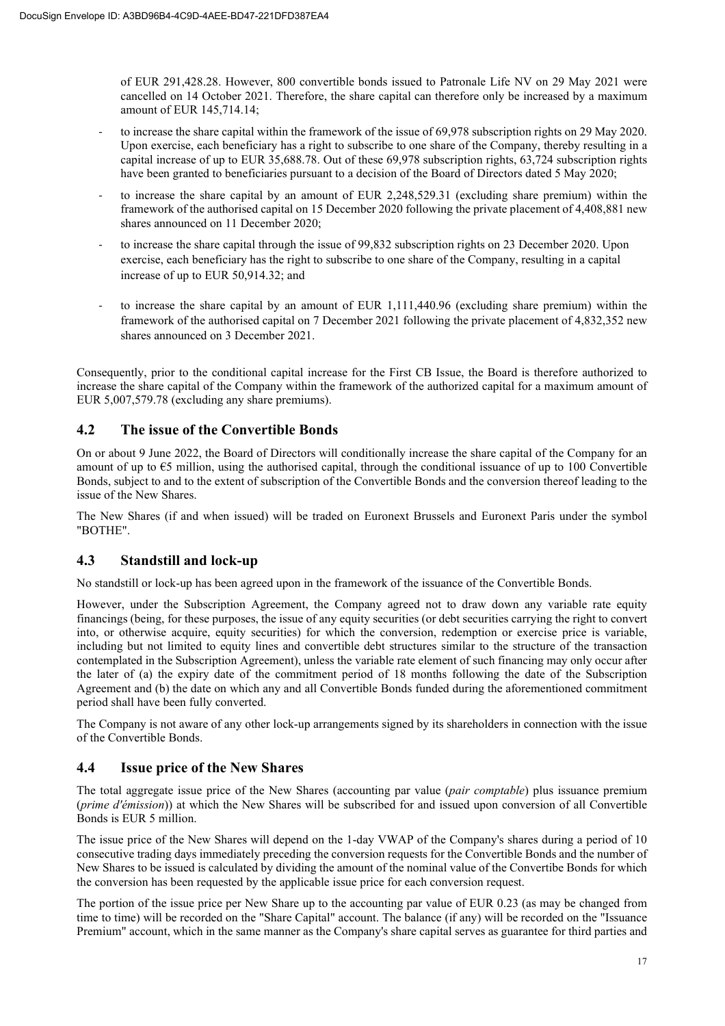of EUR 291,428.28. However, 800 convertible bonds issued to Patronale Life NV on 29 May 2021 were cancelled on 14 October 2021. Therefore, the share capital can therefore only be increased by a maximum amount of EUR 145,714.14;

- to increase the share capital within the framework of the issue of 69,978 subscription rights on 29 May 2020. Upon exercise, each beneficiary has a right to subscribe to one share of the Company, thereby resulting in a capital increase of up to EUR 35,688.78. Out of these 69,978 subscription rights, 63,724 subscription rights have been granted to beneficiaries pursuant to a decision of the Board of Directors dated 5 May 2020;
- to increase the share capital by an amount of EUR 2,248,529.31 (excluding share premium) within the framework of the authorised capital on 15 December 2020 following the private placement of 4,408,881 new shares announced on 11 December 2020;
- to increase the share capital through the issue of 99,832 subscription rights on 23 December 2020. Upon exercise, each beneficiary has the right to subscribe to one share of the Company, resulting in a capital increase of up to EUR 50,914.32; and
- to increase the share capital by an amount of EUR 1,111,440.96 (excluding share premium) within the framework of the authorised capital on 7 December 2021 following the private placement of 4,832,352 new shares announced on 3 December 2021.

Consequently, prior to the conditional capital increase for the First CB Issue, the Board is therefore authorized to increase the share capital of the Company within the framework of the authorized capital for a maximum amount of EUR 5,007,579.78 (excluding any share premiums).

# **4.2 The issue of the Convertible Bonds**

On or about 9 June 2022, the Board of Directors will conditionally increase the share capital of the Company for an amount of up to  $\epsilon$ 5 million, using the authorised capital, through the conditional issuance of up to 100 Convertible Bonds, subject to and to the extent of subscription of the Convertible Bonds and the conversion thereof leading to the issue of the New Shares.

The New Shares (if and when issued) will be traded on Euronext Brussels and Euronext Paris under the symbol "BOTHE".

# **4.3 Standstill and lock-up**

No standstill or lock-up has been agreed upon in the framework of the issuance of the Convertible Bonds.

However, under the Subscription Agreement, the Company agreed not to draw down any variable rate equity financings (being, for these purposes, the issue of any equity securities (or debt securities carrying the right to convert into, or otherwise acquire, equity securities) for which the conversion, redemption or exercise price is variable, including but not limited to equity lines and convertible debt structures similar to the structure of the transaction contemplated in the Subscription Agreement), unless the variable rate element of such financing may only occur after the later of (a) the expiry date of the commitment period of 18 months following the date of the Subscription Agreement and (b) the date on which any and all Convertible Bonds funded during the aforementioned commitment period shall have been fully converted.

The Company is not aware of any other lock-up arrangements signed by its shareholders in connection with the issue of the Convertible Bonds.

# **4.4 Issue price of the New Shares**

The total aggregate issue price of the New Shares (accounting par value (*pair comptable*) plus issuance premium (*prime d'émission*)) at which the New Shares will be subscribed for and issued upon conversion of all Convertible Bonds is EUR 5 million.

The issue price of the New Shares will depend on the 1-day VWAP of the Company's shares during a period of 10 consecutive trading days immediately preceding the conversion requests for the Convertible Bonds and the number of New Shares to be issued is calculated by dividing the amount of the nominal value of the Convertibe Bonds for which the conversion has been requested by the applicable issue price for each conversion request.

The portion of the issue price per New Share up to the accounting par value of EUR 0.23 (as may be changed from time to time) will be recorded on the "Share Capital" account. The balance (if any) will be recorded on the "Issuance Premium" account, which in the same manner as the Company's share capital serves as guarantee for third parties and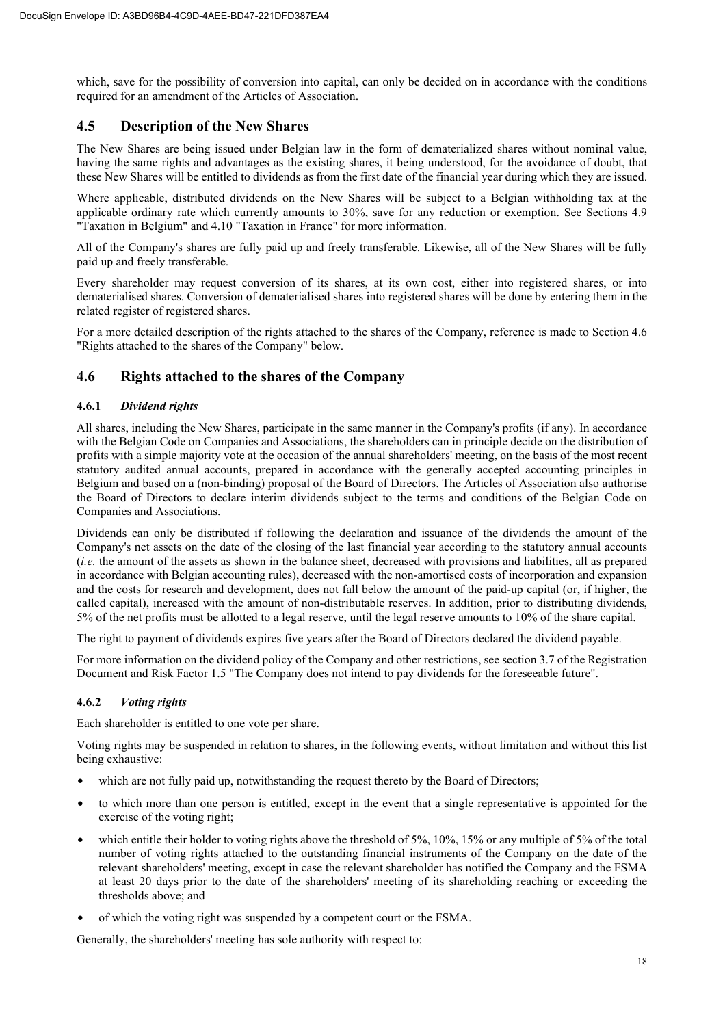which, save for the possibility of conversion into capital, can only be decided on in accordance with the conditions required for an amendment of the Articles of Association.

# **4.5 Description of the New Shares**

The New Shares are being issued under Belgian law in the form of dematerialized shares without nominal value, having the same rights and advantages as the existing shares, it being understood, for the avoidance of doubt, that these New Shares will be entitled to dividends as from the first date of the financial year during which they are issued.

Where applicable, distributed dividends on the New Shares will be subject to a Belgian withholding tax at the applicable ordinary rate which currently amounts to 30%, save for any reduction or exemption. See Sections 4.9 "Taxation in Belgium" and 4.10 "Taxation in France" for more information.

All of the Company's shares are fully paid up and freely transferable. Likewise, all of the New Shares will be fully paid up and freely transferable.

Every shareholder may request conversion of its shares, at its own cost, either into registered shares, or into dematerialised shares. Conversion of dematerialised shares into registered shares will be done by entering them in the related register of registered shares.

For a more detailed description of the rights attached to the shares of the Company, reference is made to Section 4.6 "Rights attached to the shares of the Company" below.

# **4.6 Rights attached to the shares of the Company**

# **4.6.1** *Dividend rights*

All shares, including the New Shares, participate in the same manner in the Company's profits (if any). In accordance with the Belgian Code on Companies and Associations, the shareholders can in principle decide on the distribution of profits with a simple majority vote at the occasion of the annual shareholders' meeting, on the basis of the most recent statutory audited annual accounts, prepared in accordance with the generally accepted accounting principles in Belgium and based on a (non-binding) proposal of the Board of Directors. The Articles of Association also authorise the Board of Directors to declare interim dividends subject to the terms and conditions of the Belgian Code on Companies and Associations.

Dividends can only be distributed if following the declaration and issuance of the dividends the amount of the Company's net assets on the date of the closing of the last financial year according to the statutory annual accounts (*i.e.* the amount of the assets as shown in the balance sheet, decreased with provisions and liabilities, all as prepared in accordance with Belgian accounting rules), decreased with the non-amortised costs of incorporation and expansion and the costs for research and development, does not fall below the amount of the paid-up capital (or, if higher, the called capital), increased with the amount of non-distributable reserves. In addition, prior to distributing dividends, 5% of the net profits must be allotted to a legal reserve, until the legal reserve amounts to 10% of the share capital.

The right to payment of dividends expires five years after the Board of Directors declared the dividend payable.

For more information on the dividend policy of the Company and other restrictions, see section 3.7 of the Registration Document and Risk Factor 1.5 "The Company does not intend to pay dividends for the foreseeable future".

# **4.6.2** *Voting rights*

Each shareholder is entitled to one vote per share.

Voting rights may be suspended in relation to shares, in the following events, without limitation and without this list being exhaustive:

- which are not fully paid up, notwithstanding the request thereto by the Board of Directors;
- to which more than one person is entitled, except in the event that a single representative is appointed for the exercise of the voting right;
- which entitle their holder to voting rights above the threshold of 5%, 10%, 15% or any multiple of 5% of the total number of voting rights attached to the outstanding financial instruments of the Company on the date of the relevant shareholders' meeting, except in case the relevant shareholder has notified the Company and the FSMA at least 20 days prior to the date of the shareholders' meeting of its shareholding reaching or exceeding the thresholds above; and
- of which the voting right was suspended by a competent court or the FSMA.

Generally, the shareholders' meeting has sole authority with respect to: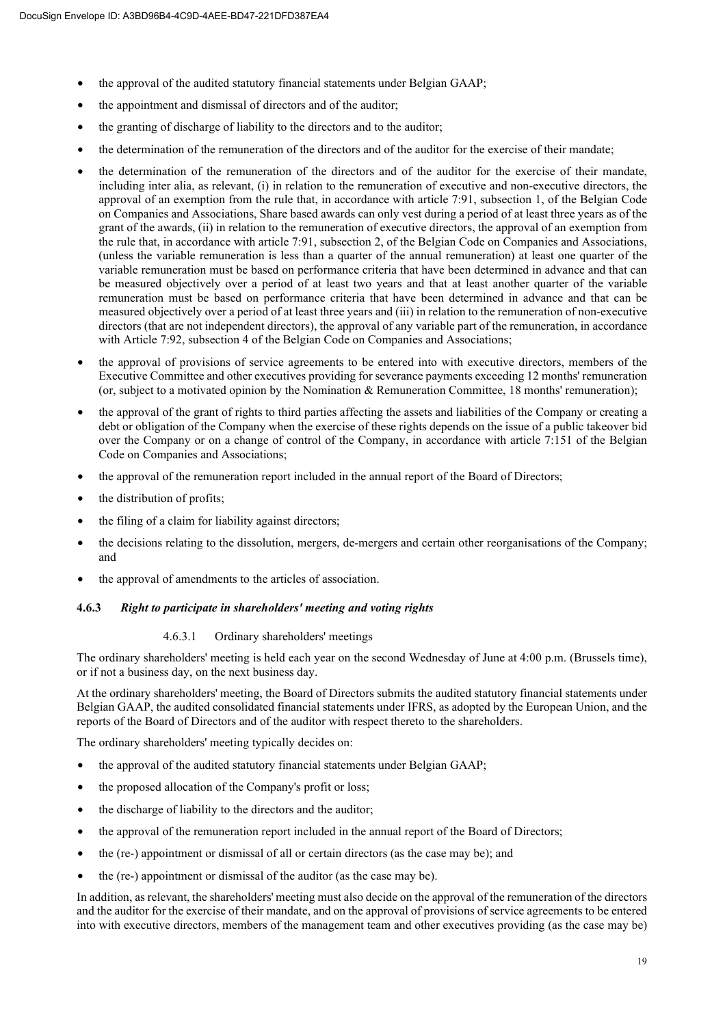- the approval of the audited statutory financial statements under Belgian GAAP;
- the appointment and dismissal of directors and of the auditor;
- the granting of discharge of liability to the directors and to the auditor;
- the determination of the remuneration of the directors and of the auditor for the exercise of their mandate;
- the determination of the remuneration of the directors and of the auditor for the exercise of their mandate, including inter alia, as relevant, (i) in relation to the remuneration of executive and non-executive directors, the approval of an exemption from the rule that, in accordance with article 7:91, subsection 1, of the Belgian Code on Companies and Associations, Share based awards can only vest during a period of at least three years as of the grant of the awards, (ii) in relation to the remuneration of executive directors, the approval of an exemption from the rule that, in accordance with article 7:91, subsection 2, of the Belgian Code on Companies and Associations, (unless the variable remuneration is less than a quarter of the annual remuneration) at least one quarter of the variable remuneration must be based on performance criteria that have been determined in advance and that can be measured objectively over a period of at least two years and that at least another quarter of the variable remuneration must be based on performance criteria that have been determined in advance and that can be measured objectively over a period of at least three years and (iii) in relation to the remuneration of non-executive directors (that are not independent directors), the approval of any variable part of the remuneration, in accordance with Article 7:92, subsection 4 of the Belgian Code on Companies and Associations;
- the approval of provisions of service agreements to be entered into with executive directors, members of the Executive Committee and other executives providing for severance payments exceeding 12 months' remuneration (or, subject to a motivated opinion by the Nomination & Remuneration Committee, 18 months' remuneration);
- the approval of the grant of rights to third parties affecting the assets and liabilities of the Company or creating a debt or obligation of the Company when the exercise of these rights depends on the issue of a public takeover bid over the Company or on a change of control of the Company, in accordance with article 7:151 of the Belgian Code on Companies and Associations;
- the approval of the remuneration report included in the annual report of the Board of Directors;
- the distribution of profits;
- the filing of a claim for liability against directors;
- the decisions relating to the dissolution, mergers, de-mergers and certain other reorganisations of the Company; and
- the approval of amendments to the articles of association.

#### **4.6.3** *Right to participate in shareholders' meeting and voting rights*

#### 4.6.3.1 Ordinary shareholders' meetings

The ordinary shareholders' meeting is held each year on the second Wednesday of June at 4:00 p.m. (Brussels time), or if not a business day, on the next business day.

At the ordinary shareholders' meeting, the Board of Directors submits the audited statutory financial statements under Belgian GAAP, the audited consolidated financial statements under IFRS, as adopted by the European Union, and the reports of the Board of Directors and of the auditor with respect thereto to the shareholders.

The ordinary shareholders' meeting typically decides on:

- the approval of the audited statutory financial statements under Belgian GAAP;
- the proposed allocation of the Company's profit or loss;
- the discharge of liability to the directors and the auditor;
- the approval of the remuneration report included in the annual report of the Board of Directors;
- the (re-) appointment or dismissal of all or certain directors (as the case may be); and
- the (re-) appointment or dismissal of the auditor (as the case may be).

In addition, as relevant, the shareholders' meeting must also decide on the approval of the remuneration of the directors and the auditor for the exercise of their mandate, and on the approval of provisions of service agreements to be entered into with executive directors, members of the management team and other executives providing (as the case may be)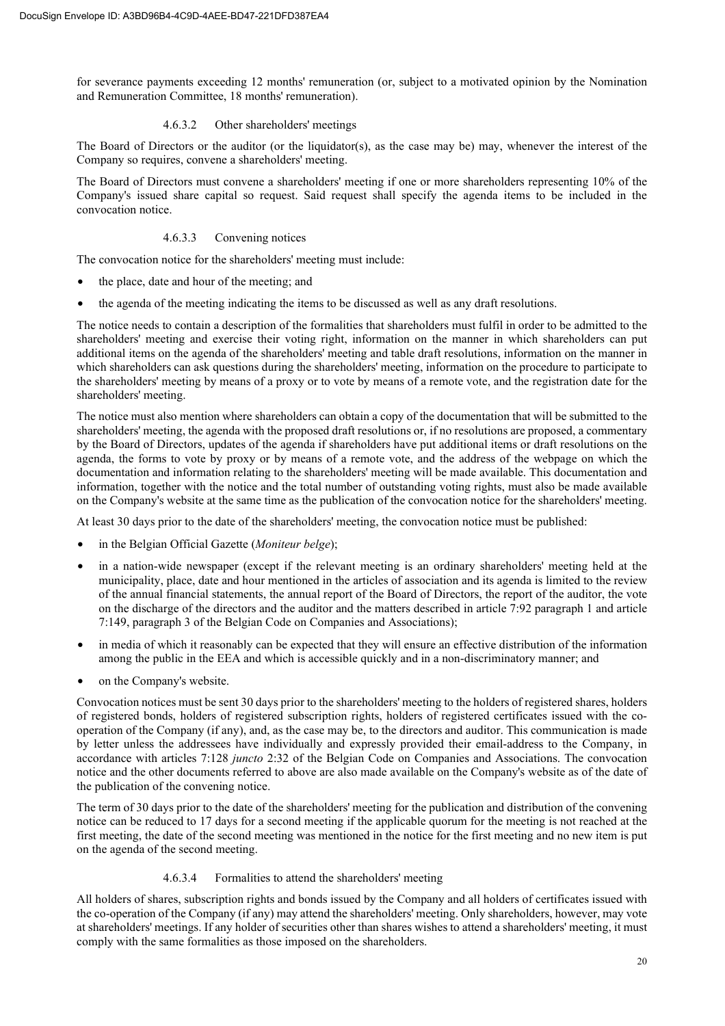for severance payments exceeding 12 months' remuneration (or, subject to a motivated opinion by the Nomination and Remuneration Committee, 18 months' remuneration).

# 4.6.3.2 Other shareholders' meetings

The Board of Directors or the auditor (or the liquidator(s), as the case may be) may, whenever the interest of the Company so requires, convene a shareholders' meeting.

The Board of Directors must convene a shareholders' meeting if one or more shareholders representing 10% of the Company's issued share capital so request. Said request shall specify the agenda items to be included in the convocation notice.

# 4.6.3.3 Convening notices

The convocation notice for the shareholders' meeting must include:

- the place, date and hour of the meeting; and
- the agenda of the meeting indicating the items to be discussed as well as any draft resolutions.

The notice needs to contain a description of the formalities that shareholders must fulfil in order to be admitted to the shareholders' meeting and exercise their voting right, information on the manner in which shareholders can put additional items on the agenda of the shareholders' meeting and table draft resolutions, information on the manner in which shareholders can ask questions during the shareholders' meeting, information on the procedure to participate to the shareholders' meeting by means of a proxy or to vote by means of a remote vote, and the registration date for the shareholders' meeting.

The notice must also mention where shareholders can obtain a copy of the documentation that will be submitted to the shareholders' meeting, the agenda with the proposed draft resolutions or, if no resolutions are proposed, a commentary by the Board of Directors, updates of the agenda if shareholders have put additional items or draft resolutions on the agenda, the forms to vote by proxy or by means of a remote vote, and the address of the webpage on which the documentation and information relating to the shareholders' meeting will be made available. This documentation and information, together with the notice and the total number of outstanding voting rights, must also be made available on the Company's website at the same time as the publication of the convocation notice for the shareholders' meeting.

At least 30 days prior to the date of the shareholders' meeting, the convocation notice must be published:

- in the Belgian Official Gazette (*Moniteur belge*);
- in a nation-wide newspaper (except if the relevant meeting is an ordinary shareholders' meeting held at the municipality, place, date and hour mentioned in the articles of association and its agenda is limited to the review of the annual financial statements, the annual report of the Board of Directors, the report of the auditor, the vote on the discharge of the directors and the auditor and the matters described in article 7:92 paragraph 1 and article 7:149, paragraph 3 of the Belgian Code on Companies and Associations);
- in media of which it reasonably can be expected that they will ensure an effective distribution of the information among the public in the EEA and which is accessible quickly and in a non-discriminatory manner; and
- on the Company's website.

Convocation notices must be sent 30 days prior to the shareholders' meeting to the holders of registered shares, holders of registered bonds, holders of registered subscription rights, holders of registered certificates issued with the cooperation of the Company (if any), and, as the case may be, to the directors and auditor. This communication is made by letter unless the addressees have individually and expressly provided their email-address to the Company, in accordance with articles 7:128 *juncto* 2:32 of the Belgian Code on Companies and Associations. The convocation notice and the other documents referred to above are also made available on the Company's website as of the date of the publication of the convening notice.

The term of 30 days prior to the date of the shareholders' meeting for the publication and distribution of the convening notice can be reduced to 17 days for a second meeting if the applicable quorum for the meeting is not reached at the first meeting, the date of the second meeting was mentioned in the notice for the first meeting and no new item is put on the agenda of the second meeting.

# 4.6.3.4 Formalities to attend the shareholders' meeting

All holders of shares, subscription rights and bonds issued by the Company and all holders of certificates issued with the co-operation of the Company (if any) may attend the shareholders' meeting. Only shareholders, however, may vote at shareholders' meetings. If any holder of securities other than shares wishes to attend a shareholders' meeting, it must comply with the same formalities as those imposed on the shareholders.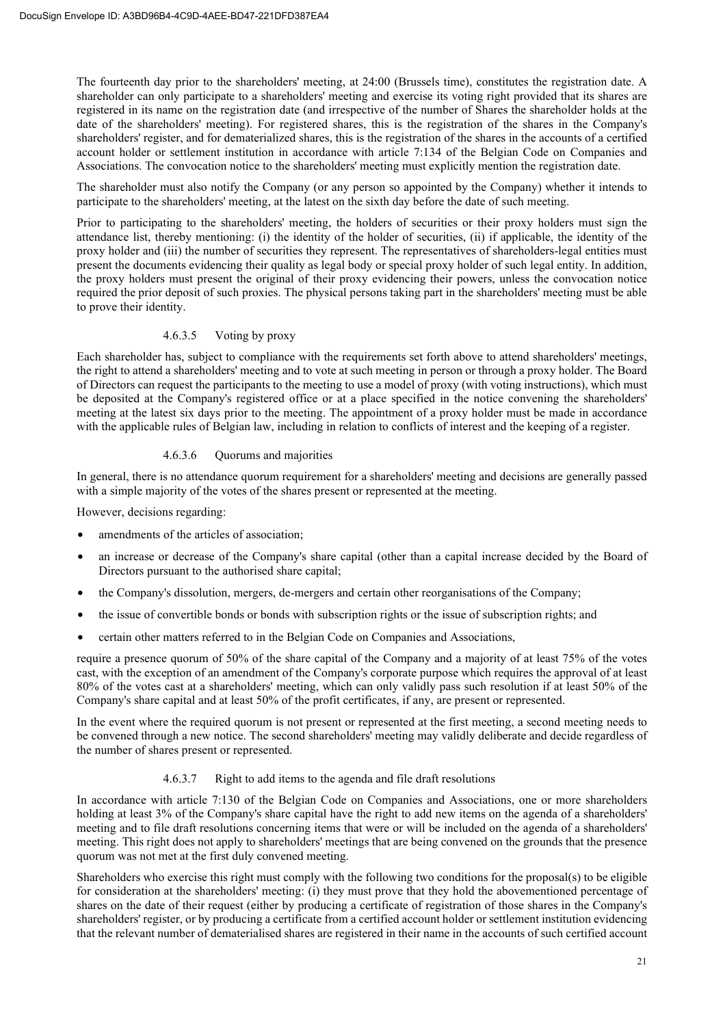The fourteenth day prior to the shareholders' meeting, at 24:00 (Brussels time), constitutes the registration date. A shareholder can only participate to a shareholders' meeting and exercise its voting right provided that its shares are registered in its name on the registration date (and irrespective of the number of Shares the shareholder holds at the date of the shareholders' meeting). For registered shares, this is the registration of the shares in the Company's shareholders' register, and for dematerialized shares, this is the registration of the shares in the accounts of a certified account holder or settlement institution in accordance with article 7:134 of the Belgian Code on Companies and Associations. The convocation notice to the shareholders' meeting must explicitly mention the registration date.

The shareholder must also notify the Company (or any person so appointed by the Company) whether it intends to participate to the shareholders' meeting, at the latest on the sixth day before the date of such meeting.

Prior to participating to the shareholders' meeting, the holders of securities or their proxy holders must sign the attendance list, thereby mentioning: (i) the identity of the holder of securities, (ii) if applicable, the identity of the proxy holder and (iii) the number of securities they represent. The representatives of shareholders-legal entities must present the documents evidencing their quality as legal body or special proxy holder of such legal entity. In addition, the proxy holders must present the original of their proxy evidencing their powers, unless the convocation notice required the prior deposit of such proxies. The physical persons taking part in the shareholders' meeting must be able to prove their identity.

# 4.6.3.5 Voting by proxy

Each shareholder has, subject to compliance with the requirements set forth above to attend shareholders' meetings, the right to attend a shareholders' meeting and to vote at such meeting in person or through a proxy holder. The Board of Directors can request the participants to the meeting to use a model of proxy (with voting instructions), which must be deposited at the Company's registered office or at a place specified in the notice convening the shareholders' meeting at the latest six days prior to the meeting. The appointment of a proxy holder must be made in accordance with the applicable rules of Belgian law, including in relation to conflicts of interest and the keeping of a register.

# 4.6.3.6 Quorums and majorities

In general, there is no attendance quorum requirement for a shareholders' meeting and decisions are generally passed with a simple majority of the votes of the shares present or represented at the meeting.

However, decisions regarding:

- amendments of the articles of association:
- an increase or decrease of the Company's share capital (other than a capital increase decided by the Board of Directors pursuant to the authorised share capital;
- the Company's dissolution, mergers, de-mergers and certain other reorganisations of the Company;
- the issue of convertible bonds or bonds with subscription rights or the issue of subscription rights; and
- certain other matters referred to in the Belgian Code on Companies and Associations,

require a presence quorum of 50% of the share capital of the Company and a majority of at least 75% of the votes cast, with the exception of an amendment of the Company's corporate purpose which requires the approval of at least 80% of the votes cast at a shareholders' meeting, which can only validly pass such resolution if at least 50% of the Company's share capital and at least 50% of the profit certificates, if any, are present or represented.

In the event where the required quorum is not present or represented at the first meeting, a second meeting needs to be convened through a new notice. The second shareholders' meeting may validly deliberate and decide regardless of the number of shares present or represented.

# 4.6.3.7 Right to add items to the agenda and file draft resolutions

In accordance with article 7:130 of the Belgian Code on Companies and Associations, one or more shareholders holding at least 3% of the Company's share capital have the right to add new items on the agenda of a shareholders' meeting and to file draft resolutions concerning items that were or will be included on the agenda of a shareholders' meeting. This right does not apply to shareholders' meetings that are being convened on the grounds that the presence quorum was not met at the first duly convened meeting.

Shareholders who exercise this right must comply with the following two conditions for the proposal(s) to be eligible for consideration at the shareholders' meeting: (i) they must prove that they hold the abovementioned percentage of shares on the date of their request (either by producing a certificate of registration of those shares in the Company's shareholders' register, or by producing a certificate from a certified account holder or settlement institution evidencing that the relevant number of dematerialised shares are registered in their name in the accounts of such certified account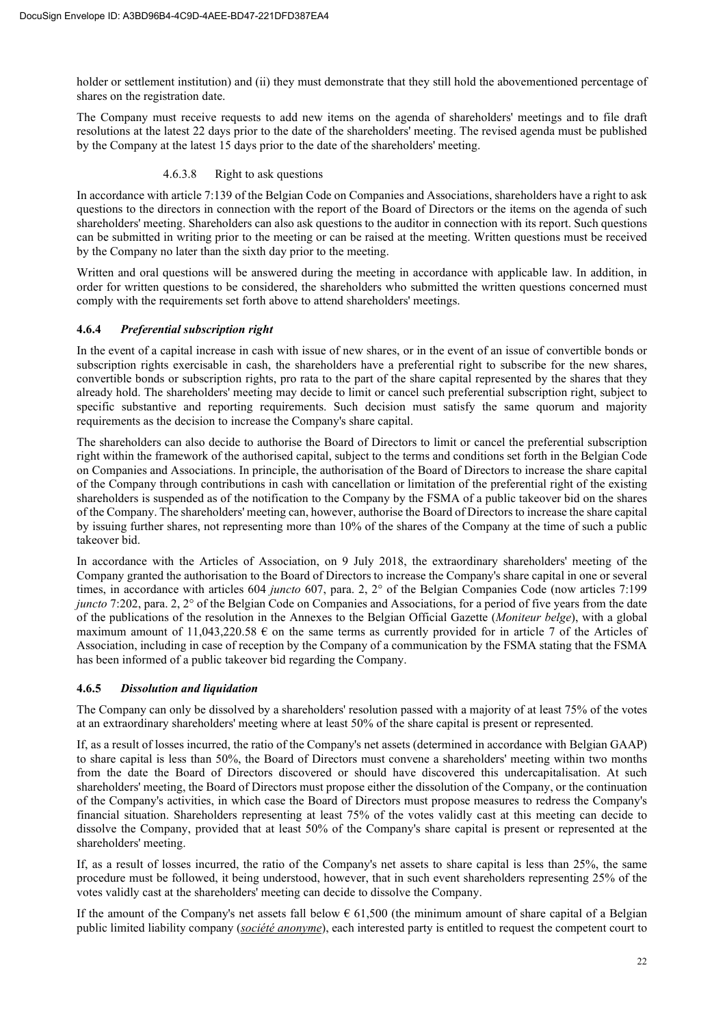holder or settlement institution) and (ii) they must demonstrate that they still hold the abovementioned percentage of shares on the registration date.

The Company must receive requests to add new items on the agenda of shareholders' meetings and to file draft resolutions at the latest 22 days prior to the date of the shareholders' meeting. The revised agenda must be published by the Company at the latest 15 days prior to the date of the shareholders' meeting.

#### 4.6.3.8 Right to ask questions

In accordance with article 7:139 of the Belgian Code on Companies and Associations, shareholders have a right to ask questions to the directors in connection with the report of the Board of Directors or the items on the agenda of such shareholders' meeting. Shareholders can also ask questions to the auditor in connection with its report. Such questions can be submitted in writing prior to the meeting or can be raised at the meeting. Written questions must be received by the Company no later than the sixth day prior to the meeting.

Written and oral questions will be answered during the meeting in accordance with applicable law. In addition, in order for written questions to be considered, the shareholders who submitted the written questions concerned must comply with the requirements set forth above to attend shareholders' meetings.

# **4.6.4** *Preferential subscription right*

In the event of a capital increase in cash with issue of new shares, or in the event of an issue of convertible bonds or subscription rights exercisable in cash, the shareholders have a preferential right to subscribe for the new shares, convertible bonds or subscription rights, pro rata to the part of the share capital represented by the shares that they already hold. The shareholders' meeting may decide to limit or cancel such preferential subscription right, subject to specific substantive and reporting requirements. Such decision must satisfy the same quorum and majority requirements as the decision to increase the Company's share capital.

The shareholders can also decide to authorise the Board of Directors to limit or cancel the preferential subscription right within the framework of the authorised capital, subject to the terms and conditions set forth in the Belgian Code on Companies and Associations. In principle, the authorisation of the Board of Directors to increase the share capital of the Company through contributions in cash with cancellation or limitation of the preferential right of the existing shareholders is suspended as of the notification to the Company by the FSMA of a public takeover bid on the shares of the Company. The shareholders' meeting can, however, authorise the Board of Directors to increase the share capital by issuing further shares, not representing more than 10% of the shares of the Company at the time of such a public takeover bid.

In accordance with the Articles of Association, on 9 July 2018, the extraordinary shareholders' meeting of the Company granted the authorisation to the Board of Directors to increase the Company's share capital in one or several times, in accordance with articles 604 *juncto* 607, para. 2, 2° of the Belgian Companies Code (now articles 7:199 *juncto* 7:202, para. 2, 2° of the Belgian Code on Companies and Associations, for a period of five years from the date of the publications of the resolution in the Annexes to the Belgian Official Gazette (*Moniteur belge*), with a global maximum amount of 11,043,220.58  $\epsilon$  on the same terms as currently provided for in article 7 of the Articles of Association, including in case of reception by the Company of a communication by the FSMA stating that the FSMA has been informed of a public takeover bid regarding the Company.

# **4.6.5** *Dissolution and liquidation*

The Company can only be dissolved by a shareholders' resolution passed with a majority of at least 75% of the votes at an extraordinary shareholders' meeting where at least 50% of the share capital is present or represented.

If, as a result of losses incurred, the ratio of the Company's net assets (determined in accordance with Belgian GAAP) to share capital is less than 50%, the Board of Directors must convene a shareholders' meeting within two months from the date the Board of Directors discovered or should have discovered this undercapitalisation. At such shareholders' meeting, the Board of Directors must propose either the dissolution of the Company, or the continuation of the Company's activities, in which case the Board of Directors must propose measures to redress the Company's financial situation. Shareholders representing at least 75% of the votes validly cast at this meeting can decide to dissolve the Company, provided that at least 50% of the Company's share capital is present or represented at the shareholders' meeting.

If, as a result of losses incurred, the ratio of the Company's net assets to share capital is less than 25%, the same procedure must be followed, it being understood, however, that in such event shareholders representing 25% of the votes validly cast at the shareholders' meeting can decide to dissolve the Company.

If the amount of the Company's net assets fall below  $\epsilon$  61,500 (the minimum amount of share capital of a Belgian public limited liability company (*société anonyme*), each interested party is entitled to request the competent court to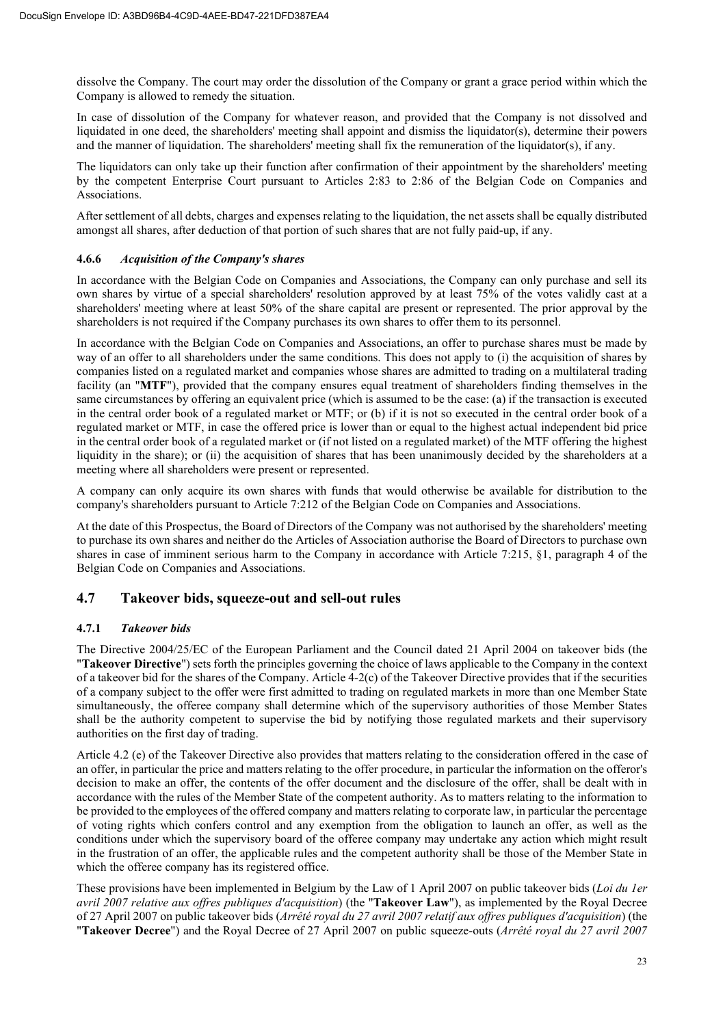dissolve the Company. The court may order the dissolution of the Company or grant a grace period within which the Company is allowed to remedy the situation.

In case of dissolution of the Company for whatever reason, and provided that the Company is not dissolved and liquidated in one deed, the shareholders' meeting shall appoint and dismiss the liquidator(s), determine their powers and the manner of liquidation. The shareholders' meeting shall fix the remuneration of the liquidator(s), if any.

The liquidators can only take up their function after confirmation of their appointment by the shareholders' meeting by the competent Enterprise Court pursuant to Articles 2:83 to 2:86 of the Belgian Code on Companies and Associations.

After settlement of all debts, charges and expenses relating to the liquidation, the net assets shall be equally distributed amongst all shares, after deduction of that portion of such shares that are not fully paid-up, if any.

# **4.6.6** *Acquisition of the Company's shares*

In accordance with the Belgian Code on Companies and Associations, the Company can only purchase and sell its own shares by virtue of a special shareholders' resolution approved by at least 75% of the votes validly cast at a shareholders' meeting where at least 50% of the share capital are present or represented. The prior approval by the shareholders is not required if the Company purchases its own shares to offer them to its personnel.

In accordance with the Belgian Code on Companies and Associations, an offer to purchase shares must be made by way of an offer to all shareholders under the same conditions. This does not apply to (i) the acquisition of shares by companies listed on a regulated market and companies whose shares are admitted to trading on a multilateral trading facility (an "**MTF**"), provided that the company ensures equal treatment of shareholders finding themselves in the same circumstances by offering an equivalent price (which is assumed to be the case: (a) if the transaction is executed in the central order book of a regulated market or MTF; or (b) if it is not so executed in the central order book of a regulated market or MTF, in case the offered price is lower than or equal to the highest actual independent bid price in the central order book of a regulated market or (if not listed on a regulated market) of the MTF offering the highest liquidity in the share); or (ii) the acquisition of shares that has been unanimously decided by the shareholders at a meeting where all shareholders were present or represented.

A company can only acquire its own shares with funds that would otherwise be available for distribution to the company's shareholders pursuant to Article 7:212 of the Belgian Code on Companies and Associations.

At the date of this Prospectus, the Board of Directors of the Company was not authorised by the shareholders' meeting to purchase its own shares and neither do the Articles of Association authorise the Board of Directors to purchase own shares in case of imminent serious harm to the Company in accordance with Article 7:215, §1, paragraph 4 of the Belgian Code on Companies and Associations.

# **4.7 Takeover bids, squeeze-out and sell-out rules**

# **4.7.1** *Takeover bids*

The Directive 2004/25/EC of the European Parliament and the Council dated 21 April 2004 on takeover bids (the "**Takeover Directive**") sets forth the principles governing the choice of laws applicable to the Company in the context of a takeover bid for the shares of the Company. Article 4-2(c) of the Takeover Directive provides that if the securities of a company subject to the offer were first admitted to trading on regulated markets in more than one Member State simultaneously, the offeree company shall determine which of the supervisory authorities of those Member States shall be the authority competent to supervise the bid by notifying those regulated markets and their supervisory authorities on the first day of trading.

Article 4.2 (e) of the Takeover Directive also provides that matters relating to the consideration offered in the case of an offer, in particular the price and matters relating to the offer procedure, in particular the information on the offeror's decision to make an offer, the contents of the offer document and the disclosure of the offer, shall be dealt with in accordance with the rules of the Member State of the competent authority. As to matters relating to the information to be provided to the employees of the offered company and matters relating to corporate law, in particular the percentage of voting rights which confers control and any exemption from the obligation to launch an offer, as well as the conditions under which the supervisory board of the offeree company may undertake any action which might result in the frustration of an offer, the applicable rules and the competent authority shall be those of the Member State in which the offeree company has its registered office.

These provisions have been implemented in Belgium by the Law of 1 April 2007 on public takeover bids (*Loi du 1er avril 2007 relative aux offres publiques d'acquisition*) (the "**Takeover Law**"), as implemented by the Royal Decree of 27 April 2007 on public takeover bids (*Arrêté royal du 27 avril 2007 relatif aux offres publiques d'acquisition*) (the "**Takeover Decree**") and the Royal Decree of 27 April 2007 on public squeeze-outs (*Arrêté royal du 27 avril 2007*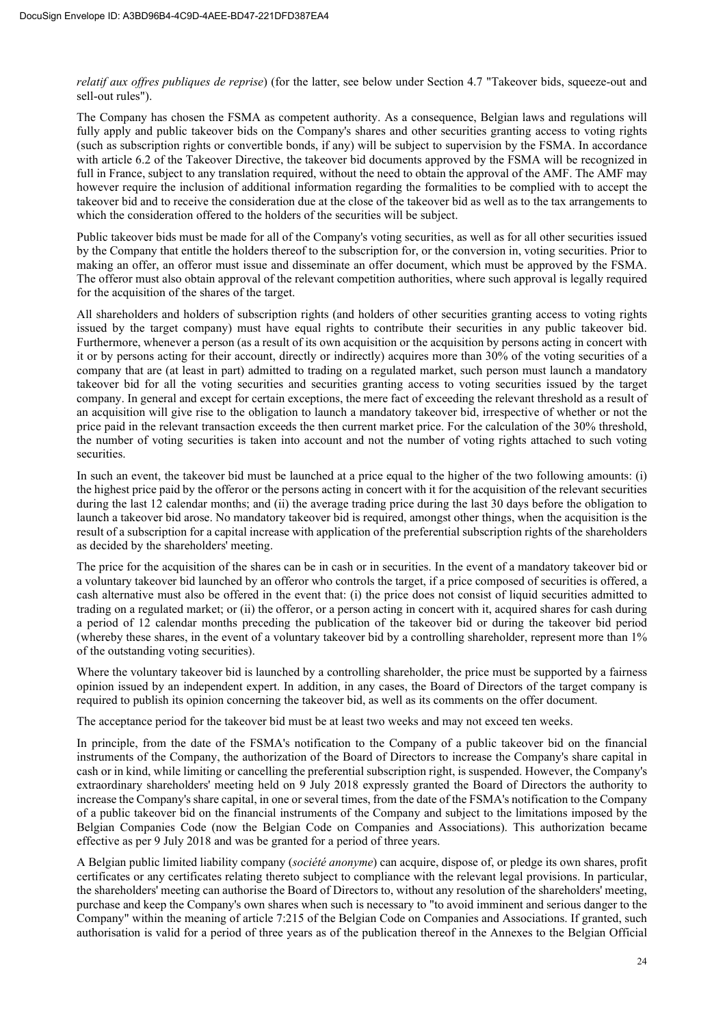*relatif aux offres publiques de reprise*) (for the latter, see below under Section 4.7 "Takeover bids, squeeze-out and sell-out rules").

The Company has chosen the FSMA as competent authority. As a consequence, Belgian laws and regulations will fully apply and public takeover bids on the Company's shares and other securities granting access to voting rights (such as subscription rights or convertible bonds, if any) will be subject to supervision by the FSMA. In accordance with article 6.2 of the Takeover Directive, the takeover bid documents approved by the FSMA will be recognized in full in France, subject to any translation required, without the need to obtain the approval of the AMF. The AMF may however require the inclusion of additional information regarding the formalities to be complied with to accept the takeover bid and to receive the consideration due at the close of the takeover bid as well as to the tax arrangements to which the consideration offered to the holders of the securities will be subject.

Public takeover bids must be made for all of the Company's voting securities, as well as for all other securities issued by the Company that entitle the holders thereof to the subscription for, or the conversion in, voting securities. Prior to making an offer, an offeror must issue and disseminate an offer document, which must be approved by the FSMA. The offeror must also obtain approval of the relevant competition authorities, where such approval is legally required for the acquisition of the shares of the target.

All shareholders and holders of subscription rights (and holders of other securities granting access to voting rights issued by the target company) must have equal rights to contribute their securities in any public takeover bid. Furthermore, whenever a person (as a result of its own acquisition or the acquisition by persons acting in concert with it or by persons acting for their account, directly or indirectly) acquires more than 30% of the voting securities of a company that are (at least in part) admitted to trading on a regulated market, such person must launch a mandatory takeover bid for all the voting securities and securities granting access to voting securities issued by the target company. In general and except for certain exceptions, the mere fact of exceeding the relevant threshold as a result of an acquisition will give rise to the obligation to launch a mandatory takeover bid, irrespective of whether or not the price paid in the relevant transaction exceeds the then current market price. For the calculation of the 30% threshold, the number of voting securities is taken into account and not the number of voting rights attached to such voting securities.

In such an event, the takeover bid must be launched at a price equal to the higher of the two following amounts: (i) the highest price paid by the offeror or the persons acting in concert with it for the acquisition of the relevant securities during the last 12 calendar months; and (ii) the average trading price during the last 30 days before the obligation to launch a takeover bid arose. No mandatory takeover bid is required, amongst other things, when the acquisition is the result of a subscription for a capital increase with application of the preferential subscription rights of the shareholders as decided by the shareholders' meeting.

The price for the acquisition of the shares can be in cash or in securities. In the event of a mandatory takeover bid or a voluntary takeover bid launched by an offeror who controls the target, if a price composed of securities is offered, a cash alternative must also be offered in the event that: (i) the price does not consist of liquid securities admitted to trading on a regulated market; or (ii) the offeror, or a person acting in concert with it, acquired shares for cash during a period of 12 calendar months preceding the publication of the takeover bid or during the takeover bid period (whereby these shares, in the event of a voluntary takeover bid by a controlling shareholder, represent more than 1% of the outstanding voting securities).

Where the voluntary takeover bid is launched by a controlling shareholder, the price must be supported by a fairness opinion issued by an independent expert. In addition, in any cases, the Board of Directors of the target company is required to publish its opinion concerning the takeover bid, as well as its comments on the offer document.

The acceptance period for the takeover bid must be at least two weeks and may not exceed ten weeks.

In principle, from the date of the FSMA's notification to the Company of a public takeover bid on the financial instruments of the Company, the authorization of the Board of Directors to increase the Company's share capital in cash or in kind, while limiting or cancelling the preferential subscription right, is suspended. However, the Company's extraordinary shareholders' meeting held on 9 July 2018 expressly granted the Board of Directors the authority to increase the Company's share capital, in one or several times, from the date of the FSMA's notification to the Company of a public takeover bid on the financial instruments of the Company and subject to the limitations imposed by the Belgian Companies Code (now the Belgian Code on Companies and Associations). This authorization became effective as per 9 July 2018 and was be granted for a period of three years.

A Belgian public limited liability company (*société anonyme*) can acquire, dispose of, or pledge its own shares, profit certificates or any certificates relating thereto subject to compliance with the relevant legal provisions. In particular, the shareholders' meeting can authorise the Board of Directors to, without any resolution of the shareholders' meeting, purchase and keep the Company's own shares when such is necessary to "to avoid imminent and serious danger to the Company" within the meaning of article 7:215 of the Belgian Code on Companies and Associations. If granted, such authorisation is valid for a period of three years as of the publication thereof in the Annexes to the Belgian Official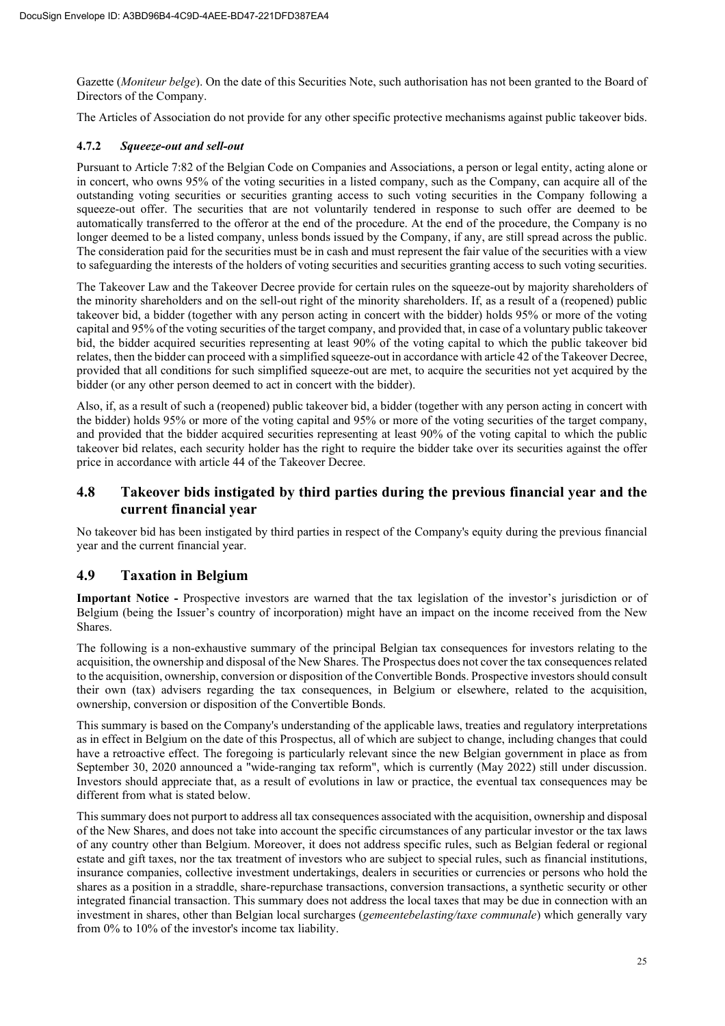Gazette (*Moniteur belge*). On the date of this Securities Note, such authorisation has not been granted to the Board of Directors of the Company.

The Articles of Association do not provide for any other specific protective mechanisms against public takeover bids.

# **4.7.2** *Squeeze-out and sell-out*

Pursuant to Article 7:82 of the Belgian Code on Companies and Associations, a person or legal entity, acting alone or in concert, who owns 95% of the voting securities in a listed company, such as the Company, can acquire all of the outstanding voting securities or securities granting access to such voting securities in the Company following a squeeze-out offer. The securities that are not voluntarily tendered in response to such offer are deemed to be automatically transferred to the offeror at the end of the procedure. At the end of the procedure, the Company is no longer deemed to be a listed company, unless bonds issued by the Company, if any, are still spread across the public. The consideration paid for the securities must be in cash and must represent the fair value of the securities with a view to safeguarding the interests of the holders of voting securities and securities granting access to such voting securities.

The Takeover Law and the Takeover Decree provide for certain rules on the squeeze-out by majority shareholders of the minority shareholders and on the sell-out right of the minority shareholders. If, as a result of a (reopened) public takeover bid, a bidder (together with any person acting in concert with the bidder) holds 95% or more of the voting capital and 95% of the voting securities of the target company, and provided that, in case of a voluntary public takeover bid, the bidder acquired securities representing at least 90% of the voting capital to which the public takeover bid relates, then the bidder can proceed with a simplified squeeze-out in accordance with article 42 of the Takeover Decree, provided that all conditions for such simplified squeeze-out are met, to acquire the securities not yet acquired by the bidder (or any other person deemed to act in concert with the bidder).

Also, if, as a result of such a (reopened) public takeover bid, a bidder (together with any person acting in concert with the bidder) holds 95% or more of the voting capital and 95% or more of the voting securities of the target company, and provided that the bidder acquired securities representing at least 90% of the voting capital to which the public takeover bid relates, each security holder has the right to require the bidder take over its securities against the offer price in accordance with article 44 of the Takeover Decree.

# **4.8 Takeover bids instigated by third parties during the previous financial year and the current financial year**

No takeover bid has been instigated by third parties in respect of the Company's equity during the previous financial year and the current financial year.

# **4.9 Taxation in Belgium**

**Important Notice -** Prospective investors are warned that the tax legislation of the investor's jurisdiction or of Belgium (being the Issuer's country of incorporation) might have an impact on the income received from the New Shares.

The following is a non-exhaustive summary of the principal Belgian tax consequences for investors relating to the acquisition, the ownership and disposal of the New Shares. The Prospectus does not cover the tax consequences related to the acquisition, ownership, conversion or disposition of the Convertible Bonds. Prospective investors should consult their own (tax) advisers regarding the tax consequences, in Belgium or elsewhere, related to the acquisition, ownership, conversion or disposition of the Convertible Bonds.

This summary is based on the Company's understanding of the applicable laws, treaties and regulatory interpretations as in effect in Belgium on the date of this Prospectus, all of which are subject to change, including changes that could have a retroactive effect. The foregoing is particularly relevant since the new Belgian government in place as from September 30, 2020 announced a "wide-ranging tax reform", which is currently (May 2022) still under discussion. Investors should appreciate that, as a result of evolutions in law or practice, the eventual tax consequences may be different from what is stated below.

This summary does not purport to address all tax consequences associated with the acquisition, ownership and disposal of the New Shares, and does not take into account the specific circumstances of any particular investor or the tax laws of any country other than Belgium. Moreover, it does not address specific rules, such as Belgian federal or regional estate and gift taxes, nor the tax treatment of investors who are subject to special rules, such as financial institutions, insurance companies, collective investment undertakings, dealers in securities or currencies or persons who hold the shares as a position in a straddle, share-repurchase transactions, conversion transactions, a synthetic security or other integrated financial transaction. This summary does not address the local taxes that may be due in connection with an investment in shares, other than Belgian local surcharges (*gemeentebelasting/taxe communale*) which generally vary from 0% to 10% of the investor's income tax liability.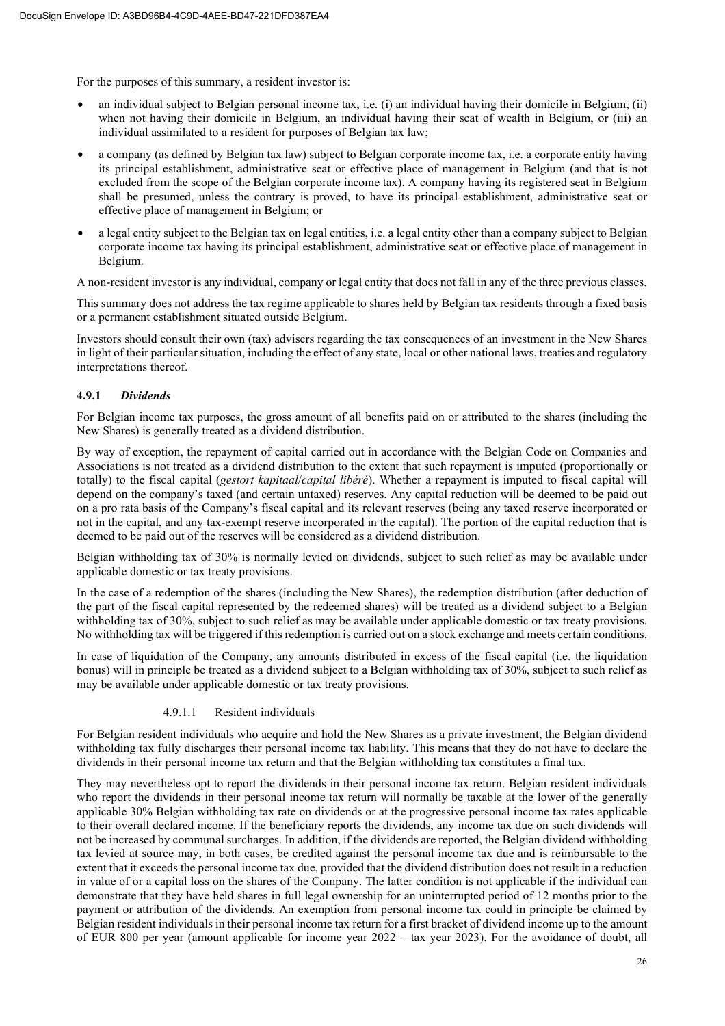For the purposes of this summary, a resident investor is:

- an individual subject to Belgian personal income tax, i.e. (i) an individual having their domicile in Belgium, (ii) when not having their domicile in Belgium, an individual having their seat of wealth in Belgium, or (iii) an individual assimilated to a resident for purposes of Belgian tax law;
- a company (as defined by Belgian tax law) subject to Belgian corporate income tax, i.e. a corporate entity having its principal establishment, administrative seat or effective place of management in Belgium (and that is not excluded from the scope of the Belgian corporate income tax). A company having its registered seat in Belgium shall be presumed, unless the contrary is proved, to have its principal establishment, administrative seat or effective place of management in Belgium; or
- a legal entity subject to the Belgian tax on legal entities, i.e. a legal entity other than a company subject to Belgian corporate income tax having its principal establishment, administrative seat or effective place of management in Belgium.

A non-resident investor is any individual, company or legal entity that does not fall in any of the three previous classes.

This summary does not address the tax regime applicable to shares held by Belgian tax residents through a fixed basis or a permanent establishment situated outside Belgium.

Investors should consult their own (tax) advisers regarding the tax consequences of an investment in the New Shares in light of their particular situation, including the effect of any state, local or other national laws, treaties and regulatory interpretations thereof.

# **4.9.1** *Dividends*

For Belgian income tax purposes, the gross amount of all benefits paid on or attributed to the shares (including the New Shares) is generally treated as a dividend distribution.

By way of exception, the repayment of capital carried out in accordance with the Belgian Code on Companies and Associations is not treated as a dividend distribution to the extent that such repayment is imputed (proportionally or totally) to the fiscal capital (*gestort kapitaal*/*capital libéré*). Whether a repayment is imputed to fiscal capital will depend on the company's taxed (and certain untaxed) reserves. Any capital reduction will be deemed to be paid out on a pro rata basis of the Company's fiscal capital and its relevant reserves (being any taxed reserve incorporated or not in the capital, and any tax-exempt reserve incorporated in the capital). The portion of the capital reduction that is deemed to be paid out of the reserves will be considered as a dividend distribution.

Belgian withholding tax of 30% is normally levied on dividends, subject to such relief as may be available under applicable domestic or tax treaty provisions.

In the case of a redemption of the shares (including the New Shares), the redemption distribution (after deduction of the part of the fiscal capital represented by the redeemed shares) will be treated as a dividend subject to a Belgian withholding tax of 30%, subject to such relief as may be available under applicable domestic or tax treaty provisions. No withholding tax will be triggered if this redemption is carried out on a stock exchange and meets certain conditions.

In case of liquidation of the Company, any amounts distributed in excess of the fiscal capital (i.e. the liquidation bonus) will in principle be treated as a dividend subject to a Belgian withholding tax of 30%, subject to such relief as may be available under applicable domestic or tax treaty provisions.

# 4.9.1.1 Resident individuals

For Belgian resident individuals who acquire and hold the New Shares as a private investment, the Belgian dividend withholding tax fully discharges their personal income tax liability. This means that they do not have to declare the dividends in their personal income tax return and that the Belgian withholding tax constitutes a final tax.

They may nevertheless opt to report the dividends in their personal income tax return. Belgian resident individuals who report the dividends in their personal income tax return will normally be taxable at the lower of the generally applicable 30% Belgian withholding tax rate on dividends or at the progressive personal income tax rates applicable to their overall declared income. If the beneficiary reports the dividends, any income tax due on such dividends will not be increased by communal surcharges. In addition, if the dividends are reported, the Belgian dividend withholding tax levied at source may, in both cases, be credited against the personal income tax due and is reimbursable to the extent that it exceeds the personal income tax due, provided that the dividend distribution does not result in a reduction in value of or a capital loss on the shares of the Company. The latter condition is not applicable if the individual can demonstrate that they have held shares in full legal ownership for an uninterrupted period of 12 months prior to the payment or attribution of the dividends. An exemption from personal income tax could in principle be claimed by Belgian resident individuals in their personal income tax return for a first bracket of dividend income up to the amount of EUR 800 per year (amount applicable for income year 2022 – tax year 2023). For the avoidance of doubt, all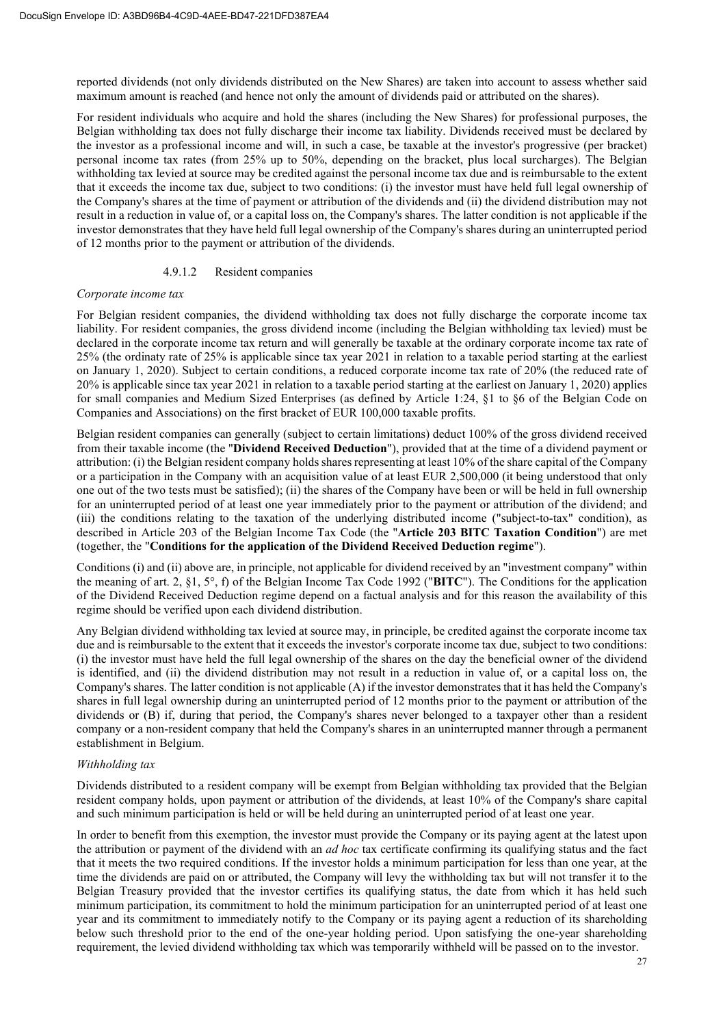reported dividends (not only dividends distributed on the New Shares) are taken into account to assess whether said maximum amount is reached (and hence not only the amount of dividends paid or attributed on the shares).

For resident individuals who acquire and hold the shares (including the New Shares) for professional purposes, the Belgian withholding tax does not fully discharge their income tax liability. Dividends received must be declared by the investor as a professional income and will, in such a case, be taxable at the investor's progressive (per bracket) personal income tax rates (from 25% up to 50%, depending on the bracket, plus local surcharges). The Belgian withholding tax levied at source may be credited against the personal income tax due and is reimbursable to the extent that it exceeds the income tax due, subject to two conditions: (i) the investor must have held full legal ownership of the Company's shares at the time of payment or attribution of the dividends and (ii) the dividend distribution may not result in a reduction in value of, or a capital loss on, the Company's shares. The latter condition is not applicable if the investor demonstrates that they have held full legal ownership of the Company's shares during an uninterrupted period of 12 months prior to the payment or attribution of the dividends.

#### 4.9.1.2 Resident companies

#### *Corporate income tax*

For Belgian resident companies, the dividend withholding tax does not fully discharge the corporate income tax liability. For resident companies, the gross dividend income (including the Belgian withholding tax levied) must be declared in the corporate income tax return and will generally be taxable at the ordinary corporate income tax rate of 25% (the ordinaty rate of 25% is applicable since tax year 2021 in relation to a taxable period starting at the earliest on January 1, 2020). Subject to certain conditions, a reduced corporate income tax rate of 20% (the reduced rate of 20% is applicable since tax year 2021 in relation to a taxable period starting at the earliest on January 1, 2020) applies for small companies and Medium Sized Enterprises (as defined by Article 1:24, §1 to §6 of the Belgian Code on Companies and Associations) on the first bracket of EUR 100,000 taxable profits.

Belgian resident companies can generally (subject to certain limitations) deduct 100% of the gross dividend received from their taxable income (the "**Dividend Received Deduction**"), provided that at the time of a dividend payment or attribution: (i) the Belgian resident company holds shares representing at least 10% of the share capital of the Company or a participation in the Company with an acquisition value of at least EUR 2,500,000 (it being understood that only one out of the two tests must be satisfied); (ii) the shares of the Company have been or will be held in full ownership for an uninterrupted period of at least one year immediately prior to the payment or attribution of the dividend; and (iii) the conditions relating to the taxation of the underlying distributed income ("subject-to-tax" condition), as described in Article 203 of the Belgian Income Tax Code (the "**Article 203 BITC Taxation Condition**") are met (together, the "**Conditions for the application of the Dividend Received Deduction regime**").

Conditions (i) and (ii) above are, in principle, not applicable for dividend received by an "investment company" within the meaning of art. 2, §1, 5°, f) of the Belgian Income Tax Code 1992 ("**BITC**"). The Conditions for the application of the Dividend Received Deduction regime depend on a factual analysis and for this reason the availability of this regime should be verified upon each dividend distribution.

Any Belgian dividend withholding tax levied at source may, in principle, be credited against the corporate income tax due and is reimbursable to the extent that it exceeds the investor's corporate income tax due, subject to two conditions: (i) the investor must have held the full legal ownership of the shares on the day the beneficial owner of the dividend is identified, and (ii) the dividend distribution may not result in a reduction in value of, or a capital loss on, the Company's shares. The latter condition is not applicable (A) if the investor demonstrates that it has held the Company's shares in full legal ownership during an uninterrupted period of 12 months prior to the payment or attribution of the dividends or (B) if, during that period, the Company's shares never belonged to a taxpayer other than a resident company or a non-resident company that held the Company's shares in an uninterrupted manner through a permanent establishment in Belgium.

#### *Withholding tax*

Dividends distributed to a resident company will be exempt from Belgian withholding tax provided that the Belgian resident company holds, upon payment or attribution of the dividends, at least 10% of the Company's share capital and such minimum participation is held or will be held during an uninterrupted period of at least one year.

In order to benefit from this exemption, the investor must provide the Company or its paying agent at the latest upon the attribution or payment of the dividend with an *ad hoc* tax certificate confirming its qualifying status and the fact that it meets the two required conditions. If the investor holds a minimum participation for less than one year, at the time the dividends are paid on or attributed, the Company will levy the withholding tax but will not transfer it to the Belgian Treasury provided that the investor certifies its qualifying status, the date from which it has held such minimum participation, its commitment to hold the minimum participation for an uninterrupted period of at least one year and its commitment to immediately notify to the Company or its paying agent a reduction of its shareholding below such threshold prior to the end of the one-year holding period. Upon satisfying the one-year shareholding requirement, the levied dividend withholding tax which was temporarily withheld will be passed on to the investor.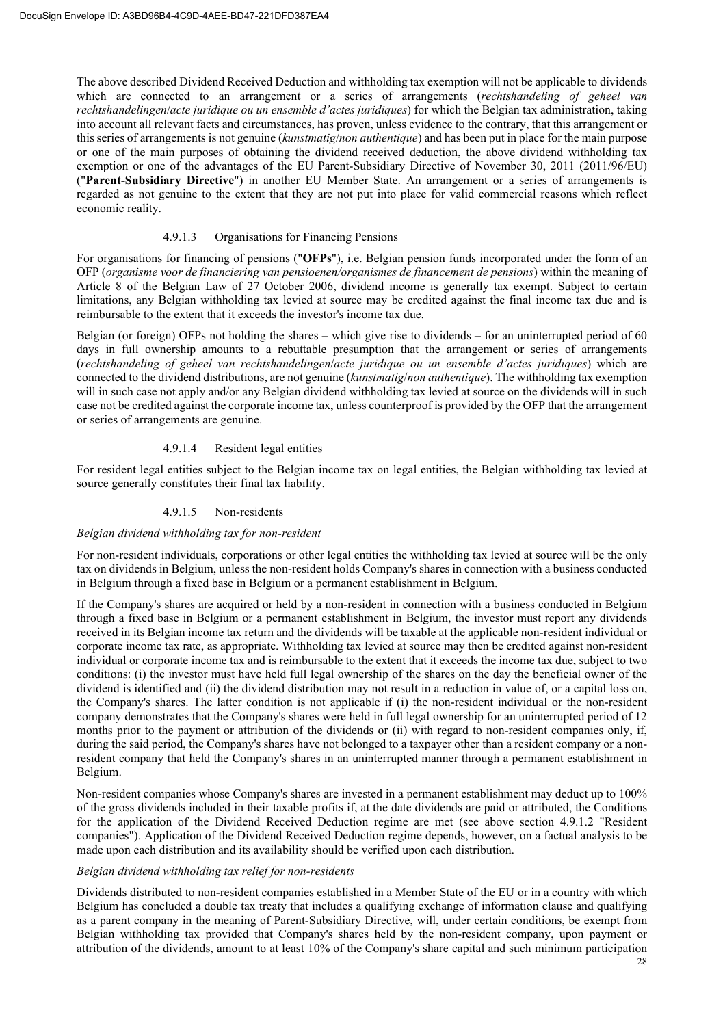The above described Dividend Received Deduction and withholding tax exemption will not be applicable to dividends which are connected to an arrangement or a series of arrangements (*rechtshandeling of geheel van rechtshandelingen*/*acte juridique ou un ensemble d'actes juridiques*) for which the Belgian tax administration, taking into account all relevant facts and circumstances, has proven, unless evidence to the contrary, that this arrangement or this series of arrangements is not genuine (*kunstmatig*/*non authentique*) and has been put in place for the main purpose or one of the main purposes of obtaining the dividend received deduction, the above dividend withholding tax exemption or one of the advantages of the EU Parent-Subsidiary Directive of November 30, 2011 (2011/96/EU) ("**Parent-Subsidiary Directive**") in another EU Member State. An arrangement or a series of arrangements is regarded as not genuine to the extent that they are not put into place for valid commercial reasons which reflect economic reality.

#### 4.9.1.3 Organisations for Financing Pensions

For organisations for financing of pensions ("**OFPs**"), i.e. Belgian pension funds incorporated under the form of an OFP (*organisme voor de financiering van pensioenen/organismes de financement de pensions*) within the meaning of Article 8 of the Belgian Law of 27 October 2006, dividend income is generally tax exempt. Subject to certain limitations, any Belgian withholding tax levied at source may be credited against the final income tax due and is reimbursable to the extent that it exceeds the investor's income tax due.

Belgian (or foreign) OFPs not holding the shares – which give rise to dividends – for an uninterrupted period of 60 days in full ownership amounts to a rebuttable presumption that the arrangement or series of arrangements (*rechtshandeling of geheel van rechtshandelingen*/*acte juridique ou un ensemble d'actes juridiques*) which are connected to the dividend distributions, are not genuine (*kunstmatig*/*non authentique*). The withholding tax exemption will in such case not apply and/or any Belgian dividend withholding tax levied at source on the dividends will in such case not be credited against the corporate income tax, unless counterproof is provided by the OFP that the arrangement or series of arrangements are genuine.

#### 4.9.1.4 Resident legal entities

For resident legal entities subject to the Belgian income tax on legal entities, the Belgian withholding tax levied at source generally constitutes their final tax liability.

#### 4.9.1.5 Non-residents

#### *Belgian dividend withholding tax for non-resident*

For non-resident individuals, corporations or other legal entities the withholding tax levied at source will be the only tax on dividends in Belgium, unless the non-resident holds Company's shares in connection with a business conducted in Belgium through a fixed base in Belgium or a permanent establishment in Belgium.

If the Company's shares are acquired or held by a non-resident in connection with a business conducted in Belgium through a fixed base in Belgium or a permanent establishment in Belgium, the investor must report any dividends received in its Belgian income tax return and the dividends will be taxable at the applicable non-resident individual or corporate income tax rate, as appropriate. Withholding tax levied at source may then be credited against non-resident individual or corporate income tax and is reimbursable to the extent that it exceeds the income tax due, subject to two conditions: (i) the investor must have held full legal ownership of the shares on the day the beneficial owner of the dividend is identified and (ii) the dividend distribution may not result in a reduction in value of, or a capital loss on, the Company's shares. The latter condition is not applicable if (i) the non-resident individual or the non-resident company demonstrates that the Company's shares were held in full legal ownership for an uninterrupted period of 12 months prior to the payment or attribution of the dividends or (ii) with regard to non-resident companies only, if, during the said period, the Company's shares have not belonged to a taxpayer other than a resident company or a nonresident company that held the Company's shares in an uninterrupted manner through a permanent establishment in Belgium.

Non-resident companies whose Company's shares are invested in a permanent establishment may deduct up to 100% of the gross dividends included in their taxable profits if, at the date dividends are paid or attributed, the Conditions for the application of the Dividend Received Deduction regime are met (see above section 4.9.1.2 "Resident companies"). Application of the Dividend Received Deduction regime depends, however, on a factual analysis to be made upon each distribution and its availability should be verified upon each distribution.

#### *Belgian dividend withholding tax relief for non-residents*

Dividends distributed to non-resident companies established in a Member State of the EU or in a country with which Belgium has concluded a double tax treaty that includes a qualifying exchange of information clause and qualifying as a parent company in the meaning of Parent-Subsidiary Directive, will, under certain conditions, be exempt from Belgian withholding tax provided that Company's shares held by the non-resident company, upon payment or attribution of the dividends, amount to at least 10% of the Company's share capital and such minimum participation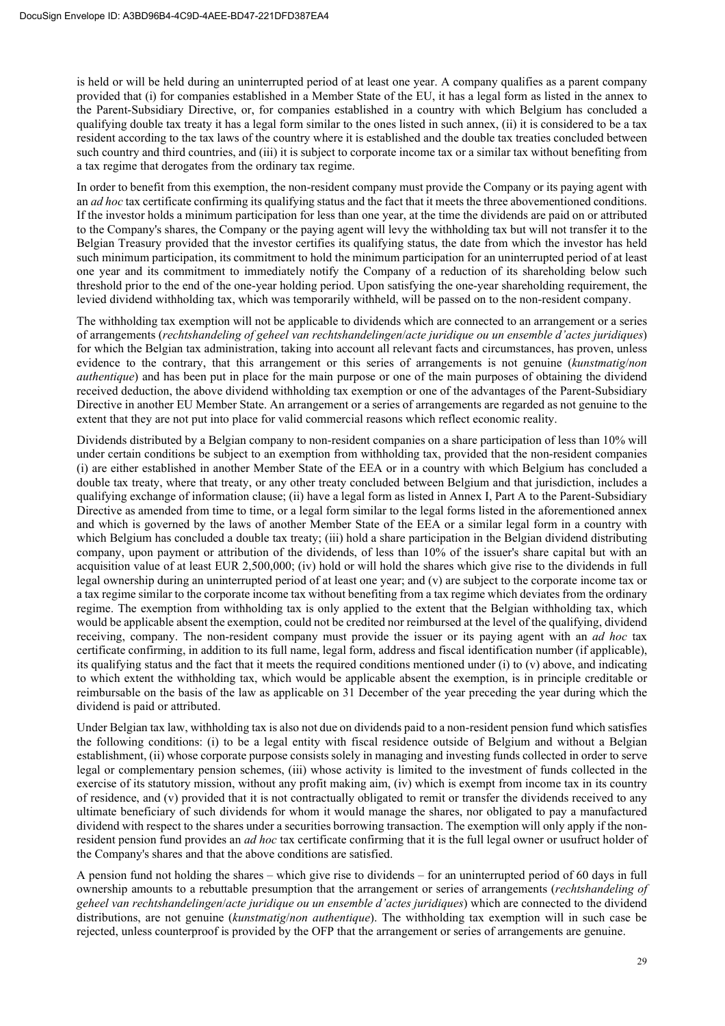is held or will be held during an uninterrupted period of at least one year. A company qualifies as a parent company provided that (i) for companies established in a Member State of the EU, it has a legal form as listed in the annex to the Parent-Subsidiary Directive, or, for companies established in a country with which Belgium has concluded a qualifying double tax treaty it has a legal form similar to the ones listed in such annex, (ii) it is considered to be a tax resident according to the tax laws of the country where it is established and the double tax treaties concluded between such country and third countries, and (iii) it is subject to corporate income tax or a similar tax without benefiting from a tax regime that derogates from the ordinary tax regime.

In order to benefit from this exemption, the non-resident company must provide the Company or its paying agent with an *ad hoc* tax certificate confirming its qualifying status and the fact that it meets the three abovementioned conditions. If the investor holds a minimum participation for less than one year, at the time the dividends are paid on or attributed to the Company's shares, the Company or the paying agent will levy the withholding tax but will not transfer it to the Belgian Treasury provided that the investor certifies its qualifying status, the date from which the investor has held such minimum participation, its commitment to hold the minimum participation for an uninterrupted period of at least one year and its commitment to immediately notify the Company of a reduction of its shareholding below such threshold prior to the end of the one-year holding period. Upon satisfying the one-year shareholding requirement, the levied dividend withholding tax, which was temporarily withheld, will be passed on to the non-resident company.

The withholding tax exemption will not be applicable to dividends which are connected to an arrangement or a series of arrangements (*rechtshandeling of geheel van rechtshandelingen*/*acte juridique ou un ensemble d'actes juridiques*) for which the Belgian tax administration, taking into account all relevant facts and circumstances, has proven, unless evidence to the contrary, that this arrangement or this series of arrangements is not genuine (*kunstmatig*/*non authentique*) and has been put in place for the main purpose or one of the main purposes of obtaining the dividend received deduction, the above dividend withholding tax exemption or one of the advantages of the Parent-Subsidiary Directive in another EU Member State. An arrangement or a series of arrangements are regarded as not genuine to the extent that they are not put into place for valid commercial reasons which reflect economic reality.

Dividends distributed by a Belgian company to non-resident companies on a share participation of less than 10% will under certain conditions be subject to an exemption from withholding tax, provided that the non-resident companies (i) are either established in another Member State of the EEA or in a country with which Belgium has concluded a double tax treaty, where that treaty, or any other treaty concluded between Belgium and that jurisdiction, includes a qualifying exchange of information clause; (ii) have a legal form as listed in Annex I, Part A to the Parent-Subsidiary Directive as amended from time to time, or a legal form similar to the legal forms listed in the aforementioned annex and which is governed by the laws of another Member State of the EEA or a similar legal form in a country with which Belgium has concluded a double tax treaty; (iii) hold a share participation in the Belgian dividend distributing company, upon payment or attribution of the dividends, of less than 10% of the issuer's share capital but with an acquisition value of at least EUR 2,500,000; (iv) hold or will hold the shares which give rise to the dividends in full legal ownership during an uninterrupted period of at least one year; and (v) are subject to the corporate income tax or a tax regime similar to the corporate income tax without benefiting from a tax regime which deviates from the ordinary regime. The exemption from withholding tax is only applied to the extent that the Belgian withholding tax, which would be applicable absent the exemption, could not be credited nor reimbursed at the level of the qualifying, dividend receiving, company. The non-resident company must provide the issuer or its paying agent with an *ad hoc* tax certificate confirming, in addition to its full name, legal form, address and fiscal identification number (if applicable), its qualifying status and the fact that it meets the required conditions mentioned under (i) to  $(v)$  above, and indicating to which extent the withholding tax, which would be applicable absent the exemption, is in principle creditable or reimbursable on the basis of the law as applicable on 31 December of the year preceding the year during which the dividend is paid or attributed.

Under Belgian tax law, withholding tax is also not due on dividends paid to a non-resident pension fund which satisfies the following conditions: (i) to be a legal entity with fiscal residence outside of Belgium and without a Belgian establishment, (ii) whose corporate purpose consists solely in managing and investing funds collected in order to serve legal or complementary pension schemes, (iii) whose activity is limited to the investment of funds collected in the exercise of its statutory mission, without any profit making aim, (iv) which is exempt from income tax in its country of residence, and (v) provided that it is not contractually obligated to remit or transfer the dividends received to any ultimate beneficiary of such dividends for whom it would manage the shares, nor obligated to pay a manufactured dividend with respect to the shares under a securities borrowing transaction. The exemption will only apply if the nonresident pension fund provides an *ad hoc* tax certificate confirming that it is the full legal owner or usufruct holder of the Company's shares and that the above conditions are satisfied.

A pension fund not holding the shares – which give rise to dividends – for an uninterrupted period of 60 days in full ownership amounts to a rebuttable presumption that the arrangement or series of arrangements (*rechtshandeling of geheel van rechtshandelingen*/*acte juridique ou un ensemble d'actes juridiques*) which are connected to the dividend distributions, are not genuine (*kunstmatig*/*non authentique*). The withholding tax exemption will in such case be rejected, unless counterproof is provided by the OFP that the arrangement or series of arrangements are genuine.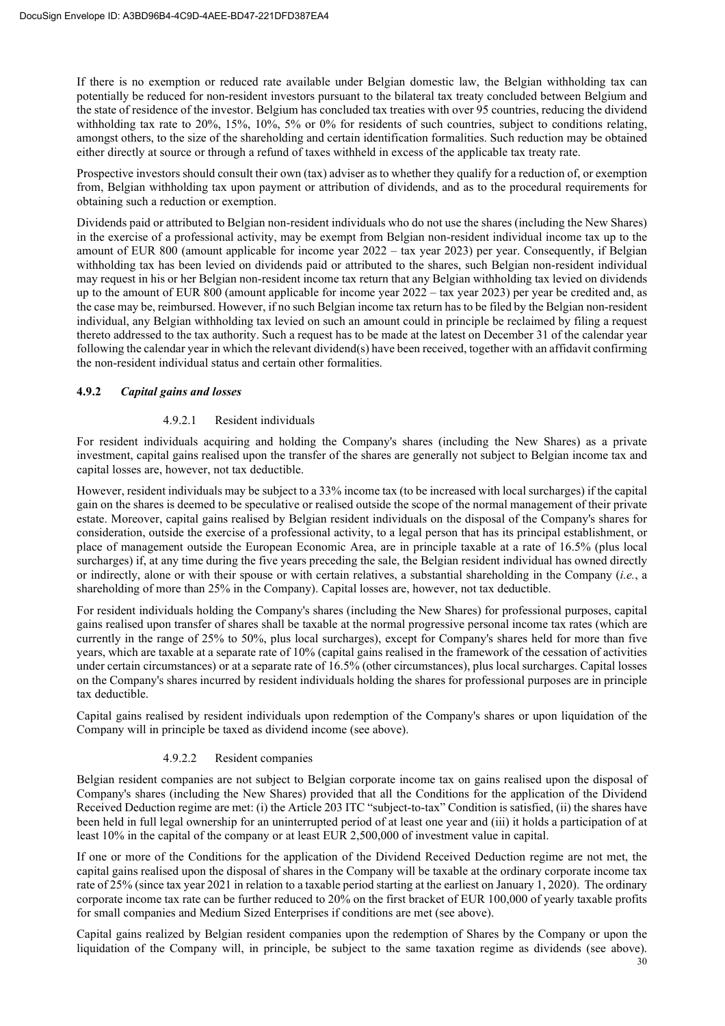If there is no exemption or reduced rate available under Belgian domestic law, the Belgian withholding tax can potentially be reduced for non-resident investors pursuant to the bilateral tax treaty concluded between Belgium and the state of residence of the investor. Belgium has concluded tax treaties with over 95 countries, reducing the dividend withholding tax rate to 20%, 15%, 10%, 5% or 0% for residents of such countries, subject to conditions relating, amongst others, to the size of the shareholding and certain identification formalities. Such reduction may be obtained either directly at source or through a refund of taxes withheld in excess of the applicable tax treaty rate.

Prospective investors should consult their own (tax) adviser as to whether they qualify for a reduction of, or exemption from, Belgian withholding tax upon payment or attribution of dividends, and as to the procedural requirements for obtaining such a reduction or exemption.

Dividends paid or attributed to Belgian non-resident individuals who do not use the shares (including the New Shares) in the exercise of a professional activity, may be exempt from Belgian non-resident individual income tax up to the amount of EUR 800 (amount applicable for income year 2022 – tax year 2023) per year. Consequently, if Belgian withholding tax has been levied on dividends paid or attributed to the shares, such Belgian non-resident individual may request in his or her Belgian non-resident income tax return that any Belgian withholding tax levied on dividends up to the amount of EUR 800 (amount applicable for income year 2022 – tax year 2023) per year be credited and, as the case may be, reimbursed. However, if no such Belgian income tax return has to be filed by the Belgian non-resident individual, any Belgian withholding tax levied on such an amount could in principle be reclaimed by filing a request thereto addressed to the tax authority. Such a request has to be made at the latest on December 31 of the calendar year following the calendar year in which the relevant dividend(s) have been received, together with an affidavit confirming the non-resident individual status and certain other formalities.

#### **4.9.2** *Capital gains and losses*

#### 4.9.2.1 Resident individuals

For resident individuals acquiring and holding the Company's shares (including the New Shares) as a private investment, capital gains realised upon the transfer of the shares are generally not subject to Belgian income tax and capital losses are, however, not tax deductible.

However, resident individuals may be subject to a 33% income tax (to be increased with local surcharges) if the capital gain on the shares is deemed to be speculative or realised outside the scope of the normal management of their private estate. Moreover, capital gains realised by Belgian resident individuals on the disposal of the Company's shares for consideration, outside the exercise of a professional activity, to a legal person that has its principal establishment, or place of management outside the European Economic Area, are in principle taxable at a rate of 16.5% (plus local surcharges) if, at any time during the five years preceding the sale, the Belgian resident individual has owned directly or indirectly, alone or with their spouse or with certain relatives, a substantial shareholding in the Company (*i.e.*, a shareholding of more than 25% in the Company). Capital losses are, however, not tax deductible.

For resident individuals holding the Company's shares (including the New Shares) for professional purposes, capital gains realised upon transfer of shares shall be taxable at the normal progressive personal income tax rates (which are currently in the range of 25% to 50%, plus local surcharges), except for Company's shares held for more than five years, which are taxable at a separate rate of 10% (capital gains realised in the framework of the cessation of activities under certain circumstances) or at a separate rate of 16.5% (other circumstances), plus local surcharges. Capital losses on the Company's shares incurred by resident individuals holding the shares for professional purposes are in principle tax deductible.

Capital gains realised by resident individuals upon redemption of the Company's shares or upon liquidation of the Company will in principle be taxed as dividend income (see above).

#### 4.9.2.2 Resident companies

Belgian resident companies are not subject to Belgian corporate income tax on gains realised upon the disposal of Company's shares (including the New Shares) provided that all the Conditions for the application of the Dividend Received Deduction regime are met: (i) the Article 203 ITC "subject-to-tax" Condition is satisfied, (ii) the shares have been held in full legal ownership for an uninterrupted period of at least one year and (iii) it holds a participation of at least 10% in the capital of the company or at least EUR 2,500,000 of investment value in capital.

If one or more of the Conditions for the application of the Dividend Received Deduction regime are not met, the capital gains realised upon the disposal of shares in the Company will be taxable at the ordinary corporate income tax rate of 25% (since tax year 2021 in relation to a taxable period starting at the earliest on January 1, 2020). The ordinary corporate income tax rate can be further reduced to 20% on the first bracket of EUR 100,000 of yearly taxable profits for small companies and Medium Sized Enterprises if conditions are met (see above).

Capital gains realized by Belgian resident companies upon the redemption of Shares by the Company or upon the liquidation of the Company will, in principle, be subject to the same taxation regime as dividends (see above).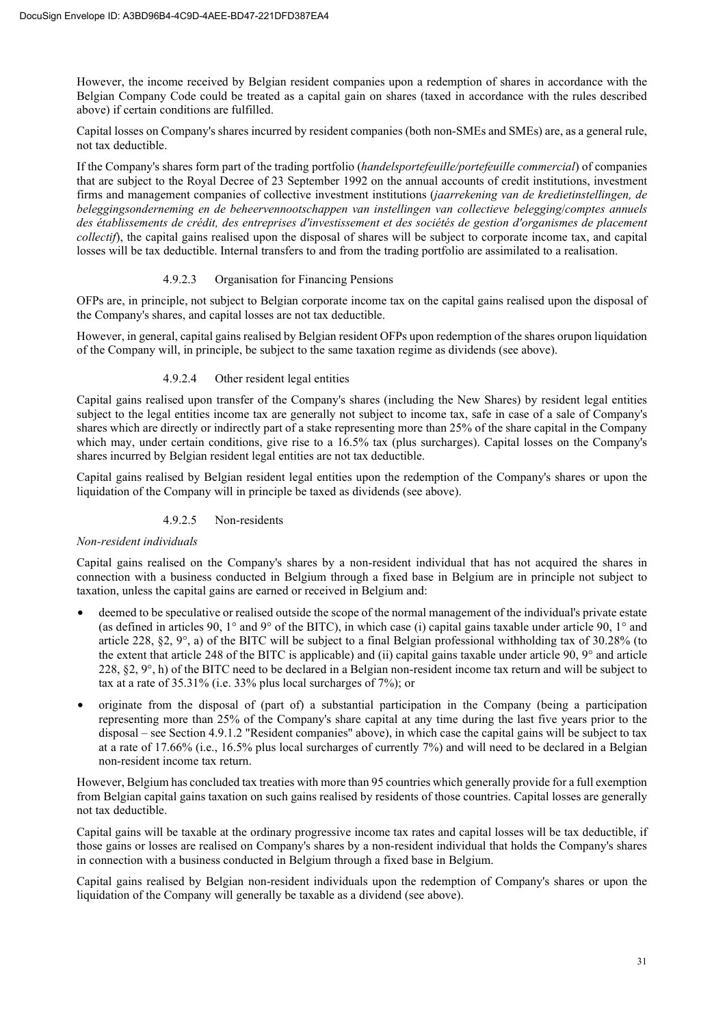However, the income received by Belgian resident companies upon a redemption of shares in accordance with the Belgian Company Code could be treated as a capital gain on shares (taxed in accordance with the rules described above) if certain conditions are fulfilled.

Capital losses on Company's shares incurred by resident companies (both non-SMEs and SMEs) are, as a general rule, not tax deductible.

If the Company's shares form part of the trading portfolio (*handelsportefeuille/portefeuille commercial*) of companies that are subject to the Royal Decree of 23 September 1992 on the annual accounts of credit institutions, investment firms and management companies of collective investment institutions (*jaarrekening van de kredietinstellingen, de beleggingsonderneming en de beheervennootschappen van instellingen van collectieve belegging*/*comptes annuels des établissements de crédit, des entreprises d'investissement et des sociétés de gestion d'organismes de placement collectif*), the capital gains realised upon the disposal of shares will be subject to corporate income tax, and capital losses will be tax deductible. Internal transfers to and from the trading portfolio are assimilated to a realisation.

# 4.9.2.3 Organisation for Financing Pensions

OFPs are, in principle, not subject to Belgian corporate income tax on the capital gains realised upon the disposal of the Company's shares, and capital losses are not tax deductible.

However, in general, capital gains realised by Belgian resident OFPs upon redemption of the shares orupon liquidation of the Company will, in principle, be subject to the same taxation regime as dividends (see above).

# 4.9.2.4 Other resident legal entities

Capital gains realised upon transfer of the Company's shares (including the New Shares) by resident legal entities subject to the legal entities income tax are generally not subject to income tax, safe in case of a sale of Company's shares which are directly or indirectly part of a stake representing more than 25% of the share capital in the Company which may, under certain conditions, give rise to a 16.5% tax (plus surcharges). Capital losses on the Company's shares incurred by Belgian resident legal entities are not tax deductible.

Capital gains realised by Belgian resident legal entities upon the redemption of the Company's shares or upon the liquidation of the Company will in principle be taxed as dividends (see above).

# 4.9.2.5 Non-residents

# *Non-resident individuals*

Capital gains realised on the Company's shares by a non-resident individual that has not acquired the shares in connection with a business conducted in Belgium through a fixed base in Belgium are in principle not subject to taxation, unless the capital gains are earned or received in Belgium and:

- deemed to be speculative or realised outside the scope of the normal management of the individual's private estate (as defined in articles 90,  $1^{\circ}$  and 9° of the BITC), in which case (i) capital gains taxable under article 90,  $1^{\circ}$  and article 228, §2, 9°, a) of the BITC will be subject to a final Belgian professional withholding tax of 30.28% (to the extent that article 248 of the BITC is applicable) and (ii) capital gains taxable under article 90, 9° and article 228,  $\S2$ ,  $9^{\circ}$ , h) of the BITC need to be declared in a Belgian non-resident income tax return and will be subject to tax at a rate of 35.31% (i.e. 33% plus local surcharges of 7%); or
- originate from the disposal of (part of) a substantial participation in the Company (being a participation representing more than 25% of the Company's share capital at any time during the last five years prior to the disposal – see Section 4.9.1.2 "Resident companies" above), in which case the capital gains will be subject to tax at a rate of 17.66% (i.e., 16.5% plus local surcharges of currently 7%) and will need to be declared in a Belgian non-resident income tax return.

However, Belgium has concluded tax treaties with more than 95 countries which generally provide for a full exemption from Belgian capital gains taxation on such gains realised by residents of those countries. Capital losses are generally not tax deductible.

Capital gains will be taxable at the ordinary progressive income tax rates and capital losses will be tax deductible, if those gains or losses are realised on Company's shares by a non-resident individual that holds the Company's shares in connection with a business conducted in Belgium through a fixed base in Belgium.

Capital gains realised by Belgian non-resident individuals upon the redemption of Company's shares or upon the liquidation of the Company will generally be taxable as a dividend (see above).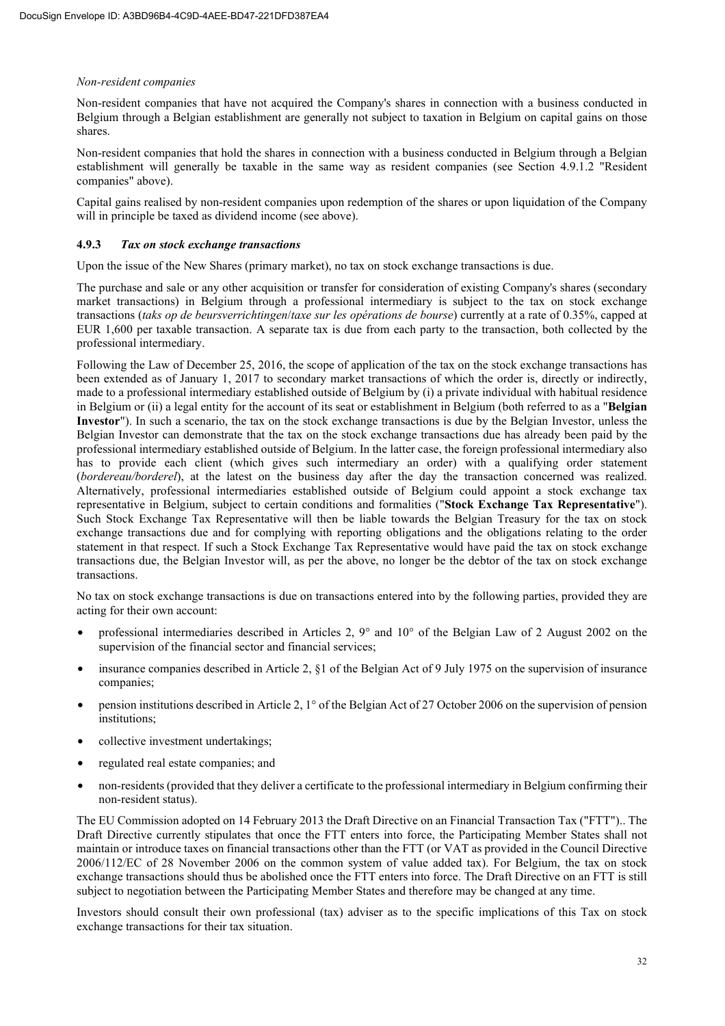#### *Non-resident companies*

Non-resident companies that have not acquired the Company's shares in connection with a business conducted in Belgium through a Belgian establishment are generally not subject to taxation in Belgium on capital gains on those shares.

Non-resident companies that hold the shares in connection with a business conducted in Belgium through a Belgian establishment will generally be taxable in the same way as resident companies (see Section 4.9.1.2 "Resident companies" above).

Capital gains realised by non-resident companies upon redemption of the shares or upon liquidation of the Company will in principle be taxed as dividend income (see above).

#### **4.9.3** *Tax on stock exchange transactions*

Upon the issue of the New Shares (primary market), no tax on stock exchange transactions is due.

The purchase and sale or any other acquisition or transfer for consideration of existing Company's shares (secondary market transactions) in Belgium through a professional intermediary is subject to the tax on stock exchange transactions (*taks op de beursverrichtingen*/*taxe sur les opérations de bourse*) currently at a rate of 0.35%, capped at EUR 1,600 per taxable transaction. A separate tax is due from each party to the transaction, both collected by the professional intermediary.

Following the Law of December 25, 2016, the scope of application of the tax on the stock exchange transactions has been extended as of January 1, 2017 to secondary market transactions of which the order is, directly or indirectly, made to a professional intermediary established outside of Belgium by (i) a private individual with habitual residence in Belgium or (ii) a legal entity for the account of its seat or establishment in Belgium (both referred to as a "**Belgian Investor**"). In such a scenario, the tax on the stock exchange transactions is due by the Belgian Investor, unless the Belgian Investor can demonstrate that the tax on the stock exchange transactions due has already been paid by the professional intermediary established outside of Belgium. In the latter case, the foreign professional intermediary also has to provide each client (which gives such intermediary an order) with a qualifying order statement (*bordereau/borderel*), at the latest on the business day after the day the transaction concerned was realized. Alternatively, professional intermediaries established outside of Belgium could appoint a stock exchange tax representative in Belgium, subject to certain conditions and formalities ("**Stock Exchange Tax Representative**"). Such Stock Exchange Tax Representative will then be liable towards the Belgian Treasury for the tax on stock exchange transactions due and for complying with reporting obligations and the obligations relating to the order statement in that respect. If such a Stock Exchange Tax Representative would have paid the tax on stock exchange transactions due, the Belgian Investor will, as per the above, no longer be the debtor of the tax on stock exchange transactions.

No tax on stock exchange transactions is due on transactions entered into by the following parties, provided they are acting for their own account:

- professional intermediaries described in Articles 2, 9° and 10° of the Belgian Law of 2 August 2002 on the supervision of the financial sector and financial services;
- insurance companies described in Article 2, §1 of the Belgian Act of 9 July 1975 on the supervision of insurance companies;
- pension institutions described in Article 2, 1° of the Belgian Act of 27 October 2006 on the supervision of pension institutions;
- collective investment undertakings;
- regulated real estate companies; and
- non-residents (provided that they deliver a certificate to the professional intermediary in Belgium confirming their non-resident status).

The EU Commission adopted on 14 February 2013 the Draft Directive on an Financial Transaction Tax ("FTT").. The Draft Directive currently stipulates that once the FTT enters into force, the Participating Member States shall not maintain or introduce taxes on financial transactions other than the FTT (or VAT as provided in the Council Directive 2006/112/EC of 28 November 2006 on the common system of value added tax). For Belgium, the tax on stock exchange transactions should thus be abolished once the FTT enters into force. The Draft Directive on an FTT is still subject to negotiation between the Participating Member States and therefore may be changed at any time.

Investors should consult their own professional (tax) adviser as to the specific implications of this Tax on stock exchange transactions for their tax situation.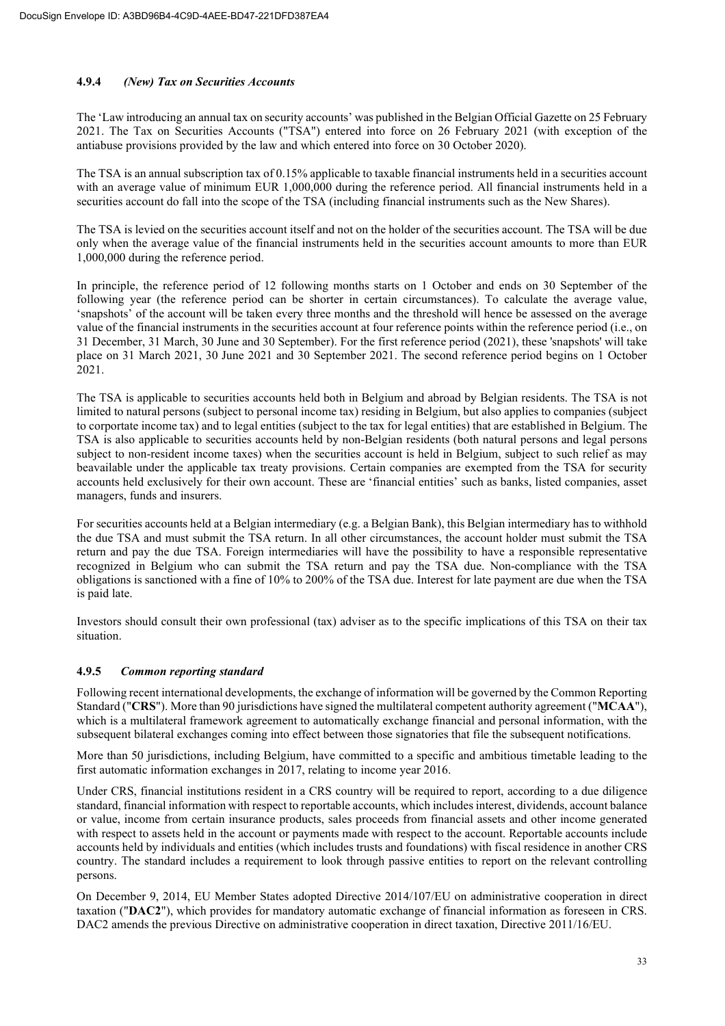# **4.9.4** *(New) Tax on Securities Accounts*

The 'Law introducing an annual tax on security accounts' was published in the Belgian Official Gazette on 25 February 2021. The Tax on Securities Accounts ("TSA") entered into force on 26 February 2021 (with exception of the antiabuse provisions provided by the law and which entered into force on 30 October 2020).

The TSA is an annual subscription tax of 0.15% applicable to taxable financial instruments held in a securities account with an average value of minimum EUR 1,000,000 during the reference period. All financial instruments held in a securities account do fall into the scope of the TSA (including financial instruments such as the New Shares).

The TSA is levied on the securities account itself and not on the holder of the securities account. The TSA will be due only when the average value of the financial instruments held in the securities account amounts to more than EUR 1,000,000 during the reference period.

In principle, the reference period of 12 following months starts on 1 October and ends on 30 September of the following year (the reference period can be shorter in certain circumstances). To calculate the average value, 'snapshots' of the account will be taken every three months and the threshold will hence be assessed on the average value of the financial instruments in the securities account at four reference points within the reference period (i.e., on 31 December, 31 March, 30 June and 30 September). For the first reference period (2021), these 'snapshots' will take place on 31 March 2021, 30 June 2021 and 30 September 2021. The second reference period begins on 1 October 2021.

The TSA is applicable to securities accounts held both in Belgium and abroad by Belgian residents. The TSA is not limited to natural persons (subject to personal income tax) residing in Belgium, but also applies to companies (subject to corportate income tax) and to legal entities (subject to the tax for legal entities) that are established in Belgium. The TSA is also applicable to securities accounts held by non-Belgian residents (both natural persons and legal persons subject to non-resident income taxes) when the securities account is held in Belgium, subject to such relief as may beavailable under the applicable tax treaty provisions. Certain companies are exempted from the TSA for security accounts held exclusively for their own account. These are 'financial entities' such as banks, listed companies, asset managers, funds and insurers.

For securities accounts held at a Belgian intermediary (e.g. a Belgian Bank), this Belgian intermediary has to withhold the due TSA and must submit the TSA return. In all other circumstances, the account holder must submit the TSA return and pay the due TSA. Foreign intermediaries will have the possibility to have a responsible representative recognized in Belgium who can submit the TSA return and pay the TSA due. Non-compliance with the TSA obligations is sanctioned with a fine of 10% to 200% of the TSA due. Interest for late payment are due when the TSA is paid late.

Investors should consult their own professional (tax) adviser as to the specific implications of this TSA on their tax situation.

# **4.9.5** *Common reporting standard*

Following recent international developments, the exchange of information will be governed by the Common Reporting Standard ("**CRS**"). More than 90 jurisdictions have signed the multilateral competent authority agreement ("**MCAA**"), which is a multilateral framework agreement to automatically exchange financial and personal information, with the subsequent bilateral exchanges coming into effect between those signatories that file the subsequent notifications.

More than 50 jurisdictions, including Belgium, have committed to a specific and ambitious timetable leading to the first automatic information exchanges in 2017, relating to income year 2016.

Under CRS, financial institutions resident in a CRS country will be required to report, according to a due diligence standard, financial information with respect to reportable accounts, which includes interest, dividends, account balance or value, income from certain insurance products, sales proceeds from financial assets and other income generated with respect to assets held in the account or payments made with respect to the account. Reportable accounts include accounts held by individuals and entities (which includes trusts and foundations) with fiscal residence in another CRS country. The standard includes a requirement to look through passive entities to report on the relevant controlling persons.

On December 9, 2014, EU Member States adopted Directive 2014/107/EU on administrative cooperation in direct taxation ("**DAC2**"), which provides for mandatory automatic exchange of financial information as foreseen in CRS. DAC2 amends the previous Directive on administrative cooperation in direct taxation, Directive 2011/16/EU.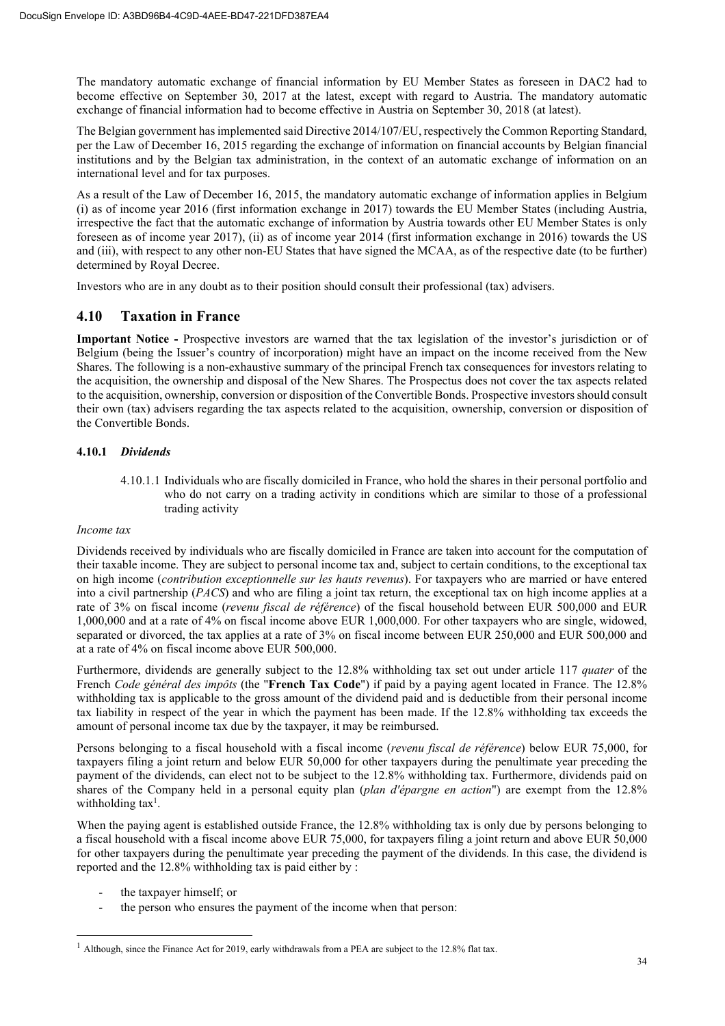The mandatory automatic exchange of financial information by EU Member States as foreseen in DAC2 had to become effective on September 30, 2017 at the latest, except with regard to Austria. The mandatory automatic exchange of financial information had to become effective in Austria on September 30, 2018 (at latest).

The Belgian government has implemented said Directive 2014/107/EU, respectively the Common Reporting Standard, per the Law of December 16, 2015 regarding the exchange of information on financial accounts by Belgian financial institutions and by the Belgian tax administration, in the context of an automatic exchange of information on an international level and for tax purposes.

As a result of the Law of December 16, 2015, the mandatory automatic exchange of information applies in Belgium (i) as of income year 2016 (first information exchange in 2017) towards the EU Member States (including Austria, irrespective the fact that the automatic exchange of information by Austria towards other EU Member States is only foreseen as of income year 2017), (ii) as of income year 2014 (first information exchange in 2016) towards the US and (iii), with respect to any other non-EU States that have signed the MCAA, as of the respective date (to be further) determined by Royal Decree.

Investors who are in any doubt as to their position should consult their professional (tax) advisers.

# **4.10 Taxation in France**

**Important Notice -** Prospective investors are warned that the tax legislation of the investor's jurisdiction or of Belgium (being the Issuer's country of incorporation) might have an impact on the income received from the New Shares. The following is a non-exhaustive summary of the principal French tax consequences for investors relating to the acquisition, the ownership and disposal of the New Shares. The Prospectus does not cover the tax aspects related to the acquisition, ownership, conversion or disposition of the Convertible Bonds. Prospective investors should consult their own (tax) advisers regarding the tax aspects related to the acquisition, ownership, conversion or disposition of the Convertible Bonds.

# **4.10.1** *Dividends*

4.10.1.1 Individuals who are fiscally domiciled in France, who hold the shares in their personal portfolio and who do not carry on a trading activity in conditions which are similar to those of a professional trading activity

# *Income tax*

Dividends received by individuals who are fiscally domiciled in France are taken into account for the computation of their taxable income. They are subject to personal income tax and, subject to certain conditions, to the exceptional tax on high income (*contribution exceptionnelle sur les hauts revenus*). For taxpayers who are married or have entered into a civil partnership (*PACS*) and who are filing a joint tax return, the exceptional tax on high income applies at a rate of 3% on fiscal income (*revenu fiscal de référence*) of the fiscal household between EUR 500,000 and EUR 1,000,000 and at a rate of 4% on fiscal income above EUR 1,000,000. For other taxpayers who are single, widowed, separated or divorced, the tax applies at a rate of 3% on fiscal income between EUR 250,000 and EUR 500,000 and at a rate of 4% on fiscal income above EUR 500,000.

Furthermore, dividends are generally subject to the 12.8% withholding tax set out under article 117 *quater* of the French *Code général des impôts* (the "**French Tax Code**") if paid by a paying agent located in France. The 12.8% withholding tax is applicable to the gross amount of the dividend paid and is deductible from their personal income tax liability in respect of the year in which the payment has been made. If the 12.8% withholding tax exceeds the amount of personal income tax due by the taxpayer, it may be reimbursed.

Persons belonging to a fiscal household with a fiscal income (*revenu fiscal de référence*) below EUR 75,000, for taxpayers filing a joint return and below EUR 50,000 for other taxpayers during the penultimate year preceding the payment of the dividends, can elect not to be subject to the 12.8% withholding tax. Furthermore, dividends paid on shares of the Company held in a personal equity plan (*plan d'épargne en action*") are exempt from the 12.8% withholding  $tax<sup>1</sup>$ .

When the paying agent is established outside France, the 12.8% withholding tax is only due by persons belonging to a fiscal household with a fiscal income above EUR 75,000, for taxpayers filing a joint return and above EUR 50,000 for other taxpayers during the penultimate year preceding the payment of the dividends. In this case, the dividend is reported and the 12.8% withholding tax is paid either by :

- the taxpayer himself; or
- the person who ensures the payment of the income when that person:

 $1$  Although, since the Finance Act for 2019, early withdrawals from a PEA are subject to the 12.8% flat tax.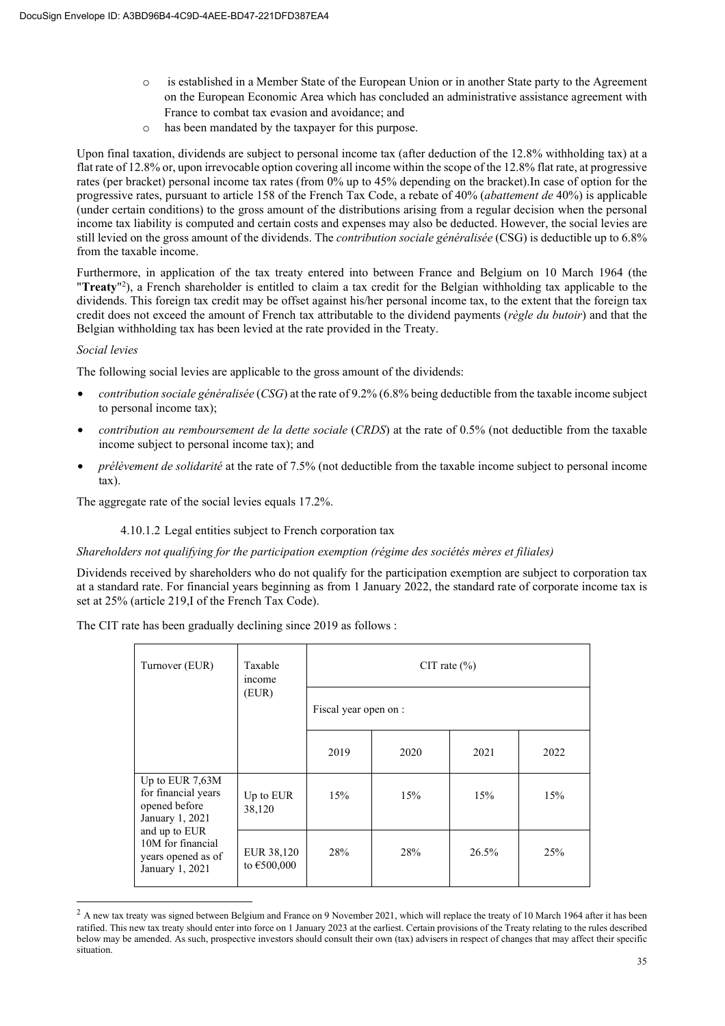- o is established in a Member State of the European Union or in another State party to the Agreement on the European Economic Area which has concluded an administrative assistance agreement with France to combat tax evasion and avoidance; and
- o has been mandated by the taxpayer for this purpose.

Upon final taxation, dividends are subject to personal income tax (after deduction of the 12.8% withholding tax) at a flat rate of 12.8% or, upon irrevocable option covering all income within the scope of the 12.8% flat rate, at progressive rates (per bracket) personal income tax rates (from 0% up to 45% depending on the bracket).In case of option for the progressive rates, pursuant to article 158 of the French Tax Code, a rebate of 40% (*abattement de* 40%) is applicable (under certain conditions) to the gross amount of the distributions arising from a regular decision when the personal income tax liability is computed and certain costs and expenses may also be deducted. However, the social levies are still levied on the gross amount of the dividends. The *contribution sociale généralisée* (CSG) is deductible up to 6.8% from the taxable income.

Furthermore, in application of the tax treaty entered into between France and Belgium on 10 March 1964 (the "Treaty"<sup>2</sup>), a French shareholder is entitled to claim a tax credit for the Belgian withholding tax applicable to the dividends. This foreign tax credit may be offset against his/her personal income tax, to the extent that the foreign tax credit does not exceed the amount of French tax attributable to the dividend payments (*règle du butoir*) and that the Belgian withholding tax has been levied at the rate provided in the Treaty.

# *Social levies*

The following social levies are applicable to the gross amount of the dividends:

- *contribution sociale généralisée* (*CSG*) at the rate of 9.2% (6.8% being deductible from the taxable income subject to personal income tax);
- *contribution au remboursement de la dette sociale* (*CRDS*) at the rate of 0.5% (not deductible from the taxable income subject to personal income tax); and
- *prélèvement de solidarité* at the rate of 7.5% (not deductible from the taxable income subject to personal income tax).

The aggregate rate of the social levies equals 17.2%.

# 4.10.1.2 Legal entities subject to French corporation tax

#### *Shareholders not qualifying for the participation exemption (régime des sociétés mères et filiales)*

Dividends received by shareholders who do not qualify for the participation exemption are subject to corporation tax at a standard rate. For financial years beginning as from 1 January 2022, the standard rate of corporate income tax is set at 25% (article 219,I of the French Tax Code).

The CIT rate has been gradually declining since 2019 as follows :

| Turnover (EUR)                                                              | Taxable<br>income         | CIT rate $(\% )$ |                       |       |      |
|-----------------------------------------------------------------------------|---------------------------|------------------|-----------------------|-------|------|
| (EUR)                                                                       |                           |                  | Fiscal year open on : |       |      |
|                                                                             |                           | 2019             | 2020                  | 2021  | 2022 |
| Up to EUR 7,63M<br>for financial years<br>opened before<br>January 1, 2021  | Up to EUR<br>38,120       | 15%              | 15%                   | 15%   | 15%  |
| and up to EUR<br>10M for financial<br>years opened as of<br>January 1, 2021 | EUR 38,120<br>to €500,000 | 28%              | 28%                   | 26.5% | 25%  |

 $2$  A new tax treaty was signed between Belgium and France on 9 November 2021, which will replace the treaty of 10 March 1964 after it has been ratified. This new tax treaty should enter into force on 1 January 2023 at the earliest. Certain provisions of the Treaty relating to the rules described below may be amended. As such, prospective investors should consult their own (tax) advisers in respect of changes that may affect their specific situation.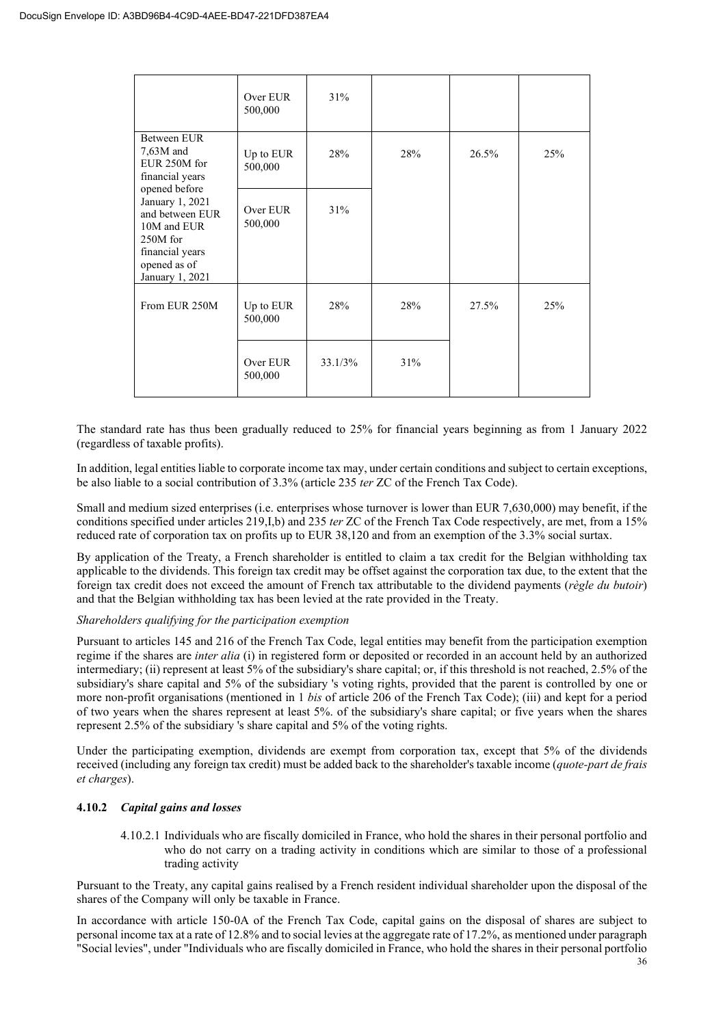|                                                                                                                                      | Over EUR<br>500,000  | 31%        |     |       |     |
|--------------------------------------------------------------------------------------------------------------------------------------|----------------------|------------|-----|-------|-----|
| Between EUR<br>$7,63M$ and<br>EUR 250M for<br>financial years                                                                        | Up to EUR<br>500,000 | 28%        | 28% | 26.5% | 25% |
| opened before<br>January 1, 2021<br>and between EUR<br>10M and EUR<br>250M for<br>financial years<br>opened as of<br>January 1, 2021 | Over EUR<br>500,000  | 31%        |     |       |     |
| From EUR 250M                                                                                                                        | Up to EUR<br>500,000 | 28%        | 28% | 27.5% | 25% |
|                                                                                                                                      | Over EUR<br>500,000  | $33.1/3\%$ | 31% |       |     |

The standard rate has thus been gradually reduced to 25% for financial years beginning as from 1 January 2022 (regardless of taxable profits).

In addition, legal entities liable to corporate income tax may, under certain conditions and subject to certain exceptions, be also liable to a social contribution of 3.3% (article 235 *ter* ZC of the French Tax Code).

Small and medium sized enterprises (i.e. enterprises whose turnover is lower than EUR 7,630,000) may benefit, if the conditions specified under articles 219,I,b) and 235 *ter* ZC of the French Tax Code respectively, are met, from a 15% reduced rate of corporation tax on profits up to EUR 38,120 and from an exemption of the 3.3% social surtax.

By application of the Treaty, a French shareholder is entitled to claim a tax credit for the Belgian withholding tax applicable to the dividends. This foreign tax credit may be offset against the corporation tax due, to the extent that the foreign tax credit does not exceed the amount of French tax attributable to the dividend payments (*règle du butoir*) and that the Belgian withholding tax has been levied at the rate provided in the Treaty.

# *Shareholders qualifying for the participation exemption*

Pursuant to articles 145 and 216 of the French Tax Code, legal entities may benefit from the participation exemption regime if the shares are *inter alia* (i) in registered form or deposited or recorded in an account held by an authorized intermediary; (ii) represent at least 5% of the subsidiary's share capital; or, if this threshold is not reached, 2.5% of the subsidiary's share capital and 5% of the subsidiary 's voting rights, provided that the parent is controlled by one or more non-profit organisations (mentioned in 1 *bis* of article 206 of the French Tax Code); (iii) and kept for a period of two years when the shares represent at least 5%. of the subsidiary's share capital; or five years when the shares represent 2.5% of the subsidiary 's share capital and 5% of the voting rights.

Under the participating exemption, dividends are exempt from corporation tax, except that 5% of the dividends received (including any foreign tax credit) must be added back to the shareholder's taxable income (*quote-part de frais et charges*).

# **4.10.2** *Capital gains and losses*

4.10.2.1 Individuals who are fiscally domiciled in France, who hold the shares in their personal portfolio and who do not carry on a trading activity in conditions which are similar to those of a professional trading activity

Pursuant to the Treaty, any capital gains realised by a French resident individual shareholder upon the disposal of the shares of the Company will only be taxable in France.

In accordance with article 150-0A of the French Tax Code, capital gains on the disposal of shares are subject to personal income tax at a rate of 12.8% and to social levies at the aggregate rate of 17.2%, as mentioned under paragraph "Social levies", under "Individuals who are fiscally domiciled in France, who hold the shares in their personal portfolio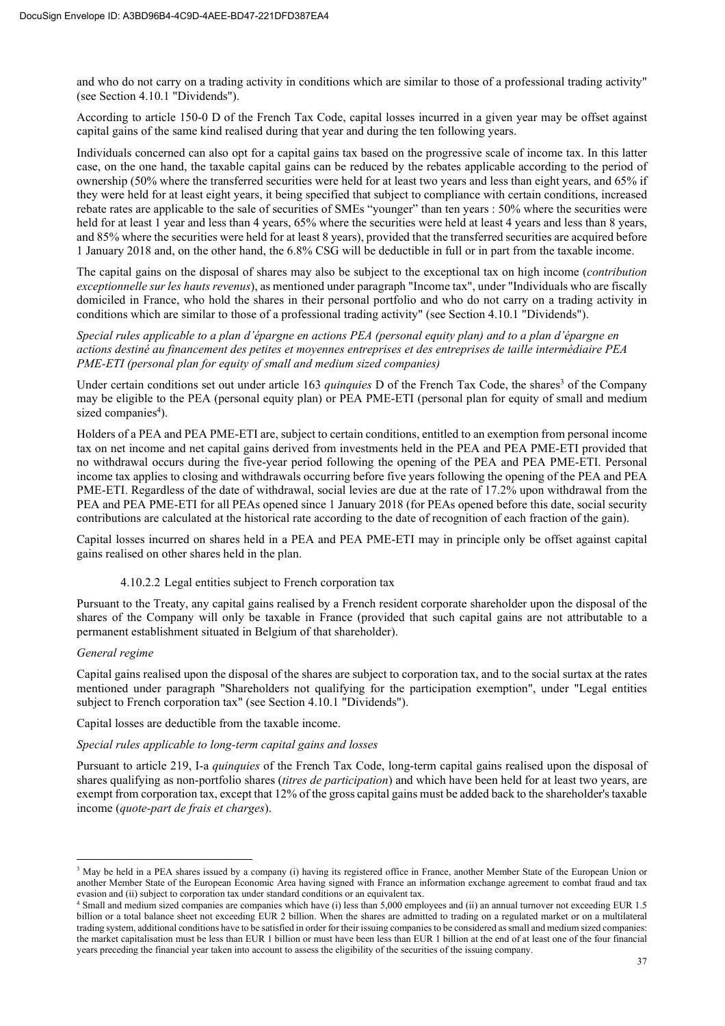and who do not carry on a trading activity in conditions which are similar to those of a professional trading activity" (see Section 4.10.1 "Dividends").

According to article 150-0 D of the French Tax Code, capital losses incurred in a given year may be offset against capital gains of the same kind realised during that year and during the ten following years.

Individuals concerned can also opt for a capital gains tax based on the progressive scale of income tax. In this latter case, on the one hand, the taxable capital gains can be reduced by the rebates applicable according to the period of ownership (50% where the transferred securities were held for at least two years and less than eight years, and 65% if they were held for at least eight years, it being specified that subject to compliance with certain conditions, increased rebate rates are applicable to the sale of securities of SMEs "younger" than ten years : 50% where the securities were held for at least 1 year and less than 4 years, 65% where the securities were held at least 4 years and less than 8 years, and 85% where the securities were held for at least 8 years), provided that the transferred securities are acquired before 1 January 2018 and, on the other hand, the 6.8% CSG will be deductible in full or in part from the taxable income.

The capital gains on the disposal of shares may also be subject to the exceptional tax on high income (*contribution exceptionnelle sur les hauts revenus*), as mentioned under paragraph "Income tax", under "Individuals who are fiscally domiciled in France, who hold the shares in their personal portfolio and who do not carry on a trading activity in conditions which are similar to those of a professional trading activity" (see Section 4.10.1 "Dividends").

*Special rules applicable to a plan d'épargne en actions PEA (personal equity plan) and to a plan d'épargne en actions destiné au financement des petites et moyennes entreprises et des entreprises de taille intermédiaire PEA PME-ETI (personal plan for equity of small and medium sized companies)* 

Under certain conditions set out under article 163 *quinquies* D of the French Tax Code, the shares<sup>3</sup> of the Company may be eligible to the PEA (personal equity plan) or PEA PME-ETI (personal plan for equity of small and medium sized companies<sup>4</sup>).

Holders of a PEA and PEA PME-ETI are, subject to certain conditions, entitled to an exemption from personal income tax on net income and net capital gains derived from investments held in the PEA and PEA PME-ETI provided that no withdrawal occurs during the five-year period following the opening of the PEA and PEA PME-ETI. Personal income tax applies to closing and withdrawals occurring before five years following the opening of the PEA and PEA PME-ETI. Regardless of the date of withdrawal, social levies are due at the rate of 17.2% upon withdrawal from the PEA and PEA PME-ETI for all PEAs opened since 1 January 2018 (for PEAs opened before this date, social security contributions are calculated at the historical rate according to the date of recognition of each fraction of the gain).

Capital losses incurred on shares held in a PEA and PEA PME-ETI may in principle only be offset against capital gains realised on other shares held in the plan.

#### 4.10.2.2 Legal entities subject to French corporation tax

Pursuant to the Treaty, any capital gains realised by a French resident corporate shareholder upon the disposal of the shares of the Company will only be taxable in France (provided that such capital gains are not attributable to a permanent establishment situated in Belgium of that shareholder).

#### *General regime*

Capital gains realised upon the disposal of the shares are subject to corporation tax, and to the social surtax at the rates mentioned under paragraph "Shareholders not qualifying for the participation exemption", under "Legal entities subject to French corporation tax" (see Section 4.10.1 "Dividends").

Capital losses are deductible from the taxable income.

#### *Special rules applicable to long-term capital gains and losses*

Pursuant to article 219, I-a *quinquies* of the French Tax Code, long-term capital gains realised upon the disposal of shares qualifying as non-portfolio shares (*titres de participation*) and which have been held for at least two years, are exempt from corporation tax, except that 12% of the gross capital gains must be added back to the shareholder's taxable income (*quote-part de frais et charges*).

<sup>&</sup>lt;sup>3</sup> May be held in a PEA shares issued by a company (i) having its registered office in France, another Member State of the European Union or another Member State of the European Economic Area having signed with France an information exchange agreement to combat fraud and tax evasion and (ii) subject to corporation tax under standard conditions or an equivalent tax.

Small and medium sized companies are companies which have (i) less than 5,000 employees and (ii) an annual turnover not exceeding EUR 1.5 billion or a total balance sheet not exceeding EUR 2 billion. When the shares are admitted to trading on a regulated market or on a multilateral trading system, additional conditions have to be satisfied in order for their issuing companies to be considered as small and medium sized companies: the market capitalisation must be less than EUR 1 billion or must have been less than EUR 1 billion at the end of at least one of the four financial years preceding the financial year taken into account to assess the eligibility of the securities of the issuing company.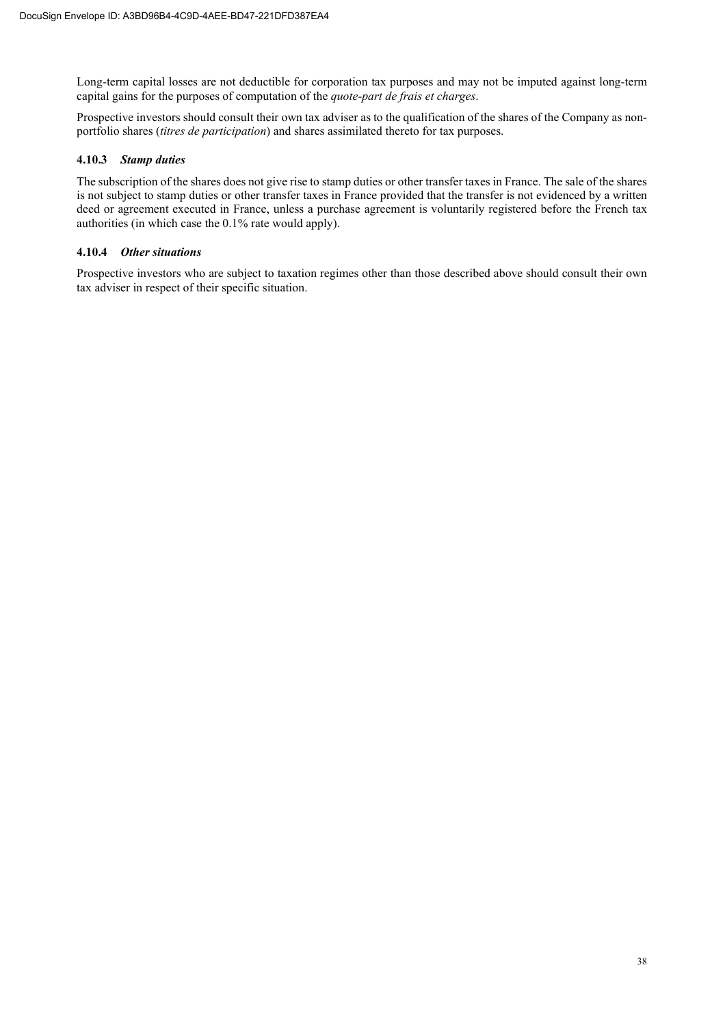Long-term capital losses are not deductible for corporation tax purposes and may not be imputed against long-term capital gains for the purposes of computation of the *quote-part de frais et charges*.

Prospective investors should consult their own tax adviser as to the qualification of the shares of the Company as nonportfolio shares (*titres de participation*) and shares assimilated thereto for tax purposes.

#### **4.10.3** *Stamp duties*

The subscription of the shares does not give rise to stamp duties or other transfer taxes in France. The sale of the shares is not subject to stamp duties or other transfer taxes in France provided that the transfer is not evidenced by a written deed or agreement executed in France, unless a purchase agreement is voluntarily registered before the French tax authorities (in which case the 0.1% rate would apply).

#### **4.10.4** *Other situations*

Prospective investors who are subject to taxation regimes other than those described above should consult their own tax adviser in respect of their specific situation.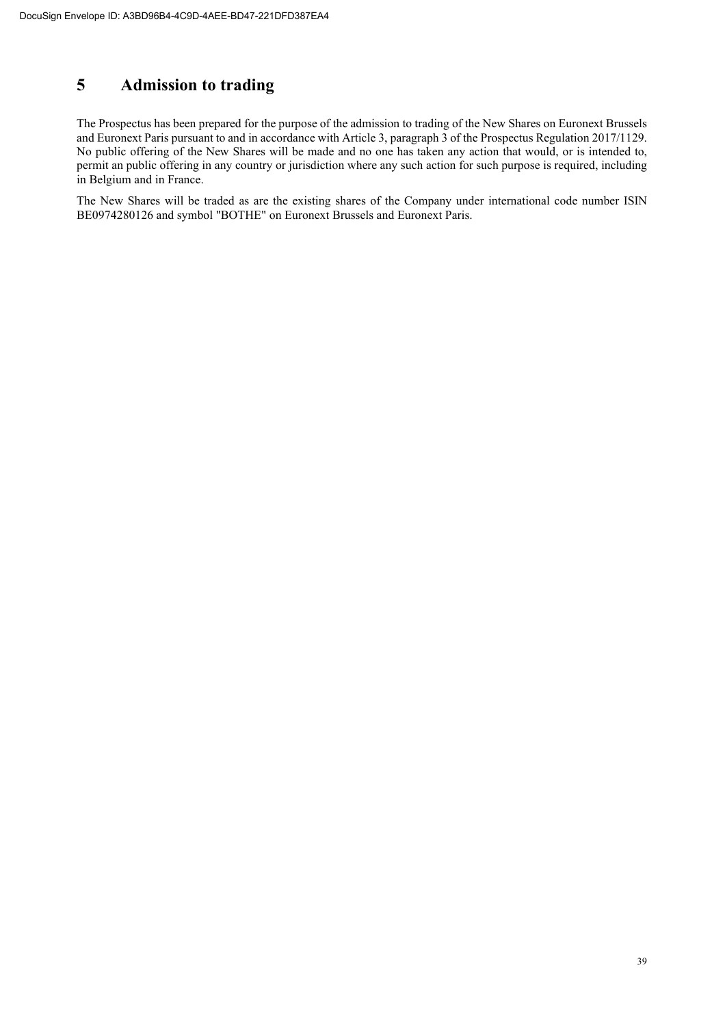# **5 Admission to trading**

The Prospectus has been prepared for the purpose of the admission to trading of the New Shares on Euronext Brussels and Euronext Paris pursuant to and in accordance with Article 3, paragraph 3 of the Prospectus Regulation 2017/1129. No public offering of the New Shares will be made and no one has taken any action that would, or is intended to, permit an public offering in any country or jurisdiction where any such action for such purpose is required, including in Belgium and in France.

The New Shares will be traded as are the existing shares of the Company under international code number ISIN BE0974280126 and symbol "BOTHE" on Euronext Brussels and Euronext Paris.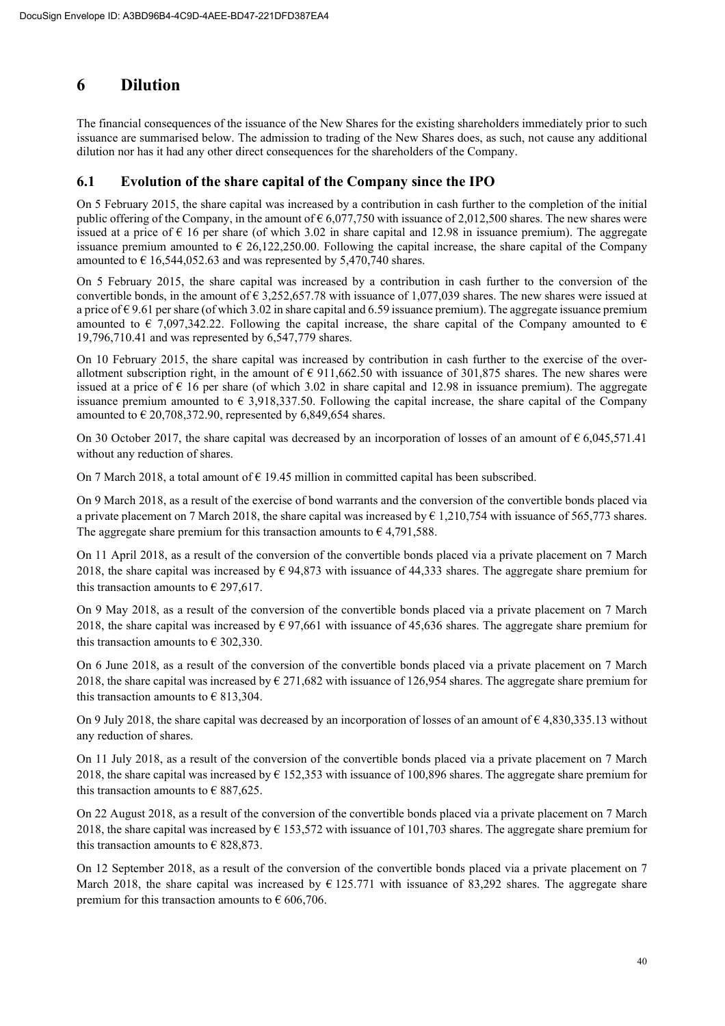# **6 Dilution**

The financial consequences of the issuance of the New Shares for the existing shareholders immediately prior to such issuance are summarised below. The admission to trading of the New Shares does, as such, not cause any additional dilution nor has it had any other direct consequences for the shareholders of the Company.

# **6.1 Evolution of the share capital of the Company since the IPO**

On 5 February 2015, the share capital was increased by a contribution in cash further to the completion of the initial public offering of the Company, in the amount of  $6,077,750$  with issuance of 2,012,500 shares. The new shares were issued at a price of  $\epsilon$  16 per share (of which 3.02 in share capital and 12.98 in issuance premium). The aggregate issuance premium amounted to  $\epsilon$  26,122,250.00. Following the capital increase, the share capital of the Company amounted to  $\epsilon$  16,544,052.63 and was represented by 5,470,740 shares.

On 5 February 2015, the share capital was increased by a contribution in cash further to the conversion of the convertible bonds, in the amount of  $\epsilon$  3,252,657.78 with issuance of 1,077,039 shares. The new shares were issued at a price of  $\epsilon$  9.61 per share (of which 3.02 in share capital and 6.59 issuance premium). The aggregate issuance premium amounted to  $\epsilon$  7,097,342.22. Following the capital increase, the share capital of the Company amounted to  $\epsilon$ 19,796,710.41 and was represented by 6,547,779 shares.

On 10 February 2015, the share capital was increased by contribution in cash further to the exercise of the overallotment subscription right, in the amount of  $\epsilon$  911,662.50 with issuance of 301,875 shares. The new shares were issued at a price of  $\epsilon$  16 per share (of which 3.02 in share capital and 12.98 in issuance premium). The aggregate issuance premium amounted to  $\epsilon$  3,918,337.50. Following the capital increase, the share capital of the Company amounted to  $\epsilon$  20,708,372.90, represented by 6,849,654 shares.

On 30 October 2017, the share capital was decreased by an incorporation of losses of an amount of  $\epsilon$  6,045,571.41 without any reduction of shares.

On 7 March 2018, a total amount of  $\epsilon$  19.45 million in committed capital has been subscribed.

On 9 March 2018, as a result of the exercise of bond warrants and the conversion of the convertible bonds placed via a private placement on 7 March 2018, the share capital was increased by  $\epsilon$  1,210,754 with issuance of 565,773 shares. The aggregate share premium for this transaction amounts to  $\epsilon$  4,791,588.

On 11 April 2018, as a result of the conversion of the convertible bonds placed via a private placement on 7 March 2018, the share capital was increased by  $\epsilon$  94,873 with issuance of 44,333 shares. The aggregate share premium for this transaction amounts to  $\epsilon$  297,617.

On 9 May 2018, as a result of the conversion of the convertible bonds placed via a private placement on 7 March 2018, the share capital was increased by  $\epsilon$  97,661 with issuance of 45,636 shares. The aggregate share premium for this transaction amounts to  $\epsilon$  302,330.

On 6 June 2018, as a result of the conversion of the convertible bonds placed via a private placement on 7 March 2018, the share capital was increased by  $\epsilon$  271,682 with issuance of 126,954 shares. The aggregate share premium for this transaction amounts to  $\epsilon$  813,304.

On 9 July 2018, the share capital was decreased by an incorporation of losses of an amount of  $\epsilon$  4,830,335.13 without any reduction of shares.

On 11 July 2018, as a result of the conversion of the convertible bonds placed via a private placement on 7 March 2018, the share capital was increased by  $\epsilon$  152,353 with issuance of 100,896 shares. The aggregate share premium for this transaction amounts to  $\epsilon$  887,625.

On 22 August 2018, as a result of the conversion of the convertible bonds placed via a private placement on 7 March 2018, the share capital was increased by  $\epsilon$  153,572 with issuance of 101,703 shares. The aggregate share premium for this transaction amounts to  $\epsilon$  828,873.

On 12 September 2018, as a result of the conversion of the convertible bonds placed via a private placement on 7 March 2018, the share capital was increased by  $\epsilon$  125.771 with issuance of 83,292 shares. The aggregate share premium for this transaction amounts to  $\epsilon$  606,706.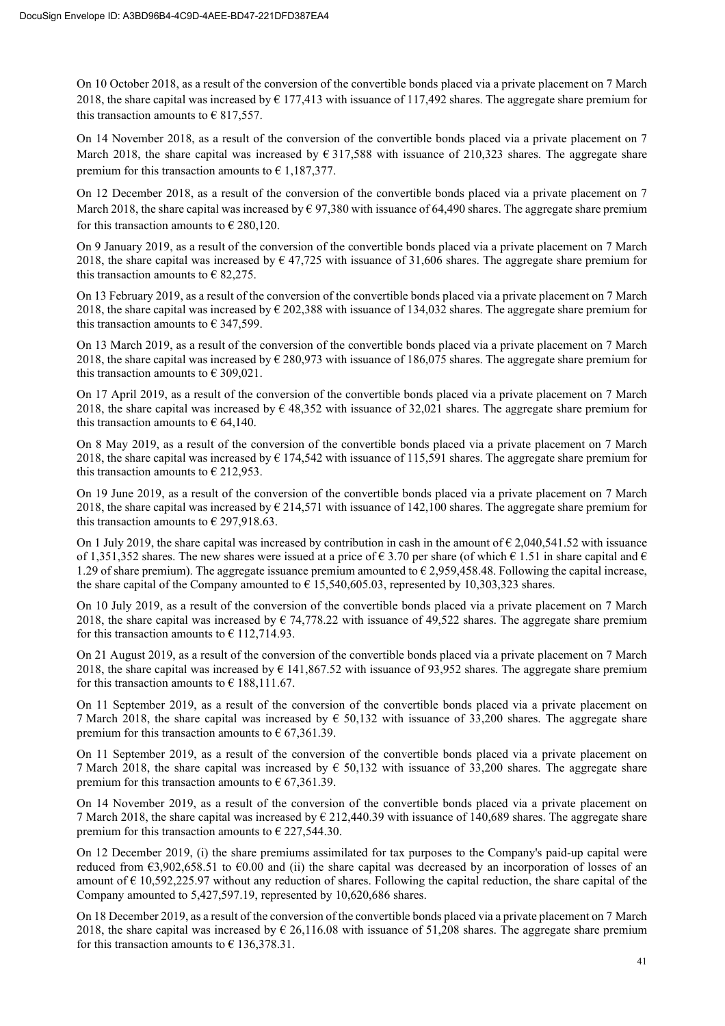On 10 October 2018, as a result of the conversion of the convertible bonds placed via a private placement on 7 March 2018, the share capital was increased by  $\epsilon$  177,413 with issuance of 117,492 shares. The aggregate share premium for this transaction amounts to  $\epsilon$  817,557.

On 14 November 2018, as a result of the conversion of the convertible bonds placed via a private placement on 7 March 2018, the share capital was increased by  $\epsilon$  317,588 with issuance of 210,323 shares. The aggregate share premium for this transaction amounts to  $\epsilon$  1,187,377.

On 12 December 2018, as a result of the conversion of the convertible bonds placed via a private placement on 7 March 2018, the share capital was increased by  $\epsilon$  97,380 with issuance of 64,490 shares. The aggregate share premium for this transaction amounts to  $\epsilon$  280,120.

On 9 January 2019, as a result of the conversion of the convertible bonds placed via a private placement on 7 March 2018, the share capital was increased by  $\epsilon$  47,725 with issuance of 31,606 shares. The aggregate share premium for this transaction amounts to  $\epsilon$  82,275.

On 13 February 2019, as a result of the conversion of the convertible bonds placed via a private placement on 7 March 2018, the share capital was increased by  $\epsilon$  202,388 with issuance of 134,032 shares. The aggregate share premium for this transaction amounts to  $\epsilon$  347,599.

On 13 March 2019, as a result of the conversion of the convertible bonds placed via a private placement on 7 March 2018, the share capital was increased by  $\epsilon$  280,973 with issuance of 186,075 shares. The aggregate share premium for this transaction amounts to  $\epsilon$  309,021.

On 17 April 2019, as a result of the conversion of the convertible bonds placed via a private placement on 7 March 2018, the share capital was increased by  $\epsilon$  48,352 with issuance of 32,021 shares. The aggregate share premium for this transaction amounts to  $\epsilon$  64,140.

On 8 May 2019, as a result of the conversion of the convertible bonds placed via a private placement on 7 March 2018, the share capital was increased by  $\epsilon$  174,542 with issuance of 115,591 shares. The aggregate share premium for this transaction amounts to  $\epsilon$  212,953.

On 19 June 2019, as a result of the conversion of the convertible bonds placed via a private placement on 7 March 2018, the share capital was increased by  $\epsilon$  214,571 with issuance of 142,100 shares. The aggregate share premium for this transaction amounts to  $\epsilon$  297,918.63.

On 1 July 2019, the share capital was increased by contribution in cash in the amount of  $\epsilon$  2,040,541.52 with issuance of 1,351,352 shares. The new shares were issued at a price of  $\epsilon$  3.70 per share (of which  $\epsilon$  1.51 in share capital and  $\epsilon$ 1.29 of share premium). The aggregate issuance premium amounted to  $\epsilon$  2.959,458.48. Following the capital increase, the share capital of the Company amounted to  $\epsilon$  15,540,605.03, represented by 10,303,323 shares.

On 10 July 2019, as a result of the conversion of the convertible bonds placed via a private placement on 7 March 2018, the share capital was increased by  $\epsilon$  74,778.22 with issuance of 49,522 shares. The aggregate share premium for this transaction amounts to  $\epsilon$  112,714.93.

On 21 August 2019, as a result of the conversion of the convertible bonds placed via a private placement on 7 March 2018, the share capital was increased by  $\epsilon$  141,867.52 with issuance of 93,952 shares. The aggregate share premium for this transaction amounts to  $\epsilon$  188,111.67.

On 11 September 2019, as a result of the conversion of the convertible bonds placed via a private placement on 7 March 2018, the share capital was increased by  $\epsilon$  50,132 with issuance of 33,200 shares. The aggregate share premium for this transaction amounts to  $\epsilon$  67,361.39.

On 11 September 2019, as a result of the conversion of the convertible bonds placed via a private placement on 7 March 2018, the share capital was increased by  $\epsilon$  50,132 with issuance of 33,200 shares. The aggregate share premium for this transaction amounts to  $\epsilon$  67,361.39.

On 14 November 2019, as a result of the conversion of the convertible bonds placed via a private placement on 7 March 2018, the share capital was increased by  $\epsilon$  212,440.39 with issuance of 140,689 shares. The aggregate share premium for this transaction amounts to  $\epsilon$  227,544.30.

On 12 December 2019, (i) the share premiums assimilated for tax purposes to the Company's paid-up capital were reduced from  $\epsilon$ 3,902,658.51 to  $\epsilon$ 0.00 and (ii) the share capital was decreased by an incorporation of losses of an amount of  $\epsilon$  10,592,225.97 without any reduction of shares. Following the capital reduction, the share capital of the Company amounted to 5,427,597.19, represented by 10,620,686 shares.

On 18 December 2019, as a result of the conversion of the convertible bonds placed via a private placement on 7 March 2018, the share capital was increased by  $\epsilon$  26,116.08 with issuance of 51.208 shares. The aggregate share premium for this transaction amounts to  $\epsilon$  136,378.31.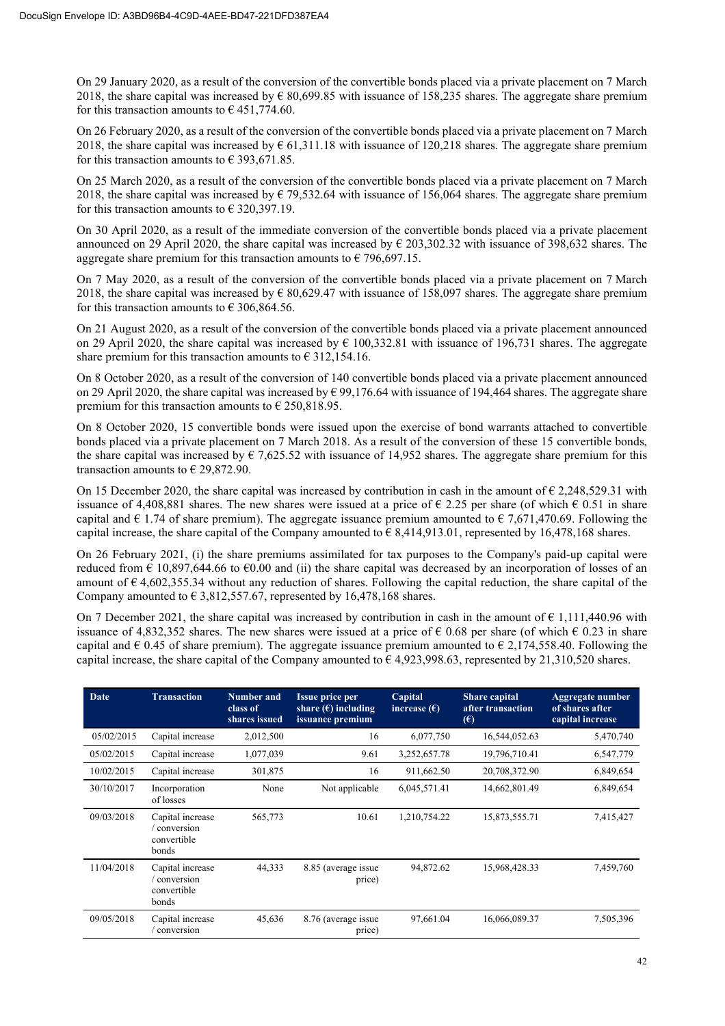On 29 January 2020, as a result of the conversion of the convertible bonds placed via a private placement on 7 March 2018, the share capital was increased by  $\epsilon$  80,699.85 with issuance of 158,235 shares. The aggregate share premium for this transaction amounts to  $\epsilon$  451,774.60.

On 26 February 2020, as a result of the conversion of the convertible bonds placed via a private placement on 7 March 2018, the share capital was increased by  $\epsilon$  61,311.18 with issuance of 120,218 shares. The aggregate share premium for this transaction amounts to  $\epsilon$  393,671.85.

On 25 March 2020, as a result of the conversion of the convertible bonds placed via a private placement on 7 March 2018, the share capital was increased by  $\epsilon$  79,532.64 with issuance of 156,064 shares. The aggregate share premium for this transaction amounts to  $\epsilon$  320,397.19.

On 30 April 2020, as a result of the immediate conversion of the convertible bonds placed via a private placement announced on 29 April 2020, the share capital was increased by  $\epsilon$  203,302.32 with issuance of 398,632 shares. The aggregate share premium for this transaction amounts to  $\epsilon$  796,697.15.

On 7 May 2020, as a result of the conversion of the convertible bonds placed via a private placement on 7 March 2018, the share capital was increased by  $\epsilon$  80,629.47 with issuance of 158,097 shares. The aggregate share premium for this transaction amounts to  $\epsilon$  306,864.56.

On 21 August 2020, as a result of the conversion of the convertible bonds placed via a private placement announced on 29 April 2020, the share capital was increased by  $\epsilon$  100,332.81 with issuance of 196,731 shares. The aggregate share premium for this transaction amounts to  $\epsilon$  312,154.16.

On 8 October 2020, as a result of the conversion of 140 convertible bonds placed via a private placement announced on 29 April 2020, the share capital was increased by € 99,176.64 with issuance of 194,464 shares. The aggregate share premium for this transaction amounts to  $\epsilon$  250,818.95.

On 8 October 2020, 15 convertible bonds were issued upon the exercise of bond warrants attached to convertible bonds placed via a private placement on 7 March 2018. As a result of the conversion of these 15 convertible bonds, the share capital was increased by  $\epsilon$  7,625.52 with issuance of 14,952 shares. The aggregate share premium for this transaction amounts to  $\in$  29,872.90.

On 15 December 2020, the share capital was increased by contribution in cash in the amount of  $\epsilon$  2,248,529.31 with issuance of 4,408,881 shares. The new shares were issued at a price of  $\epsilon$  2.25 per share (of which  $\epsilon$  0.51 in share capital and  $\epsilon$  1.74 of share premium). The aggregate issuance premium amounted to  $\epsilon$  7,671,470.69. Following the capital increase, the share capital of the Company amounted to  $\epsilon$  8,414,913.01, represented by 16,478,168 shares.

On 26 February 2021, (i) the share premiums assimilated for tax purposes to the Company's paid-up capital were reduced from  $\epsilon$  10,897,644,66 to  $\epsilon$ 0.00 and (ii) the share capital was decreased by an incorporation of losses of an amount of  $\epsilon$  4,602,355.34 without any reduction of shares. Following the capital reduction, the share capital of the Company amounted to  $\epsilon$  3,812,557.67, represented by 16,478,168 shares.

On 7 December 2021, the share capital was increased by contribution in cash in the amount of  $\epsilon$  1,111,440.96 with issuance of 4,832,352 shares. The new shares were issued at a price of  $\epsilon$  0.68 per share (of which  $\epsilon$  0.23 in share capital and  $\epsilon$  0.45 of share premium). The aggregate issuance premium amounted to  $\epsilon$  2,174,558.40. Following the capital increase, the share capital of the Company amounted to  $\epsilon$  4,923,998.63, represented by 21,310,520 shares.

| Date       | <b>Transaction</b>                                     | Number and<br>class of<br>shares issued | <b>Issue price per</b><br>share $(\epsilon)$ including<br>issuance premium | Capital<br>increase $(\epsilon)$ | <b>Share capital</b><br>after transaction<br>$(\epsilon)$ | Aggregate number<br>of shares after<br>capital increase |
|------------|--------------------------------------------------------|-----------------------------------------|----------------------------------------------------------------------------|----------------------------------|-----------------------------------------------------------|---------------------------------------------------------|
| 05/02/2015 | Capital increase                                       | 2,012,500                               | 16                                                                         | 6,077,750                        | 16,544,052.63                                             | 5,470,740                                               |
| 05/02/2015 | Capital increase                                       | 1,077,039                               | 9.61                                                                       | 3,252,657.78                     | 19,796,710.41                                             | 6,547,779                                               |
| 10/02/2015 | Capital increase                                       | 301,875                                 | 16                                                                         | 911,662.50                       | 20,708,372.90                                             | 6,849,654                                               |
| 30/10/2017 | Incorporation<br>of losses                             | None                                    | Not applicable                                                             | 6,045,571.41                     | 14,662,801.49                                             | 6,849,654                                               |
| 09/03/2018 | Capital increase<br>conversion<br>convertible<br>bonds | 565,773                                 | 10.61                                                                      | 1,210,754.22                     | 15,873,555.71                                             | 7,415,427                                               |
| 11/04/2018 | Capital increase<br>conversion<br>convertible<br>bonds | 44,333                                  | 8.85 (average issue)<br>price)                                             | 94,872.62                        | 15,968,428.33                                             | 7,459,760                                               |
| 09/05/2018 | Capital increase<br>conversion                         | 45,636                                  | 8.76 (average issue)<br>price)                                             | 97,661.04                        | 16,066,089.37                                             | 7,505,396                                               |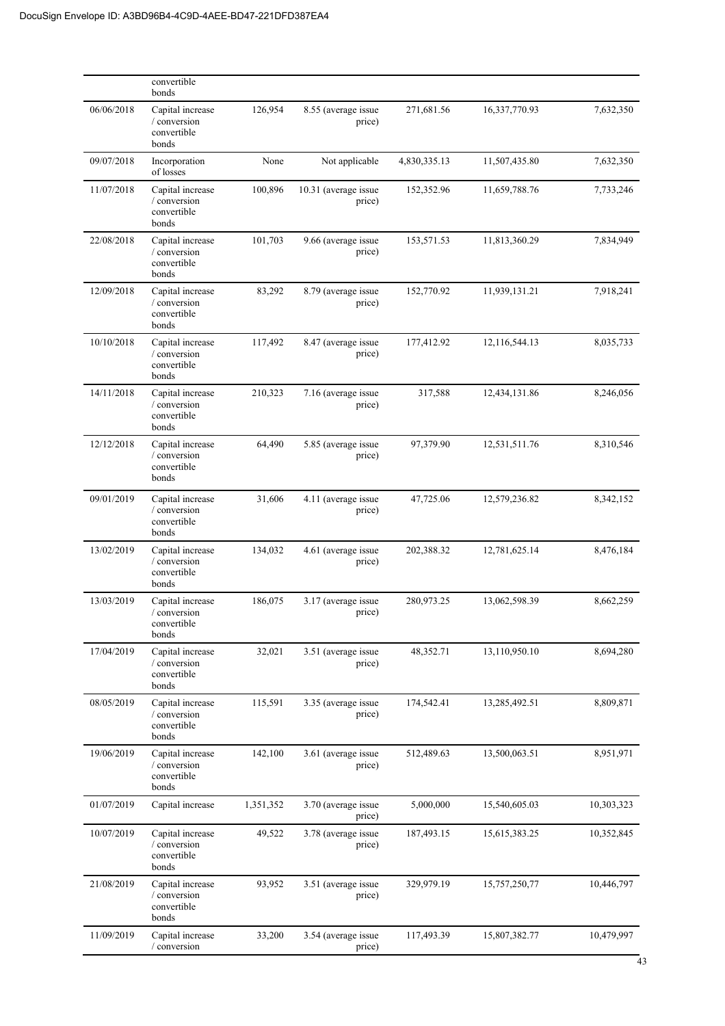|            | convertible<br>bonds                                     |           |                                |              |               |            |
|------------|----------------------------------------------------------|-----------|--------------------------------|--------------|---------------|------------|
| 06/06/2018 | Capital increase<br>/ conversion<br>convertible<br>bonds | 126,954   | 8.55 (average issue<br>price)  | 271,681.56   | 16,337,770.93 | 7,632,350  |
| 09/07/2018 | Incorporation<br>of losses                               | None      | Not applicable                 | 4,830,335.13 | 11,507,435.80 | 7,632,350  |
| 11/07/2018 | Capital increase<br>/ conversion<br>convertible<br>bonds | 100,896   | 10.31 (average issue<br>price) | 152,352.96   | 11,659,788.76 | 7,733,246  |
| 22/08/2018 | Capital increase<br>/ conversion<br>convertible<br>bonds | 101,703   | 9.66 (average issue<br>price)  | 153,571.53   | 11,813,360.29 | 7,834,949  |
| 12/09/2018 | Capital increase<br>/ conversion<br>convertible<br>bonds | 83,292    | 8.79 (average issue<br>price)  | 152,770.92   | 11,939,131.21 | 7,918,241  |
| 10/10/2018 | Capital increase<br>/ conversion<br>convertible<br>bonds | 117,492   | 8.47 (average issue<br>price)  | 177,412.92   | 12,116,544.13 | 8,035,733  |
| 14/11/2018 | Capital increase<br>/ conversion<br>convertible<br>bonds | 210,323   | 7.16 (average issue<br>price)  | 317,588      | 12,434,131.86 | 8,246,056  |
| 12/12/2018 | Capital increase<br>/ conversion<br>convertible<br>bonds | 64,490    | 5.85 (average issue<br>price)  | 97,379.90    | 12,531,511.76 | 8,310,546  |
| 09/01/2019 | Capital increase<br>/ conversion<br>convertible<br>bonds | 31,606    | 4.11 (average issue<br>price)  | 47,725.06    | 12,579,236.82 | 8,342,152  |
| 13/02/2019 | Capital increase<br>/ conversion<br>convertible<br>bonds | 134,032   | 4.61 (average issue<br>price)  | 202,388.32   | 12,781,625.14 | 8,476,184  |
| 13/03/2019 | Capital increase<br>/ conversion<br>convertible<br>bonds | 186,075   | 3.17 (average issue<br>price)  | 280,973.25   | 13,062,598.39 | 8,662,259  |
| 17/04/2019 | Capital increase<br>/ conversion<br>convertible<br>bonds | 32,021    | 3.51 (average issue<br>price)  | 48,352.71    | 13,110,950.10 | 8,694,280  |
| 08/05/2019 | Capital increase<br>/ conversion<br>convertible<br>bonds | 115,591   | 3.35 (average issue<br>price)  | 174,542.41   | 13,285,492.51 | 8,809,871  |
| 19/06/2019 | Capital increase<br>/ conversion<br>convertible<br>bonds | 142,100   | 3.61 (average issue<br>price)  | 512,489.63   | 13,500,063.51 | 8,951,971  |
| 01/07/2019 | Capital increase                                         | 1,351,352 | 3.70 (average issue<br>price)  | 5,000,000    | 15,540,605.03 | 10,303,323 |
| 10/07/2019 | Capital increase<br>/ conversion<br>convertible<br>bonds | 49,522    | 3.78 (average issue<br>price)  | 187,493.15   | 15,615,383.25 | 10,352,845 |
| 21/08/2019 | Capital increase<br>/ conversion<br>convertible<br>bonds | 93,952    | 3.51 (average issue<br>price)  | 329,979.19   | 15,757,250,77 | 10,446,797 |
| 11/09/2019 | Capital increase<br>/ conversion                         | 33,200    | 3.54 (average issue<br>price)  | 117,493.39   | 15,807,382.77 | 10,479,997 |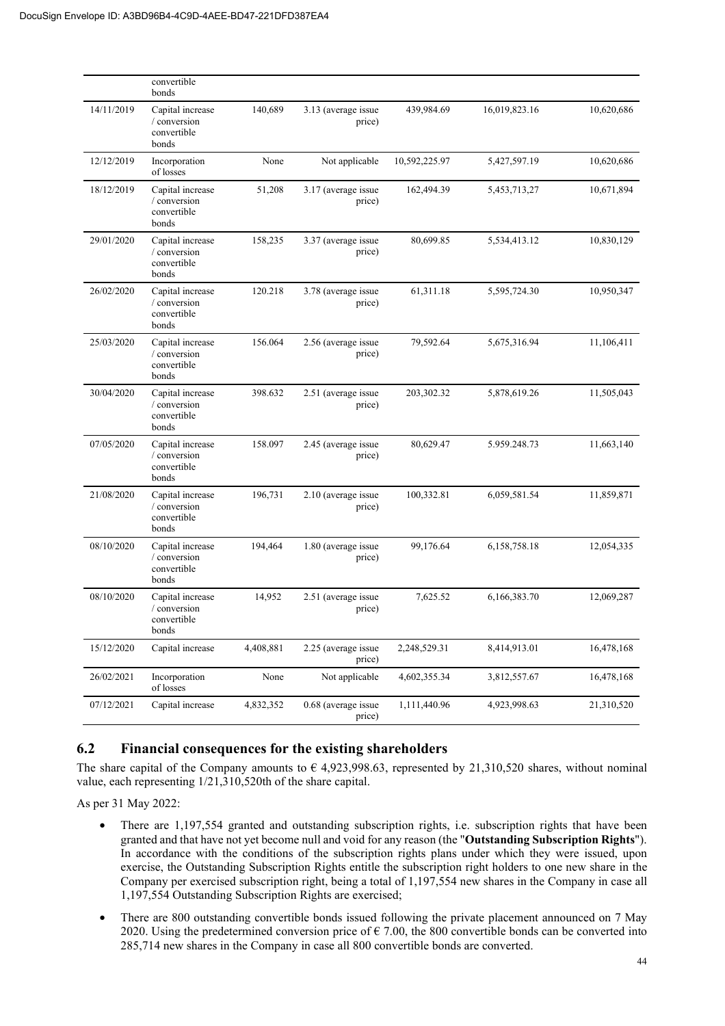|            | convertible<br>bonds                                     |           |                               |               |               |            |
|------------|----------------------------------------------------------|-----------|-------------------------------|---------------|---------------|------------|
| 14/11/2019 | Capital increase<br>/ conversion<br>convertible<br>bonds | 140,689   | 3.13 (average issue<br>price) | 439,984.69    | 16,019,823.16 | 10,620,686 |
| 12/12/2019 | Incorporation<br>of losses                               | None      | Not applicable                | 10,592,225.97 | 5,427,597.19  | 10,620,686 |
| 18/12/2019 | Capital increase<br>/ conversion<br>convertible<br>bonds | 51,208    | 3.17 (average issue<br>price) | 162,494.39    | 5,453,713,27  | 10,671,894 |
| 29/01/2020 | Capital increase<br>/ conversion<br>convertible<br>bonds | 158,235   | 3.37 (average issue<br>price) | 80,699.85     | 5,534,413.12  | 10,830,129 |
| 26/02/2020 | Capital increase<br>/ conversion<br>convertible<br>bonds | 120.218   | 3.78 (average issue<br>price) | 61,311.18     | 5,595,724.30  | 10,950,347 |
| 25/03/2020 | Capital increase<br>/ conversion<br>convertible<br>bonds | 156.064   | 2.56 (average issue<br>price) | 79,592.64     | 5,675,316.94  | 11,106,411 |
| 30/04/2020 | Capital increase<br>/ conversion<br>convertible<br>bonds | 398.632   | 2.51 (average issue<br>price) | 203,302.32    | 5,878,619.26  | 11,505,043 |
| 07/05/2020 | Capital increase<br>/ conversion<br>convertible<br>bonds | 158.097   | 2.45 (average issue<br>price) | 80,629.47     | 5.959.248.73  | 11,663,140 |
| 21/08/2020 | Capital increase<br>/ conversion<br>convertible<br>bonds | 196,731   | 2.10 (average issue<br>price) | 100,332.81    | 6,059,581.54  | 11,859,871 |
| 08/10/2020 | Capital increase<br>/ conversion<br>convertible<br>bonds | 194,464   | 1.80 (average issue<br>price) | 99,176.64     | 6,158,758.18  | 12,054,335 |
| 08/10/2020 | Capital increase<br>/ conversion<br>convertible<br>bonds | 14,952    | 2.51 (average issue<br>price) | 7,625.52      | 6,166,383.70  | 12,069,287 |
| 15/12/2020 | Capital increase                                         | 4,408,881 | 2.25 (average issue<br>price) | 2,248,529.31  | 8,414,913.01  | 16,478,168 |
| 26/02/2021 | Incorporation<br>of losses                               | None      | Not applicable                | 4,602,355.34  | 3,812,557.67  | 16,478,168 |
| 07/12/2021 | Capital increase                                         | 4,832,352 | 0.68 (average issue<br>price) | 1,111,440.96  | 4,923,998.63  | 21,310,520 |

# **6.2 Financial consequences for the existing shareholders**

The share capital of the Company amounts to  $\epsilon$  4,923,998.63, represented by 21,310,520 shares, without nominal value, each representing 1/21,310,520th of the share capital.

As per 31 May 2022:

- There are 1,197,554 granted and outstanding subscription rights, i.e. subscription rights that have been granted and that have not yet become null and void for any reason (the "**Outstanding Subscription Rights**"). In accordance with the conditions of the subscription rights plans under which they were issued, upon exercise, the Outstanding Subscription Rights entitle the subscription right holders to one new share in the Company per exercised subscription right, being a total of 1,197,554 new shares in the Company in case all 1,197,554 Outstanding Subscription Rights are exercised;
- There are 800 outstanding convertible bonds issued following the private placement announced on 7 May 2020. Using the predetermined conversion price of  $\epsilon$  7.00, the 800 convertible bonds can be converted into 285,714 new shares in the Company in case all 800 convertible bonds are converted.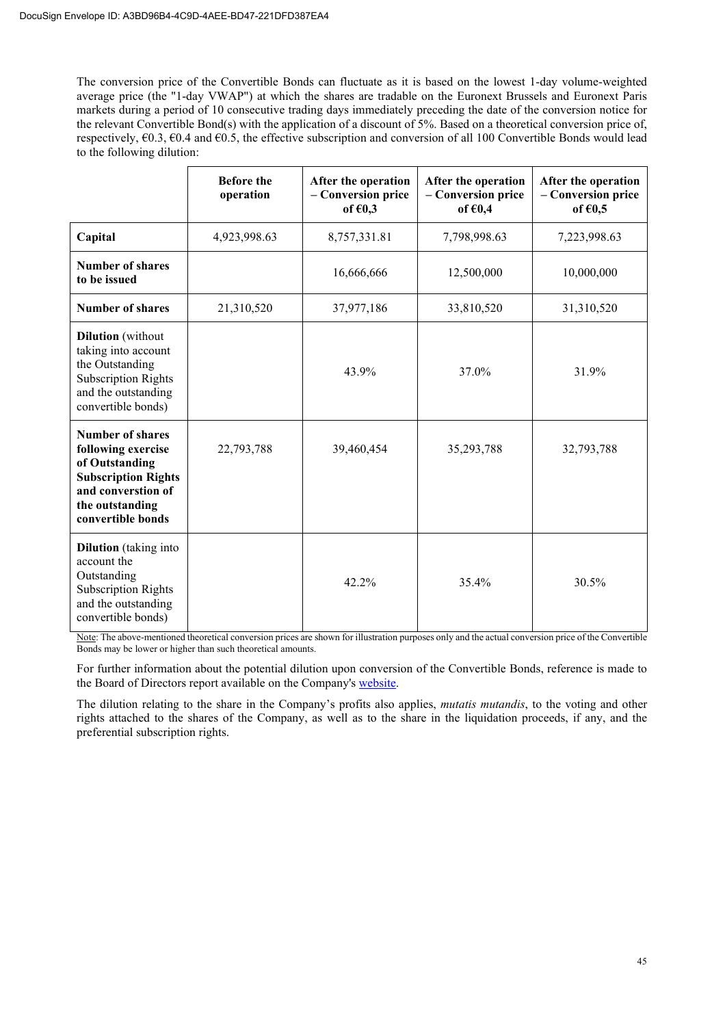The conversion price of the Convertible Bonds can fluctuate as it is based on the lowest 1-day volume-weighted average price (the "1-day VWAP") at which the shares are tradable on the Euronext Brussels and Euronext Paris markets during a period of 10 consecutive trading days immediately preceding the date of the conversion notice for the relevant Convertible Bond(s) with the application of a discount of 5%. Based on a theoretical conversion price of, respectively,  $\epsilon$ 0.3,  $\epsilon$ 0.4 and  $\epsilon$ 0.5, the effective subscription and conversion of all 100 Convertible Bonds would lead to the following dilution:

|                                                                                                                                                             | <b>Before the</b><br>operation | After the operation<br>- Conversion price<br>of $60,3$ | After the operation<br>- Conversion price<br>of $€0,4$ | After the operation<br>- Conversion price<br>of $60,5$ |
|-------------------------------------------------------------------------------------------------------------------------------------------------------------|--------------------------------|--------------------------------------------------------|--------------------------------------------------------|--------------------------------------------------------|
| Capital                                                                                                                                                     | 4,923,998.63                   | 8,757,331.81                                           | 7,798,998.63                                           | 7,223,998.63                                           |
| <b>Number of shares</b><br>to be issued                                                                                                                     |                                | 16,666,666                                             | 12,500,000                                             | 10,000,000                                             |
| <b>Number of shares</b>                                                                                                                                     | 21,310,520                     | 37,977,186                                             | 33,810,520                                             | 31,310,520                                             |
| <b>Dilution</b> (without<br>taking into account<br>the Outstanding<br><b>Subscription Rights</b><br>and the outstanding<br>convertible bonds)               |                                | 43.9%                                                  | 37.0%                                                  | 31.9%                                                  |
| <b>Number of shares</b><br>following exercise<br>of Outstanding<br><b>Subscription Rights</b><br>and converstion of<br>the outstanding<br>convertible bonds | 22,793,788                     | 39,460,454                                             | 35,293,788                                             | 32,793,788                                             |
| <b>Dilution</b> (taking into<br>account the<br>Outstanding<br><b>Subscription Rights</b><br>and the outstanding<br>convertible bonds)                       |                                | 42.2%                                                  | 35.4%                                                  | 30.5%                                                  |

Note: The above-mentioned theoretical conversion prices are shown for illustration purposes only and the actual conversion price of the Convertible Bonds may be lower or higher than such theoretical amounts.

For further information about the potential dilution upon conversion of the Convertible Bonds, reference is made to the Board of Directors report available on the Company's website.

The dilution relating to the share in the Company's profits also applies, *mutatis mutandis*, to the voting and other rights attached to the shares of the Company, as well as to the share in the liquidation proceeds, if any, and the preferential subscription rights.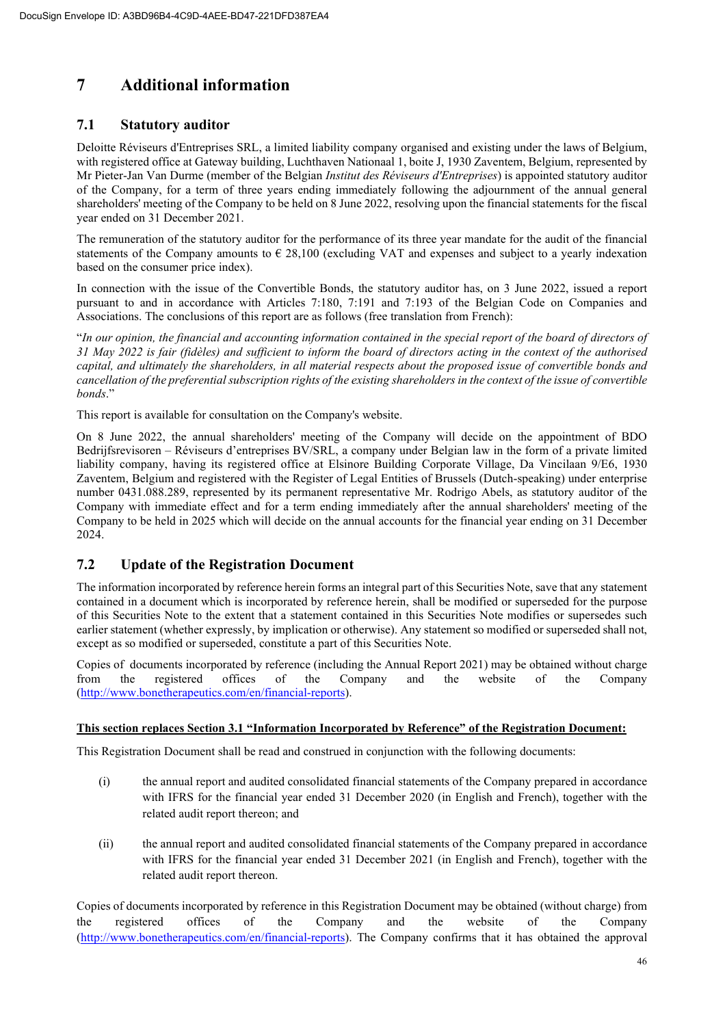# **7 Additional information**

# **7.1 Statutory auditor**

Deloitte Réviseurs d'Entreprises SRL, a limited liability company organised and existing under the laws of Belgium, with registered office at Gateway building, Luchthaven Nationaal 1, boite J, 1930 Zaventem, Belgium, represented by Mr Pieter-Jan Van Durme (member of the Belgian *Institut des Réviseurs d'Entreprises*) is appointed statutory auditor of the Company, for a term of three years ending immediately following the adjournment of the annual general shareholders' meeting of the Company to be held on 8 June 2022, resolving upon the financial statements for the fiscal year ended on 31 December 2021.

The remuneration of the statutory auditor for the performance of its three year mandate for the audit of the financial statements of the Company amounts to  $\epsilon$  28,100 (excluding VAT and expenses and subject to a yearly indexation based on the consumer price index).

In connection with the issue of the Convertible Bonds, the statutory auditor has, on 3 June 2022, issued a report pursuant to and in accordance with Articles 7:180, 7:191 and 7:193 of the Belgian Code on Companies and Associations. The conclusions of this report are as follows (free translation from French):

"*In our opinion, the financial and accounting information contained in the special report of the board of directors of 31 May 2022 is fair (fidèles) and sufficient to inform the board of directors acting in the context of the authorised capital, and ultimately the shareholders, in all material respects about the proposed issue of convertible bonds and cancellation of the preferential subscription rights of the existing shareholders in the context of the issue of convertible bonds*."

This report is available for consultation on the Company's website.

On 8 June 2022, the annual shareholders' meeting of the Company will decide on the appointment of BDO Bedrijfsrevisoren – Réviseurs d'entreprises BV/SRL, a company under Belgian law in the form of a private limited liability company, having its registered office at Elsinore Building Corporate Village, Da Vincilaan 9/E6, 1930 Zaventem, Belgium and registered with the Register of Legal Entities of Brussels (Dutch-speaking) under enterprise number 0431.088.289, represented by its permanent representative Mr. Rodrigo Abels, as statutory auditor of the Company with immediate effect and for a term ending immediately after the annual shareholders' meeting of the Company to be held in 2025 which will decide on the annual accounts for the financial year ending on 31 December 2024.

# **7.2 Update of the Registration Document**

The information incorporated by reference herein forms an integral part of this Securities Note, save that any statement contained in a document which is incorporated by reference herein, shall be modified or superseded for the purpose of this Securities Note to the extent that a statement contained in this Securities Note modifies or supersedes such earlier statement (whether expressly, by implication or otherwise). Any statement so modified or superseded shall not, except as so modified or superseded, constitute a part of this Securities Note.

Copies of documents incorporated by reference (including the Annual Report 2021) may be obtained without charge from the registered offices of the Company and the website of the Company (http://www.bonetherapeutics.com/en/financial-reports).

# **This section replaces Section 3.1 "Information Incorporated by Reference" of the Registration Document:**

This Registration Document shall be read and construed in conjunction with the following documents:

- (i) the annual report and audited consolidated financial statements of the Company prepared in accordance with IFRS for the financial year ended 31 December 2020 (in English and French), together with the related audit report thereon; and
- (ii) the annual report and audited consolidated financial statements of the Company prepared in accordance with IFRS for the financial year ended 31 December 2021 (in English and French), together with the related audit report thereon.

Copies of documents incorporated by reference in this Registration Document may be obtained (without charge) from the registered offices of the Company and the website of the Company (http://www.bonetherapeutics.com/en/financial-reports). The Company confirms that it has obtained the approval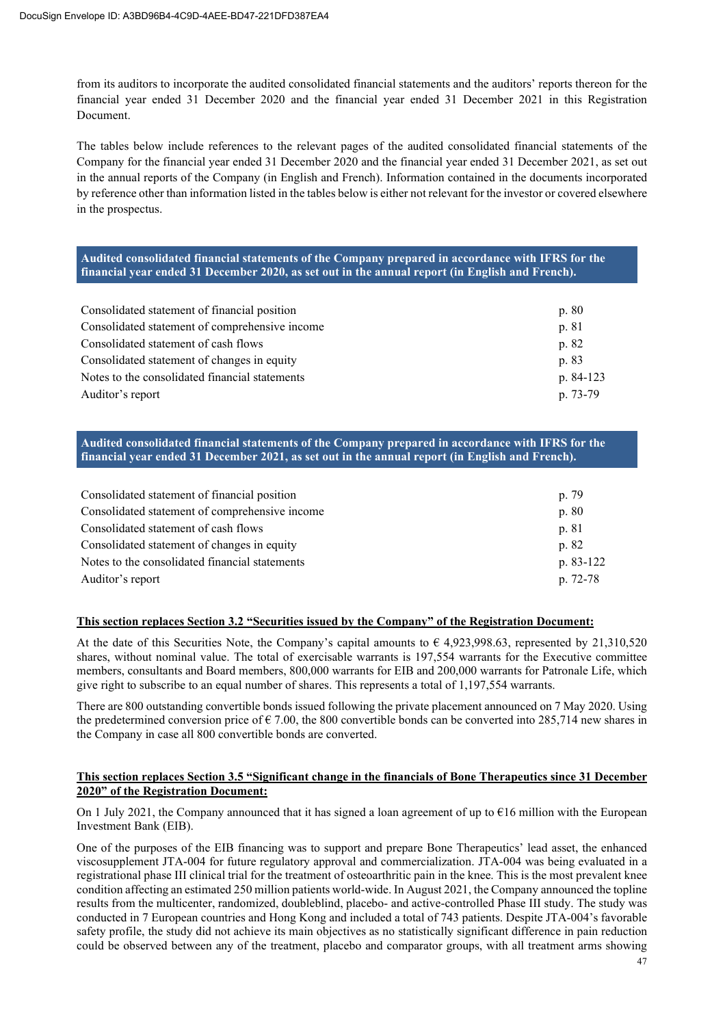from its auditors to incorporate the audited consolidated financial statements and the auditors' reports thereon for the financial year ended 31 December 2020 and the financial year ended 31 December 2021 in this Registration Document.

The tables below include references to the relevant pages of the audited consolidated financial statements of the Company for the financial year ended 31 December 2020 and the financial year ended 31 December 2021, as set out in the annual reports of the Company (in English and French). Information contained in the documents incorporated by reference other than information listed in the tables below is either not relevant for the investor or covered elsewhere in the prospectus.

# **Audited consolidated financial statements of the Company prepared in accordance with IFRS for the financial year ended 31 December 2020, as set out in the annual report (in English and French).**

| Consolidated statement of financial position   | p. 80     |
|------------------------------------------------|-----------|
| Consolidated statement of comprehensive income | p. 81     |
| Consolidated statement of cash flows           | p. 82     |
| Consolidated statement of changes in equity    | p. 83     |
| Notes to the consolidated financial statements | p. 84-123 |
| Auditor's report                               | p. 73-79  |

**Audited consolidated financial statements of the Company prepared in accordance with IFRS for the financial year ended 31 December 2021, as set out in the annual report (in English and French).** 

| Consolidated statement of financial position   | p. 79     |
|------------------------------------------------|-----------|
| Consolidated statement of comprehensive income | p. 80     |
| Consolidated statement of cash flows           | p. 81     |
| Consolidated statement of changes in equity    | p. 82     |
| Notes to the consolidated financial statements | p. 83-122 |
| Auditor's report                               | p. 72-78  |

#### **This section replaces Section 3.2 "Securities issued by the Company" of the Registration Document:**

At the date of this Securities Note, the Company's capital amounts to  $\epsilon$  4,923,998.63, represented by 21,310,520 shares, without nominal value. The total of exercisable warrants is 197,554 warrants for the Executive committee members, consultants and Board members, 800,000 warrants for EIB and 200,000 warrants for Patronale Life, which give right to subscribe to an equal number of shares. This represents a total of 1,197,554 warrants.

There are 800 outstanding convertible bonds issued following the private placement announced on 7 May 2020. Using the predetermined conversion price of  $\epsilon$  7.00, the 800 convertible bonds can be converted into 285,714 new shares in the Company in case all 800 convertible bonds are converted.

# **This section replaces Section 3.5 "Significant change in the financials of Bone Therapeutics since 31 December 2020" of the Registration Document:**

On 1 July 2021, the Company announced that it has signed a loan agreement of up to  $\epsilon$ 16 million with the European Investment Bank (EIB).

One of the purposes of the EIB financing was to support and prepare Bone Therapeutics' lead asset, the enhanced viscosupplement JTA-004 for future regulatory approval and commercialization. JTA-004 was being evaluated in a registrational phase III clinical trial for the treatment of osteoarthritic pain in the knee. This is the most prevalent knee condition affecting an estimated 250 million patients world-wide. In August 2021, the Company announced the topline results from the multicenter, randomized, doubleblind, placebo- and active-controlled Phase III study. The study was conducted in 7 European countries and Hong Kong and included a total of 743 patients. Despite JTA-004's favorable safety profile, the study did not achieve its main objectives as no statistically significant difference in pain reduction could be observed between any of the treatment, placebo and comparator groups, with all treatment arms showing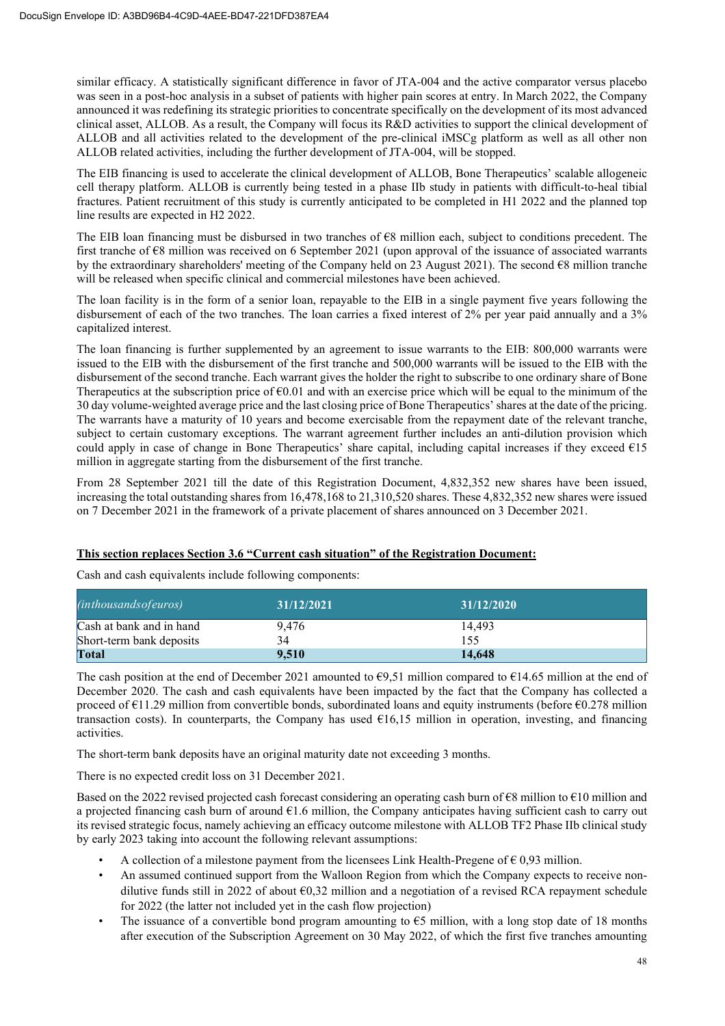similar efficacy. A statistically significant difference in favor of JTA-004 and the active comparator versus placebo was seen in a post-hoc analysis in a subset of patients with higher pain scores at entry. In March 2022, the Company announced it was redefining its strategic priorities to concentrate specifically on the development of its most advanced clinical asset, ALLOB. As a result, the Company will focus its R&D activities to support the clinical development of ALLOB and all activities related to the development of the pre-clinical iMSCg platform as well as all other non ALLOB related activities, including the further development of JTA-004, will be stopped.

The EIB financing is used to accelerate the clinical development of ALLOB, Bone Therapeutics' scalable allogeneic cell therapy platform. ALLOB is currently being tested in a phase IIb study in patients with difficult-to-heal tibial fractures. Patient recruitment of this study is currently anticipated to be completed in H1 2022 and the planned top line results are expected in H2 2022.

The EIB loan financing must be disbursed in two tranches of €8 million each, subject to conditions precedent. The first tranche of €8 million was received on 6 September 2021 (upon approval of the issuance of associated warrants by the extraordinary shareholders' meeting of the Company held on 23 August 2021). The second €8 million tranche will be released when specific clinical and commercial milestones have been achieved.

The loan facility is in the form of a senior loan, repayable to the EIB in a single payment five years following the disbursement of each of the two tranches. The loan carries a fixed interest of 2% per year paid annually and a 3% capitalized interest.

The loan financing is further supplemented by an agreement to issue warrants to the EIB: 800,000 warrants were issued to the EIB with the disbursement of the first tranche and 500,000 warrants will be issued to the EIB with the disbursement of the second tranche. Each warrant gives the holder the right to subscribe to one ordinary share of Bone Therapeutics at the subscription price of  $60.01$  and with an exercise price which will be equal to the minimum of the 30 day volume-weighted average price and the last closing price of Bone Therapeutics' shares at the date of the pricing. The warrants have a maturity of 10 years and become exercisable from the repayment date of the relevant tranche, subject to certain customary exceptions. The warrant agreement further includes an anti-dilution provision which could apply in case of change in Bone Therapeutics' share capital, including capital increases if they exceed  $\epsilon$ 15 million in aggregate starting from the disbursement of the first tranche.

From 28 September 2021 till the date of this Registration Document, 4,832,352 new shares have been issued, increasing the total outstanding shares from 16,478,168 to 21,310,520 shares. These 4,832,352 new shares were issued on 7 December 2021 in the framework of a private placement of shares announced on 3 December 2021.

# **This section replaces Section 3.6 "Current cash situation" of the Registration Document:**

Cash and cash equivalents include following components:

| <i>(inthousands of euros)</i> | 31/12/2021 | 31/12/2020 |
|-------------------------------|------------|------------|
| Cash at bank and in hand      | 9.476      | 14.493     |
| Short-term bank deposits      | 34         | 155        |
| <b>Total</b>                  | 9.510      | 14.648     |

The cash position at the end of December 2021 amounted to  $\epsilon$ 9,51 million compared to  $\epsilon$ 14.65 million at the end of December 2020. The cash and cash equivalents have been impacted by the fact that the Company has collected a proceed of  $\epsilon$ 11.29 million from convertible bonds, subordinated loans and equity instruments (before  $\epsilon$ 0.278 million transaction costs). In counterparts, the Company has used  $\epsilon$ 16,15 million in operation, investing, and financing activities.

The short-term bank deposits have an original maturity date not exceeding 3 months.

There is no expected credit loss on 31 December 2021.

Based on the 2022 revised projected cash forecast considering an operating cash burn of  $\epsilon$ 8 million to  $\epsilon$ 10 million and a projected financing cash burn of around  $61.6$  million, the Company anticipates having sufficient cash to carry out its revised strategic focus, namely achieving an efficacy outcome milestone with ALLOB TF2 Phase IIb clinical study by early 2023 taking into account the following relevant assumptions:

- A collection of a milestone payment from the licensees Link Health-Pregene of  $\epsilon$  0,93 million.
- An assumed continued support from the Walloon Region from which the Company expects to receive nondilutive funds still in 2022 of about €0,32 million and a negotiation of a revised RCA repayment schedule for 2022 (the latter not included yet in the cash flow projection)
- The issuance of a convertible bond program amounting to  $65$  million, with a long stop date of 18 months after execution of the Subscription Agreement on 30 May 2022, of which the first five tranches amounting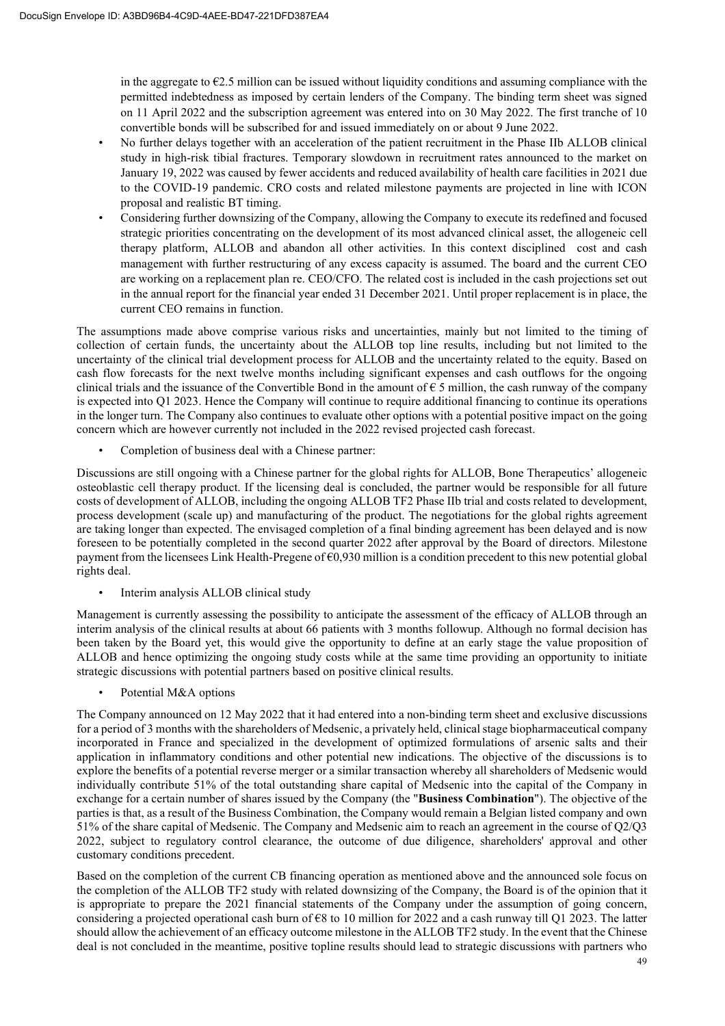in the aggregate to  $\epsilon$ 2.5 million can be issued without liquidity conditions and assuming compliance with the permitted indebtedness as imposed by certain lenders of the Company. The binding term sheet was signed on 11 April 2022 and the subscription agreement was entered into on 30 May 2022. The first tranche of 10 convertible bonds will be subscribed for and issued immediately on or about 9 June 2022.

- No further delays together with an acceleration of the patient recruitment in the Phase IIb ALLOB clinical study in high-risk tibial fractures. Temporary slowdown in recruitment rates announced to the market on January 19, 2022 was caused by fewer accidents and reduced availability of health care facilities in 2021 due to the COVID-19 pandemic. CRO costs and related milestone payments are projected in line with ICON proposal and realistic BT timing.
- Considering further downsizing of the Company, allowing the Company to execute its redefined and focused strategic priorities concentrating on the development of its most advanced clinical asset, the allogeneic cell therapy platform, ALLOB and abandon all other activities. In this context disciplined cost and cash management with further restructuring of any excess capacity is assumed. The board and the current CEO are working on a replacement plan re. CEO/CFO. The related cost is included in the cash projections set out in the annual report for the financial year ended 31 December 2021. Until proper replacement is in place, the current CEO remains in function.

The assumptions made above comprise various risks and uncertainties, mainly but not limited to the timing of collection of certain funds, the uncertainty about the ALLOB top line results, including but not limited to the uncertainty of the clinical trial development process for ALLOB and the uncertainty related to the equity. Based on cash flow forecasts for the next twelve months including significant expenses and cash outflows for the ongoing clinical trials and the issuance of the Convertible Bond in the amount of  $\epsilon$  5 million, the cash runway of the company is expected into Q1 2023. Hence the Company will continue to require additional financing to continue its operations in the longer turn. The Company also continues to evaluate other options with a potential positive impact on the going concern which are however currently not included in the 2022 revised projected cash forecast.

• Completion of business deal with a Chinese partner:

Discussions are still ongoing with a Chinese partner for the global rights for ALLOB, Bone Therapeutics' allogeneic osteoblastic cell therapy product. If the licensing deal is concluded, the partner would be responsible for all future costs of development of ALLOB, including the ongoing ALLOB TF2 Phase IIb trial and costs related to development, process development (scale up) and manufacturing of the product. The negotiations for the global rights agreement are taking longer than expected. The envisaged completion of a final binding agreement has been delayed and is now foreseen to be potentially completed in the second quarter 2022 after approval by the Board of directors. Milestone payment from the licensees Link Health-Pregene of €0,930 million is a condition precedent to this new potential global rights deal.

• Interim analysis ALLOB clinical study

Management is currently assessing the possibility to anticipate the assessment of the efficacy of ALLOB through an interim analysis of the clinical results at about 66 patients with 3 months followup. Although no formal decision has been taken by the Board yet, this would give the opportunity to define at an early stage the value proposition of ALLOB and hence optimizing the ongoing study costs while at the same time providing an opportunity to initiate strategic discussions with potential partners based on positive clinical results.

Potential M&A options

The Company announced on 12 May 2022 that it had entered into a non-binding term sheet and exclusive discussions for a period of 3 months with the shareholders of Medsenic, a privately held, clinical stage biopharmaceutical company incorporated in France and specialized in the development of optimized formulations of arsenic salts and their application in inflammatory conditions and other potential new indications. The objective of the discussions is to explore the benefits of a potential reverse merger or a similar transaction whereby all shareholders of Medsenic would individually contribute 51% of the total outstanding share capital of Medsenic into the capital of the Company in exchange for a certain number of shares issued by the Company (the "**Business Combination**"). The objective of the parties is that, as a result of the Business Combination, the Company would remain a Belgian listed company and own 51% of the share capital of Medsenic. The Company and Medsenic aim to reach an agreement in the course of Q2/Q3 2022, subject to regulatory control clearance, the outcome of due diligence, shareholders' approval and other customary conditions precedent.

Based on the completion of the current CB financing operation as mentioned above and the announced sole focus on the completion of the ALLOB TF2 study with related downsizing of the Company, the Board is of the opinion that it is appropriate to prepare the 2021 financial statements of the Company under the assumption of going concern, considering a projected operational cash burn of  $68$  to 10 million for 2022 and a cash runway till Q1 2023. The latter should allow the achievement of an efficacy outcome milestone in the ALLOB TF2 study. In the event that the Chinese deal is not concluded in the meantime, positive topline results should lead to strategic discussions with partners who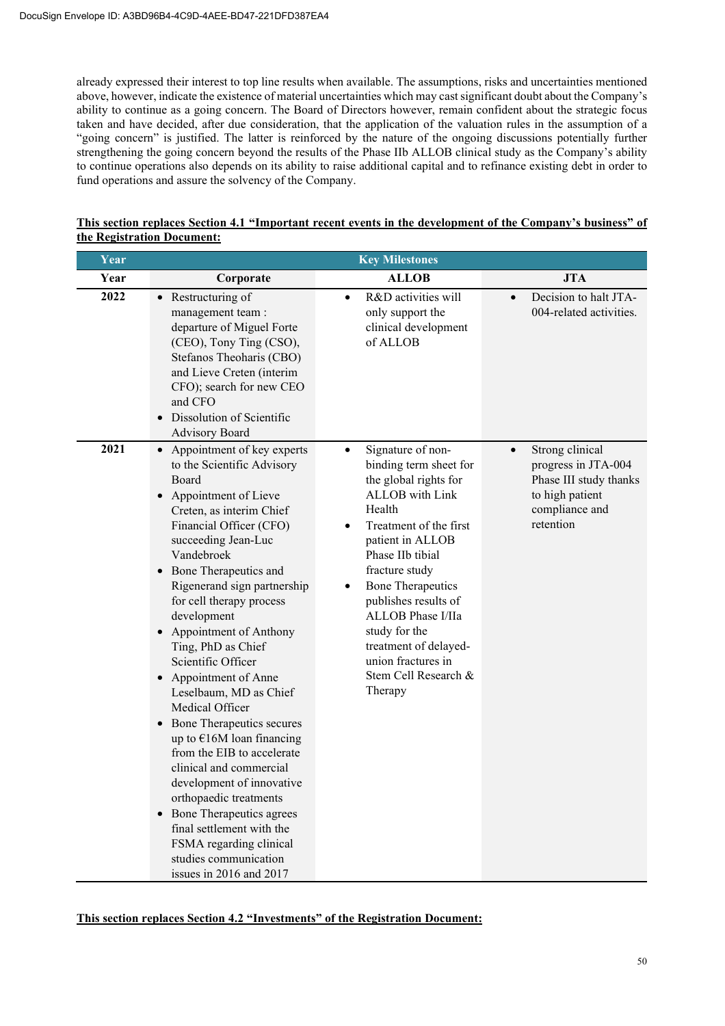already expressed their interest to top line results when available. The assumptions, risks and uncertainties mentioned above, however, indicate the existence of material uncertainties which may cast significant doubt about the Company's ability to continue as a going concern. The Board of Directors however, remain confident about the strategic focus taken and have decided, after due consideration, that the application of the valuation rules in the assumption of a "going concern" is justified. The latter is reinforced by the nature of the ongoing discussions potentially further strengthening the going concern beyond the results of the Phase IIb ALLOB clinical study as the Company's ability to continue operations also depends on its ability to raise additional capital and to refinance existing debt in order to fund operations and assure the solvency of the Company.

| Year |                                                                                                                                                                                                                                                                                                                                                                                                                                                                                                                                                                                                                                                                                                                                                              | <b>Key Milestones</b>                                                                                                                                                                                                                                                                                                                                                                      |                                                                                                                                 |
|------|--------------------------------------------------------------------------------------------------------------------------------------------------------------------------------------------------------------------------------------------------------------------------------------------------------------------------------------------------------------------------------------------------------------------------------------------------------------------------------------------------------------------------------------------------------------------------------------------------------------------------------------------------------------------------------------------------------------------------------------------------------------|--------------------------------------------------------------------------------------------------------------------------------------------------------------------------------------------------------------------------------------------------------------------------------------------------------------------------------------------------------------------------------------------|---------------------------------------------------------------------------------------------------------------------------------|
| Year | Corporate                                                                                                                                                                                                                                                                                                                                                                                                                                                                                                                                                                                                                                                                                                                                                    | <b>ALLOB</b>                                                                                                                                                                                                                                                                                                                                                                               | <b>JTA</b>                                                                                                                      |
| 2022 | • Restructuring of<br>management team:<br>departure of Miguel Forte<br>(CEO), Tony Ting (CSO),<br>Stefanos Theoharis (CBO)<br>and Lieve Creten (interim<br>CFO); search for new CEO<br>and CFO<br>Dissolution of Scientific<br><b>Advisory Board</b>                                                                                                                                                                                                                                                                                                                                                                                                                                                                                                         | R&D activities will<br>$\bullet$<br>only support the<br>clinical development<br>of ALLOB                                                                                                                                                                                                                                                                                                   | Decision to halt JTA-<br>$\bullet$<br>004-related activities.                                                                   |
| 2021 | • Appointment of key experts<br>to the Scientific Advisory<br>Board<br>Appointment of Lieve<br>Creten, as interim Chief<br>Financial Officer (CFO)<br>succeeding Jean-Luc<br>Vandebroek<br>• Bone Therapeutics and<br>Rigenerand sign partnership<br>for cell therapy process<br>development<br>Appointment of Anthony<br>Ting, PhD as Chief<br>Scientific Officer<br>Appointment of Anne<br>Leselbaum, MD as Chief<br>Medical Officer<br>• Bone Therapeutics secures<br>up to $E16M$ loan financing<br>from the EIB to accelerate<br>clinical and commercial<br>development of innovative<br>orthopaedic treatments<br>Bone Therapeutics agrees<br>final settlement with the<br>FSMA regarding clinical<br>studies communication<br>issues in 2016 and 2017 | Signature of non-<br>٠<br>binding term sheet for<br>the global rights for<br><b>ALLOB</b> with Link<br>Health<br>Treatment of the first<br>patient in ALLOB<br>Phase IIb tibial<br>fracture study<br><b>Bone Therapeutics</b><br>$\bullet$<br>publishes results of<br>ALLOB Phase I/IIa<br>study for the<br>treatment of delayed-<br>union fractures in<br>Stem Cell Research &<br>Therapy | Strong clinical<br>$\bullet$<br>progress in JTA-004<br>Phase III study thanks<br>to high patient<br>compliance and<br>retention |

# **This section replaces Section 4.1 "Important recent events in the development of the Company's business" of the Registration Document:**

**This section replaces Section 4.2 "Investments" of the Registration Document:**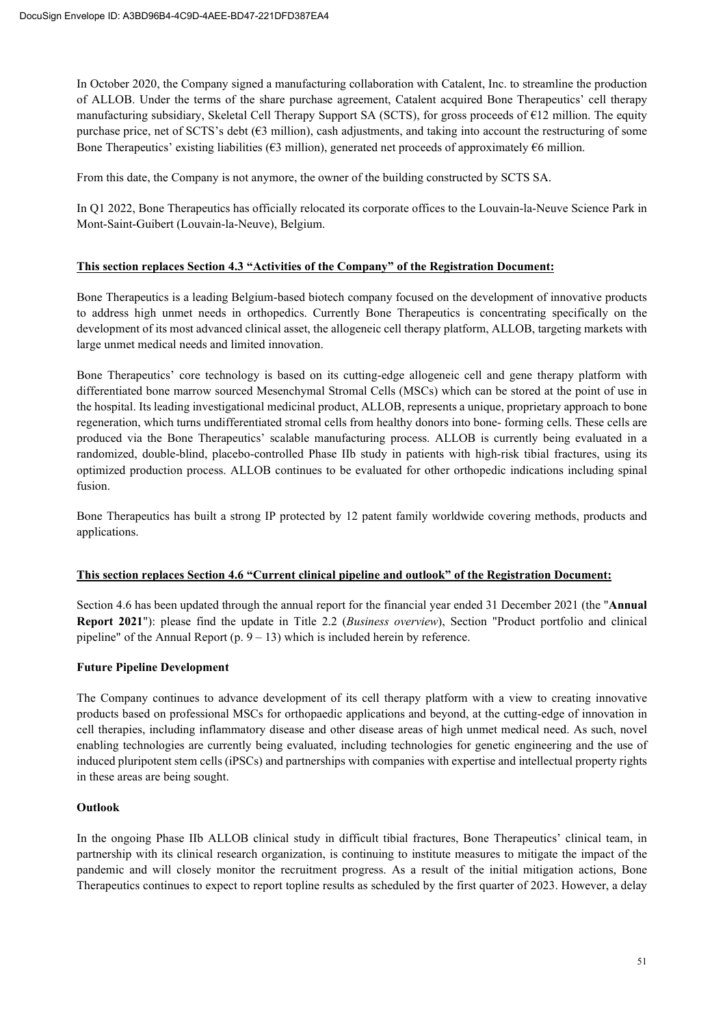In October 2020, the Company signed a manufacturing collaboration with Catalent, Inc. to streamline the production of ALLOB. Under the terms of the share purchase agreement, Catalent acquired Bone Therapeutics' cell therapy manufacturing subsidiary, Skeletal Cell Therapy Support SA (SCTS), for gross proceeds of €12 million. The equity purchase price, net of SCTS's debt  $(63 \text{ million})$ , cash adjustments, and taking into account the restructuring of some Bone Therapeutics' existing liabilities ( $63$  million), generated net proceeds of approximately  $66$  million.

From this date, the Company is not anymore, the owner of the building constructed by SCTS SA.

In Q1 2022, Bone Therapeutics has officially relocated its corporate offices to the Louvain-la-Neuve Science Park in Mont-Saint-Guibert (Louvain-la-Neuve), Belgium.

# **This section replaces Section 4.3 "Activities of the Company" of the Registration Document:**

Bone Therapeutics is a leading Belgium-based biotech company focused on the development of innovative products to address high unmet needs in orthopedics. Currently Bone Therapeutics is concentrating specifically on the development of its most advanced clinical asset, the allogeneic cell therapy platform, ALLOB, targeting markets with large unmet medical needs and limited innovation.

Bone Therapeutics' core technology is based on its cutting-edge allogeneic cell and gene therapy platform with differentiated bone marrow sourced Mesenchymal Stromal Cells (MSCs) which can be stored at the point of use in the hospital. Its leading investigational medicinal product, ALLOB, represents a unique, proprietary approach to bone regeneration, which turns undifferentiated stromal cells from healthy donors into bone- forming cells. These cells are produced via the Bone Therapeutics' scalable manufacturing process. ALLOB is currently being evaluated in a randomized, double-blind, placebo-controlled Phase IIb study in patients with high-risk tibial fractures, using its optimized production process. ALLOB continues to be evaluated for other orthopedic indications including spinal fusion.

Bone Therapeutics has built a strong IP protected by 12 patent family worldwide covering methods, products and applications.

# **This section replaces Section 4.6 "Current clinical pipeline and outlook" of the Registration Document:**

Section 4.6 has been updated through the annual report for the financial year ended 31 December 2021 (the "**Annual Report 2021**"): please find the update in Title 2.2 (*Business overview*), Section "Product portfolio and clinical pipeline" of the Annual Report  $(p. 9 - 13)$  which is included herein by reference.

# **Future Pipeline Development**

The Company continues to advance development of its cell therapy platform with a view to creating innovative products based on professional MSCs for orthopaedic applications and beyond, at the cutting-edge of innovation in cell therapies, including inflammatory disease and other disease areas of high unmet medical need. As such, novel enabling technologies are currently being evaluated, including technologies for genetic engineering and the use of induced pluripotent stem cells (iPSCs) and partnerships with companies with expertise and intellectual property rights in these areas are being sought.

# **Outlook**

In the ongoing Phase IIb ALLOB clinical study in difficult tibial fractures, Bone Therapeutics' clinical team, in partnership with its clinical research organization, is continuing to institute measures to mitigate the impact of the pandemic and will closely monitor the recruitment progress. As a result of the initial mitigation actions, Bone Therapeutics continues to expect to report topline results as scheduled by the first quarter of 2023. However, a delay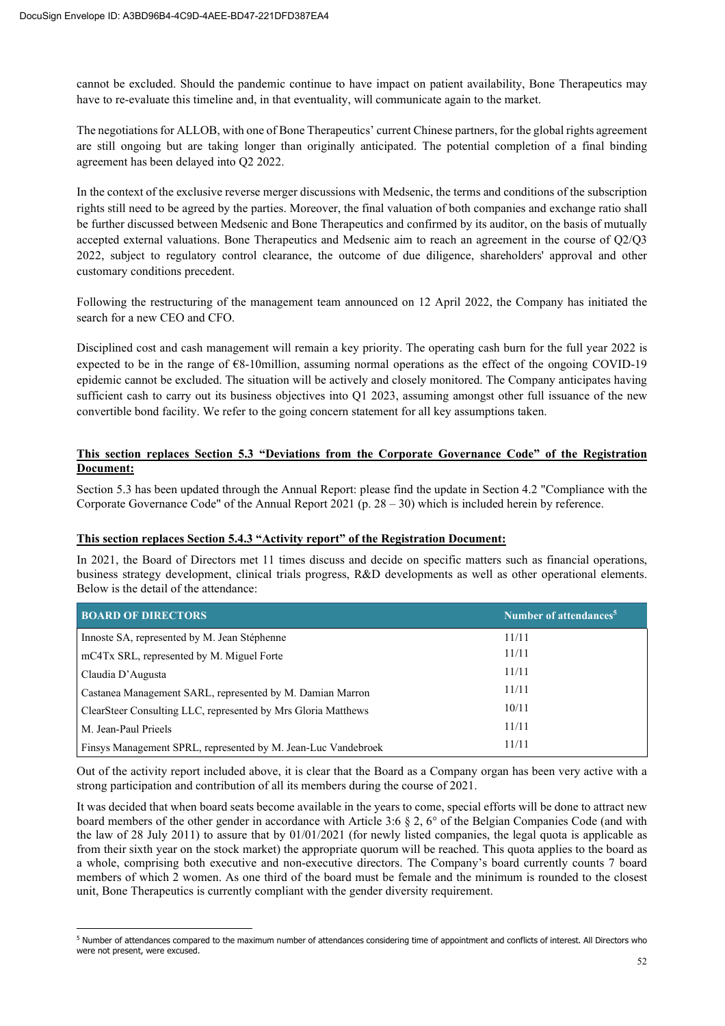cannot be excluded. Should the pandemic continue to have impact on patient availability, Bone Therapeutics may have to re-evaluate this timeline and, in that eventuality, will communicate again to the market.

The negotiations for ALLOB, with one of Bone Therapeutics' current Chinese partners, for the global rights agreement are still ongoing but are taking longer than originally anticipated. The potential completion of a final binding agreement has been delayed into Q2 2022.

In the context of the exclusive reverse merger discussions with Medsenic, the terms and conditions of the subscription rights still need to be agreed by the parties. Moreover, the final valuation of both companies and exchange ratio shall be further discussed between Medsenic and Bone Therapeutics and confirmed by its auditor, on the basis of mutually accepted external valuations. Bone Therapeutics and Medsenic aim to reach an agreement in the course of Q2/Q3 2022, subject to regulatory control clearance, the outcome of due diligence, shareholders' approval and other customary conditions precedent.

Following the restructuring of the management team announced on 12 April 2022, the Company has initiated the search for a new CEO and CFO.

Disciplined cost and cash management will remain a key priority. The operating cash burn for the full year 2022 is expected to be in the range of  $68$ -10million, assuming normal operations as the effect of the ongoing COVID-19 epidemic cannot be excluded. The situation will be actively and closely monitored. The Company anticipates having sufficient cash to carry out its business objectives into Q1 2023, assuming amongst other full issuance of the new convertible bond facility. We refer to the going concern statement for all key assumptions taken.

# **This section replaces Section 5.3 "Deviations from the Corporate Governance Code" of the Registration Document:**

Section 5.3 has been updated through the Annual Report: please find the update in Section 4.2 "Compliance with the Corporate Governance Code" of the Annual Report 2021 (p. 28 – 30) which is included herein by reference.

# **This section replaces Section 5.4.3 "Activity report" of the Registration Document:**

In 2021, the Board of Directors met 11 times discuss and decide on specific matters such as financial operations, business strategy development, clinical trials progress, R&D developments as well as other operational elements. Below is the detail of the attendance:

| <b>BOARD OF DIRECTORS</b>                                     | Number of attendances <sup>5</sup> |
|---------------------------------------------------------------|------------------------------------|
| Innoste SA, represented by M. Jean Stéphenne                  | 11/11                              |
| mC4Tx SRL, represented by M. Miguel Forte                     | 11/11                              |
| Claudia D'Augusta                                             | 11/11                              |
| Castanea Management SARL, represented by M. Damian Marron     | 11/11                              |
| ClearSteer Consulting LLC, represented by Mrs Gloria Matthews | 10/11                              |
| M. Jean-Paul Prieels                                          | 11/11                              |
| Finsys Management SPRL, represented by M. Jean-Luc Vandebroek | 11/11                              |

Out of the activity report included above, it is clear that the Board as a Company organ has been very active with a strong participation and contribution of all its members during the course of 2021.

It was decided that when board seats become available in the years to come, special efforts will be done to attract new board members of the other gender in accordance with Article 3:6 § 2, 6° of the Belgian Companies Code (and with the law of 28 July 2011) to assure that by 01/01/2021 (for newly listed companies, the legal quota is applicable as from their sixth year on the stock market) the appropriate quorum will be reached. This quota applies to the board as a whole, comprising both executive and non-executive directors. The Company's board currently counts 7 board members of which 2 women. As one third of the board must be female and the minimum is rounded to the closest unit, Bone Therapeutics is currently compliant with the gender diversity requirement.

<sup>5</sup> Number of attendances compared to the maximum number of attendances considering time of appointment and conflicts of interest. All Directors who were not present, were excused.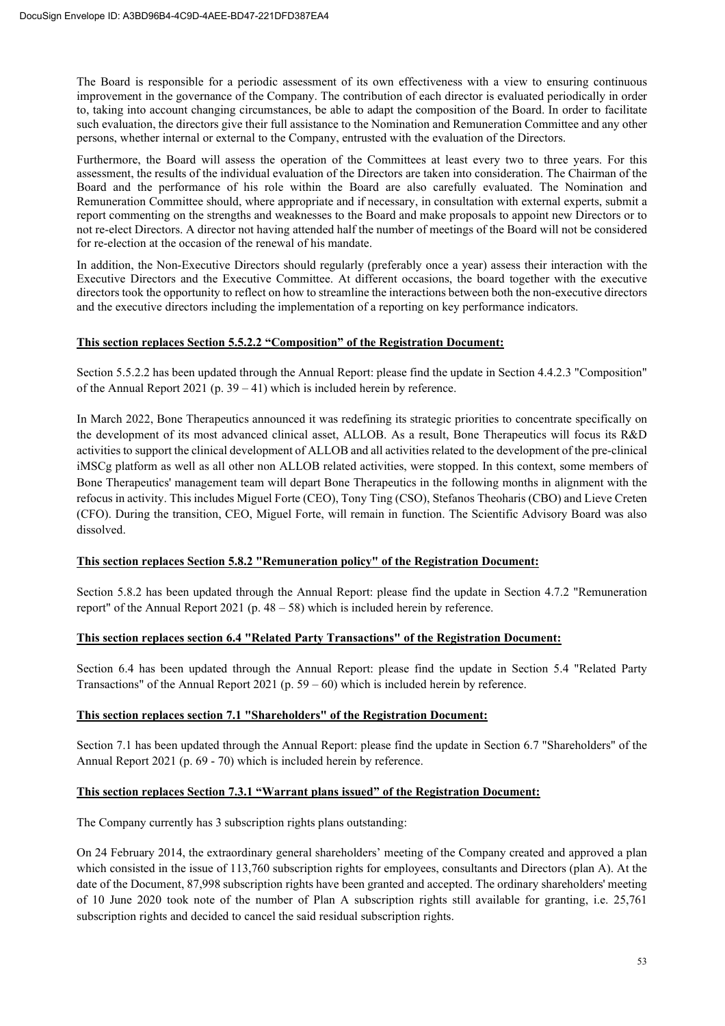The Board is responsible for a periodic assessment of its own effectiveness with a view to ensuring continuous improvement in the governance of the Company. The contribution of each director is evaluated periodically in order to, taking into account changing circumstances, be able to adapt the composition of the Board. In order to facilitate such evaluation, the directors give their full assistance to the Nomination and Remuneration Committee and any other persons, whether internal or external to the Company, entrusted with the evaluation of the Directors.

Furthermore, the Board will assess the operation of the Committees at least every two to three years. For this assessment, the results of the individual evaluation of the Directors are taken into consideration. The Chairman of the Board and the performance of his role within the Board are also carefully evaluated. The Nomination and Remuneration Committee should, where appropriate and if necessary, in consultation with external experts, submit a report commenting on the strengths and weaknesses to the Board and make proposals to appoint new Directors or to not re-elect Directors. A director not having attended half the number of meetings of the Board will not be considered for re-election at the occasion of the renewal of his mandate.

In addition, the Non-Executive Directors should regularly (preferably once a year) assess their interaction with the Executive Directors and the Executive Committee. At different occasions, the board together with the executive directors took the opportunity to reflect on how to streamline the interactions between both the non-executive directors and the executive directors including the implementation of a reporting on key performance indicators.

# **This section replaces Section 5.5.2.2 "Composition" of the Registration Document:**

Section 5.5.2.2 has been updated through the Annual Report: please find the update in Section 4.4.2.3 "Composition" of the Annual Report 2021 (p.  $39 - 41$ ) which is included herein by reference.

In March 2022, Bone Therapeutics announced it was redefining its strategic priorities to concentrate specifically on the development of its most advanced clinical asset, ALLOB. As a result, Bone Therapeutics will focus its R&D activities to support the clinical development of ALLOB and all activities related to the development of the pre-clinical iMSCg platform as well as all other non ALLOB related activities, were stopped. In this context, some members of Bone Therapeutics' management team will depart Bone Therapeutics in the following months in alignment with the refocus in activity. This includes Miguel Forte (CEO), Tony Ting (CSO), Stefanos Theoharis (CBO) and Lieve Creten (CFO). During the transition, CEO, Miguel Forte, will remain in function. The Scientific Advisory Board was also dissolved.

# **This section replaces Section 5.8.2 "Remuneration policy" of the Registration Document:**

Section 5.8.2 has been updated through the Annual Report: please find the update in Section 4.7.2 "Remuneration report" of the Annual Report 2021 (p.  $48 - 58$ ) which is included herein by reference.

# **This section replaces section 6.4 "Related Party Transactions" of the Registration Document:**

Section 6.4 has been updated through the Annual Report: please find the update in Section 5.4 "Related Party Transactions" of the Annual Report 2021 (p.  $59 - 60$ ) which is included herein by reference.

# **This section replaces section 7.1 "Shareholders" of the Registration Document:**

Section 7.1 has been updated through the Annual Report: please find the update in Section 6.7 "Shareholders" of the Annual Report 2021 (p. 69 - 70) which is included herein by reference.

# **This section replaces Section 7.3.1 "Warrant plans issued" of the Registration Document:**

The Company currently has 3 subscription rights plans outstanding:

On 24 February 2014, the extraordinary general shareholders' meeting of the Company created and approved a plan which consisted in the issue of 113,760 subscription rights for employees, consultants and Directors (plan A). At the date of the Document, 87,998 subscription rights have been granted and accepted. The ordinary shareholders' meeting of 10 June 2020 took note of the number of Plan A subscription rights still available for granting, i.e. 25,761 subscription rights and decided to cancel the said residual subscription rights.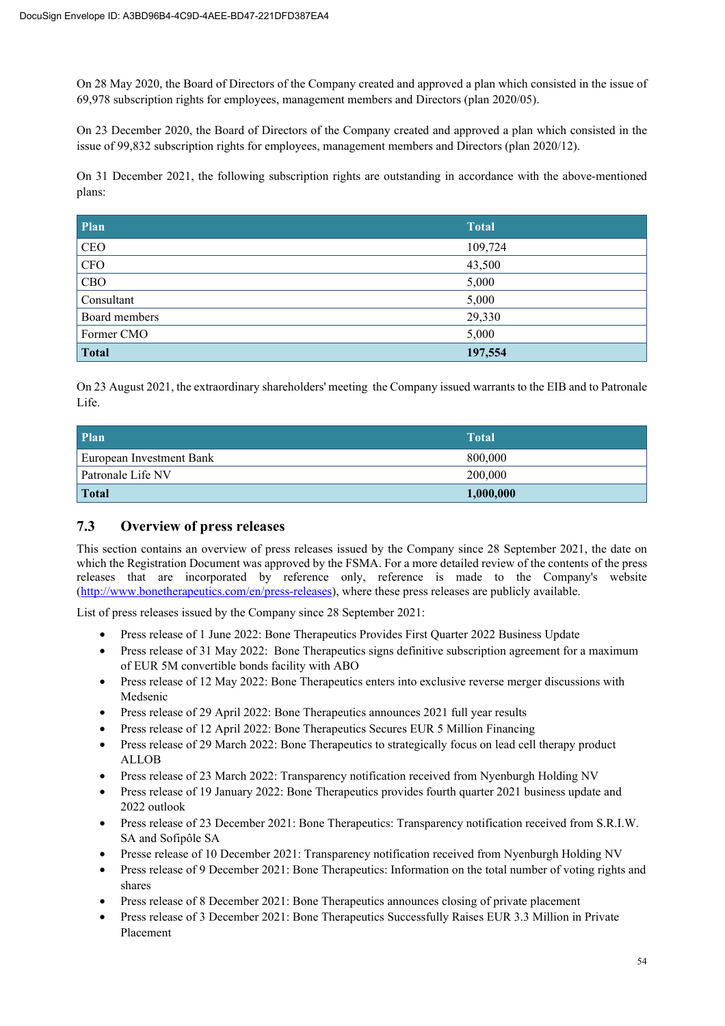On 28 May 2020, the Board of Directors of the Company created and approved a plan which consisted in the issue of 69,978 subscription rights for employees, management members and Directors (plan 2020/05).

On 23 December 2020, the Board of Directors of the Company created and approved a plan which consisted in the issue of 99,832 subscription rights for employees, management members and Directors (plan 2020/12).

On 31 December 2021, the following subscription rights are outstanding in accordance with the above-mentioned plans:

| <b>Plan</b>   | <b>Total</b> |
|---------------|--------------|
| CEO           | 109,724      |
| CFO           | 43,500       |
| CBO           | 5,000        |
| Consultant    | 5,000        |
| Board members | 29,330       |
| Former CMO    | 5,000        |
| <b>Total</b>  | 197,554      |

On 23 August 2021, the extraordinary shareholders' meeting the Company issued warrants to the EIB and to Patronale Life.

| <b>Plan</b>              | <b>Total</b> |
|--------------------------|--------------|
| European Investment Bank | 800,000      |
| Patronale Life NV        | 200,000      |
| Total                    | 1,000,000    |

# **7.3 Overview of press releases**

This section contains an overview of press releases issued by the Company since 28 September 2021, the date on which the Registration Document was approved by the FSMA. For a more detailed review of the contents of the press releases that are incorporated by reference only, reference is made to the Company's website (http://www.bonetherapeutics.com/en/press-releases), where these press releases are publicly available.

List of press releases issued by the Company since 28 September 2021:

- Press release of 1 June 2022: Bone Therapeutics Provides First Quarter 2022 Business Update
- Press release of 31 May 2022: Bone Therapeutics signs definitive subscription agreement for a maximum of EUR 5M convertible bonds facility with ABO
- Press release of 12 May 2022: Bone Therapeutics enters into exclusive reverse merger discussions with Medsenic
- Press release of 29 April 2022: Bone Therapeutics announces 2021 full year results
- Press release of 12 April 2022: Bone Therapeutics Secures EUR 5 Million Financing
- Press release of 29 March 2022: Bone Therapeutics to strategically focus on lead cell therapy product ALLOB
- Press release of 23 March 2022: Transparency notification received from Nyenburgh Holding NV
- Press release of 19 January 2022: Bone Therapeutics provides fourth quarter 2021 business update and 2022 outlook
- Press release of 23 December 2021: Bone Therapeutics: Transparency notification received from S.R.I.W. SA and Sofipôle SA
- Presse release of 10 December 2021: Transparency notification received from Nyenburgh Holding NV
- Press release of 9 December 2021: Bone Therapeutics: Information on the total number of voting rights and shares
- Press release of 8 December 2021: Bone Therapeutics announces closing of private placement
- Press release of 3 December 2021: Bone Therapeutics Successfully Raises EUR 3.3 Million in Private Placement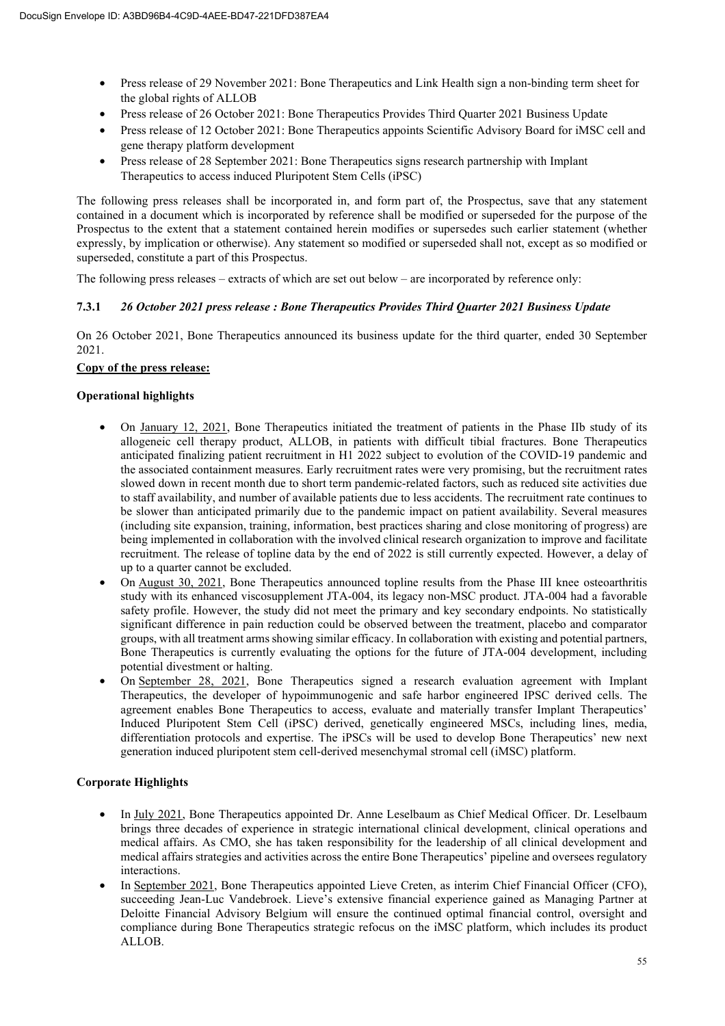- Press release of 29 November 2021: Bone Therapeutics and Link Health sign a non-binding term sheet for the global rights of ALLOB
- Press release of 26 October 2021: Bone Therapeutics Provides Third Quarter 2021 Business Update
- Press release of 12 October 2021: Bone Therapeutics appoints Scientific Advisory Board for iMSC cell and gene therapy platform development
- Press release of 28 September 2021: Bone Therapeutics signs research partnership with Implant Therapeutics to access induced Pluripotent Stem Cells (iPSC)

The following press releases shall be incorporated in, and form part of, the Prospectus, save that any statement contained in a document which is incorporated by reference shall be modified or superseded for the purpose of the Prospectus to the extent that a statement contained herein modifies or supersedes such earlier statement (whether expressly, by implication or otherwise). Any statement so modified or superseded shall not, except as so modified or superseded, constitute a part of this Prospectus.

The following press releases – extracts of which are set out below – are incorporated by reference only:

# **7.3.1** *26 October 2021 press release : Bone Therapeutics Provides Third Quarter 2021 Business Update*

On 26 October 2021, Bone Therapeutics announced its business update for the third quarter, ended 30 September 2021.

# **Copy of the press release:**

# **Operational highlights**

- On January 12, 2021, Bone Therapeutics initiated the treatment of patients in the Phase IIb study of its allogeneic cell therapy product, ALLOB, in patients with difficult tibial fractures. Bone Therapeutics anticipated finalizing patient recruitment in H1 2022 subject to evolution of the COVID-19 pandemic and the associated containment measures. Early recruitment rates were very promising, but the recruitment rates slowed down in recent month due to short term pandemic-related factors, such as reduced site activities due to staff availability, and number of available patients due to less accidents. The recruitment rate continues to be slower than anticipated primarily due to the pandemic impact on patient availability. Several measures (including site expansion, training, information, best practices sharing and close monitoring of progress) are being implemented in collaboration with the involved clinical research organization to improve and facilitate recruitment. The release of topline data by the end of 2022 is still currently expected. However, a delay of up to a quarter cannot be excluded.
- On August 30, 2021, Bone Therapeutics announced topline results from the Phase III knee osteoarthritis study with its enhanced viscosupplement JTA-004, its legacy non-MSC product. JTA-004 had a favorable safety profile. However, the study did not meet the primary and key secondary endpoints. No statistically significant difference in pain reduction could be observed between the treatment, placebo and comparator groups, with all treatment arms showing similar efficacy. In collaboration with existing and potential partners, Bone Therapeutics is currently evaluating the options for the future of JTA-004 development, including potential divestment or halting.
- On September 28, 2021, Bone Therapeutics signed a research evaluation agreement with Implant Therapeutics, the developer of hypoimmunogenic and safe harbor engineered IPSC derived cells. The agreement enables Bone Therapeutics to access, evaluate and materially transfer Implant Therapeutics' Induced Pluripotent Stem Cell (iPSC) derived, genetically engineered MSCs, including lines, media, differentiation protocols and expertise. The iPSCs will be used to develop Bone Therapeutics' new next generation induced pluripotent stem cell-derived mesenchymal stromal cell (iMSC) platform.

# **Corporate Highlights**

- In July 2021, Bone Therapeutics appointed Dr. Anne Leselbaum as Chief Medical Officer. Dr. Leselbaum brings three decades of experience in strategic international clinical development, clinical operations and medical affairs. As CMO, she has taken responsibility for the leadership of all clinical development and medical affairs strategies and activities across the entire Bone Therapeutics' pipeline and oversees regulatory interactions.
- In September 2021, Bone Therapeutics appointed Lieve Creten, as interim Chief Financial Officer (CFO), succeeding Jean-Luc Vandebroek. Lieve's extensive financial experience gained as Managing Partner at Deloitte Financial Advisory Belgium will ensure the continued optimal financial control, oversight and compliance during Bone Therapeutics strategic refocus on the iMSC platform, which includes its product ALLOB.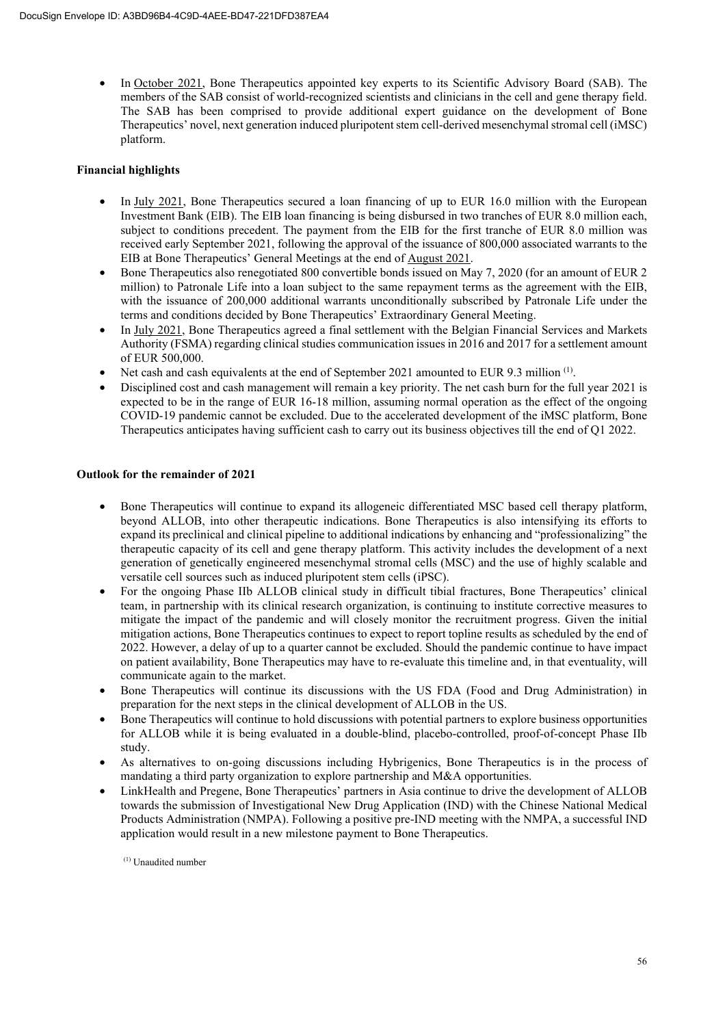In October 2021, Bone Therapeutics appointed key experts to its Scientific Advisory Board (SAB). The members of the SAB consist of world-recognized scientists and clinicians in the cell and gene therapy field. The SAB has been comprised to provide additional expert guidance on the development of Bone Therapeutics' novel, next generation induced pluripotent stem cell-derived mesenchymal stromal cell (iMSC) platform.

# **Financial highlights**

- In July 2021, Bone Therapeutics secured a loan financing of up to EUR 16.0 million with the European Investment Bank (EIB). The EIB loan financing is being disbursed in two tranches of EUR 8.0 million each, subject to conditions precedent. The payment from the EIB for the first tranche of EUR 8.0 million was received early September 2021, following the approval of the issuance of 800,000 associated warrants to the EIB at Bone Therapeutics' General Meetings at the end of August 2021.
- Bone Therapeutics also renegotiated 800 convertible bonds issued on May 7, 2020 (for an amount of EUR 2 million) to Patronale Life into a loan subject to the same repayment terms as the agreement with the EIB, with the issuance of 200,000 additional warrants unconditionally subscribed by Patronale Life under the terms and conditions decided by Bone Therapeutics' Extraordinary General Meeting.
- In July 2021, Bone Therapeutics agreed a final settlement with the Belgian Financial Services and Markets Authority (FSMA) regarding clinical studies communication issues in 2016 and 2017 for a settlement amount of EUR 500,000.
- Net cash and cash equivalents at the end of September 2021 amounted to EUR 9.3 million <sup>(1)</sup>.
- Disciplined cost and cash management will remain a key priority. The net cash burn for the full year 2021 is expected to be in the range of EUR 16-18 million, assuming normal operation as the effect of the ongoing COVID-19 pandemic cannot be excluded. Due to the accelerated development of the iMSC platform, Bone Therapeutics anticipates having sufficient cash to carry out its business objectives till the end of Q1 2022.

# **Outlook for the remainder of 2021**

- Bone Therapeutics will continue to expand its allogeneic differentiated MSC based cell therapy platform, beyond ALLOB, into other therapeutic indications. Bone Therapeutics is also intensifying its efforts to expand its preclinical and clinical pipeline to additional indications by enhancing and "professionalizing" the therapeutic capacity of its cell and gene therapy platform. This activity includes the development of a next generation of genetically engineered mesenchymal stromal cells (MSC) and the use of highly scalable and versatile cell sources such as induced pluripotent stem cells (iPSC).
- For the ongoing Phase IIb ALLOB clinical study in difficult tibial fractures, Bone Therapeutics' clinical team, in partnership with its clinical research organization, is continuing to institute corrective measures to mitigate the impact of the pandemic and will closely monitor the recruitment progress. Given the initial mitigation actions, Bone Therapeutics continues to expect to report topline results as scheduled by the end of 2022. However, a delay of up to a quarter cannot be excluded. Should the pandemic continue to have impact on patient availability, Bone Therapeutics may have to re-evaluate this timeline and, in that eventuality, will communicate again to the market.
- Bone Therapeutics will continue its discussions with the US FDA (Food and Drug Administration) in preparation for the next steps in the clinical development of ALLOB in the US.
- Bone Therapeutics will continue to hold discussions with potential partners to explore business opportunities for ALLOB while it is being evaluated in a double-blind, placebo-controlled, proof-of-concept Phase IIb study.
- As alternatives to on-going discussions including Hybrigenics, Bone Therapeutics is in the process of mandating a third party organization to explore partnership and M&A opportunities.
- LinkHealth and Pregene, Bone Therapeutics' partners in Asia continue to drive the development of ALLOB towards the submission of Investigational New Drug Application (IND) with the Chinese National Medical Products Administration (NMPA). Following a positive pre-IND meeting with the NMPA, a successful IND application would result in a new milestone payment to Bone Therapeutics.

(1) Unaudited number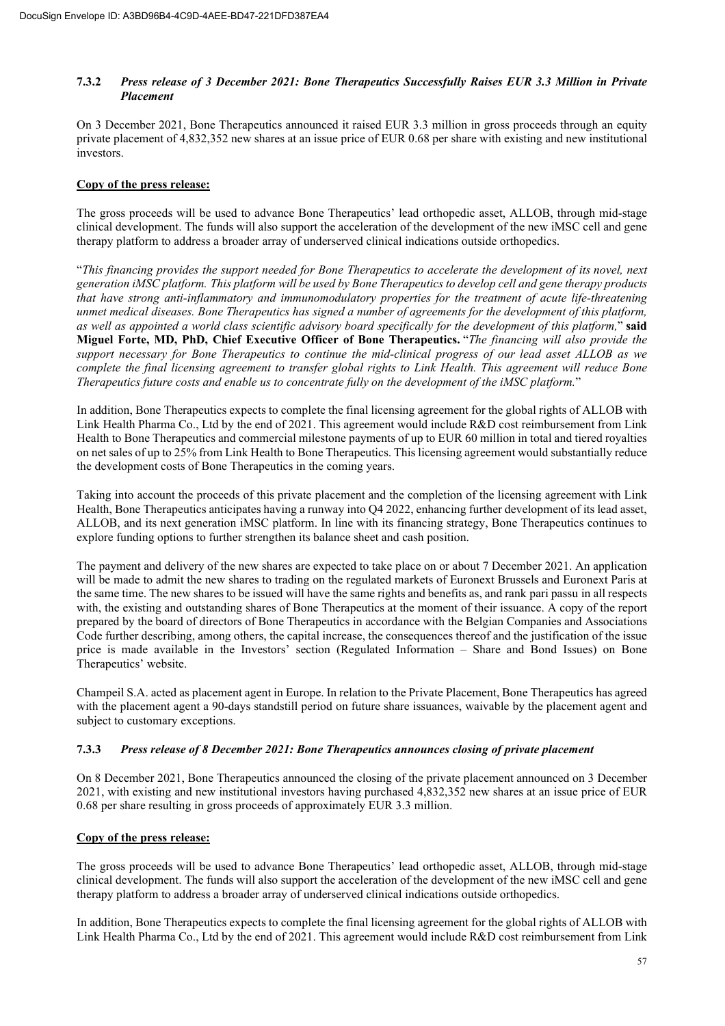# **7.3.2** *Press release of 3 December 2021: Bone Therapeutics Successfully Raises EUR 3.3 Million in Private Placement*

On 3 December 2021, Bone Therapeutics announced it raised EUR 3.3 million in gross proceeds through an equity private placement of 4,832,352 new shares at an issue price of EUR 0.68 per share with existing and new institutional investors.

# **Copy of the press release:**

The gross proceeds will be used to advance Bone Therapeutics' lead orthopedic asset, ALLOB, through mid-stage clinical development. The funds will also support the acceleration of the development of the new iMSC cell and gene therapy platform to address a broader array of underserved clinical indications outside orthopedics.

"*This financing provides the support needed for Bone Therapeutics to accelerate the development of its novel, next generation iMSC platform. This platform will be used by Bone Therapeutics to develop cell and gene therapy products that have strong anti-inflammatory and immunomodulatory properties for the treatment of acute life-threatening unmet medical diseases. Bone Therapeutics has signed a number of agreements for the development of this platform, as well as appointed a world class scientific advisory board specifically for the development of this platform,*" **said Miguel Forte, MD, PhD, Chief Executive Officer of Bone Therapeutics.** "*The financing will also provide the support necessary for Bone Therapeutics to continue the mid-clinical progress of our lead asset ALLOB as we complete the final licensing agreement to transfer global rights to Link Health. This agreement will reduce Bone Therapeutics future costs and enable us to concentrate fully on the development of the iMSC platform.*"

In addition, Bone Therapeutics expects to complete the final licensing agreement for the global rights of ALLOB with Link Health Pharma Co., Ltd by the end of 2021. This agreement would include R&D cost reimbursement from Link Health to Bone Therapeutics and commercial milestone payments of up to EUR 60 million in total and tiered royalties on net sales of up to 25% from Link Health to Bone Therapeutics. This licensing agreement would substantially reduce the development costs of Bone Therapeutics in the coming years.

Taking into account the proceeds of this private placement and the completion of the licensing agreement with Link Health, Bone Therapeutics anticipates having a runway into Q4 2022, enhancing further development of its lead asset, ALLOB, and its next generation iMSC platform. In line with its financing strategy, Bone Therapeutics continues to explore funding options to further strengthen its balance sheet and cash position.

The payment and delivery of the new shares are expected to take place on or about 7 December 2021. An application will be made to admit the new shares to trading on the regulated markets of Euronext Brussels and Euronext Paris at the same time. The new shares to be issued will have the same rights and benefits as, and rank pari passu in all respects with, the existing and outstanding shares of Bone Therapeutics at the moment of their issuance. A copy of the report prepared by the board of directors of Bone Therapeutics in accordance with the Belgian Companies and Associations Code further describing, among others, the capital increase, the consequences thereof and the justification of the issue price is made available in the Investors' section (Regulated Information – Share and Bond Issues) on Bone Therapeutics' website.

Champeil S.A. acted as placement agent in Europe. In relation to the Private Placement, Bone Therapeutics has agreed with the placement agent a 90-days standstill period on future share issuances, waivable by the placement agent and subject to customary exceptions.

# **7.3.3** *Press release of 8 December 2021: Bone Therapeutics announces closing of private placement*

On 8 December 2021, Bone Therapeutics announced the closing of the private placement announced on 3 December 2021, with existing and new institutional investors having purchased 4,832,352 new shares at an issue price of EUR 0.68 per share resulting in gross proceeds of approximately EUR 3.3 million.

# **Copy of the press release:**

The gross proceeds will be used to advance Bone Therapeutics' lead orthopedic asset, ALLOB, through mid-stage clinical development. The funds will also support the acceleration of the development of the new iMSC cell and gene therapy platform to address a broader array of underserved clinical indications outside orthopedics.

In addition, Bone Therapeutics expects to complete the final licensing agreement for the global rights of ALLOB with Link Health Pharma Co., Ltd by the end of 2021. This agreement would include R&D cost reimbursement from Link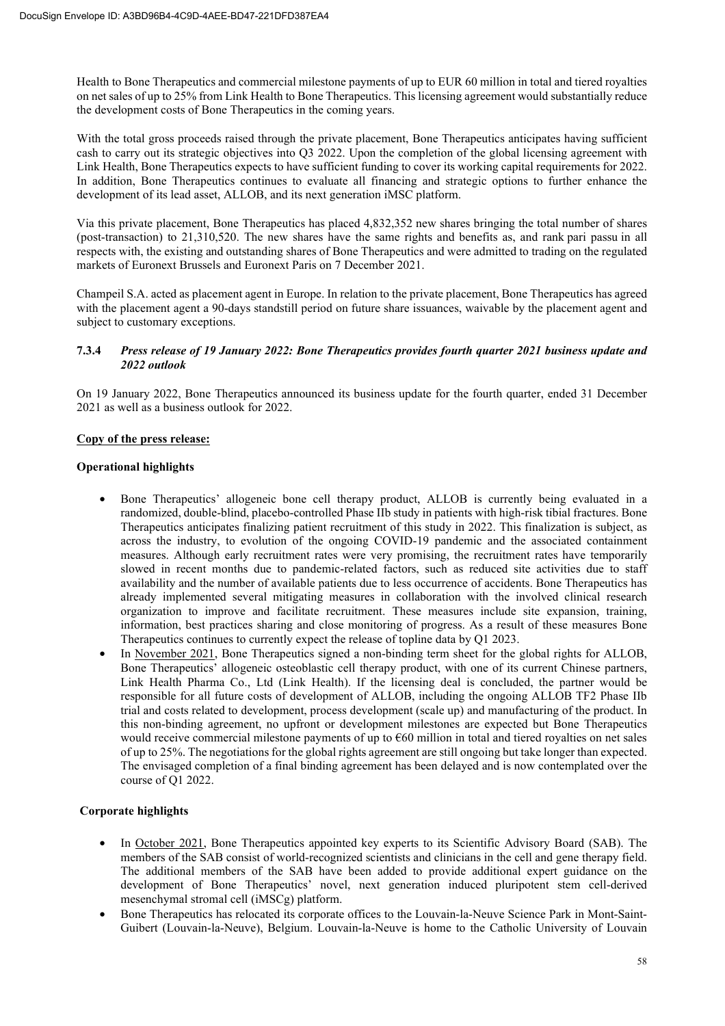Health to Bone Therapeutics and commercial milestone payments of up to EUR 60 million in total and tiered royalties on net sales of up to 25% from Link Health to Bone Therapeutics. This licensing agreement would substantially reduce the development costs of Bone Therapeutics in the coming years.

With the total gross proceeds raised through the private placement, Bone Therapeutics anticipates having sufficient cash to carry out its strategic objectives into Q3 2022. Upon the completion of the global licensing agreement with Link Health, Bone Therapeutics expects to have sufficient funding to cover its working capital requirements for 2022. In addition, Bone Therapeutics continues to evaluate all financing and strategic options to further enhance the development of its lead asset, ALLOB, and its next generation iMSC platform.

Via this private placement, Bone Therapeutics has placed 4,832,352 new shares bringing the total number of shares (post-transaction) to 21,310,520. The new shares have the same rights and benefits as, and rank pari passu in all respects with, the existing and outstanding shares of Bone Therapeutics and were admitted to trading on the regulated markets of Euronext Brussels and Euronext Paris on 7 December 2021.

Champeil S.A. acted as placement agent in Europe. In relation to the private placement, Bone Therapeutics has agreed with the placement agent a 90-days standstill period on future share issuances, waivable by the placement agent and subject to customary exceptions.

# **7.3.4** *Press release of 19 January 2022: Bone Therapeutics provides fourth quarter 2021 business update and 2022 outlook*

On 19 January 2022, Bone Therapeutics announced its business update for the fourth quarter, ended 31 December 2021 as well as a business outlook for 2022.

# **Copy of the press release:**

# **Operational highlights**

- Bone Therapeutics' allogeneic bone cell therapy product, ALLOB is currently being evaluated in a randomized, double-blind, placebo-controlled Phase IIb study in patients with high-risk tibial fractures. Bone Therapeutics anticipates finalizing patient recruitment of this study in 2022. This finalization is subject, as across the industry, to evolution of the ongoing COVID-19 pandemic and the associated containment measures. Although early recruitment rates were very promising, the recruitment rates have temporarily slowed in recent months due to pandemic-related factors, such as reduced site activities due to staff availability and the number of available patients due to less occurrence of accidents. Bone Therapeutics has already implemented several mitigating measures in collaboration with the involved clinical research organization to improve and facilitate recruitment. These measures include site expansion, training, information, best practices sharing and close monitoring of progress. As a result of these measures Bone Therapeutics continues to currently expect the release of topline data by Q1 2023.
- In November 2021, Bone Therapeutics signed a non-binding term sheet for the global rights for ALLOB, Bone Therapeutics' allogeneic osteoblastic cell therapy product, with one of its current Chinese partners, Link Health Pharma Co., Ltd (Link Health). If the licensing deal is concluded, the partner would be responsible for all future costs of development of ALLOB, including the ongoing ALLOB TF2 Phase IIb trial and costs related to development, process development (scale up) and manufacturing of the product. In this non-binding agreement, no upfront or development milestones are expected but Bone Therapeutics would receive commercial milestone payments of up to  $660$  million in total and tiered royalties on net sales of up to 25%. The negotiations for the global rights agreement are still ongoing but take longer than expected. The envisaged completion of a final binding agreement has been delayed and is now contemplated over the course of Q1 2022.

# **Corporate highlights**

- In October 2021, Bone Therapeutics appointed key experts to its Scientific Advisory Board (SAB). The members of the SAB consist of world-recognized scientists and clinicians in the cell and gene therapy field. The additional members of the SAB have been added to provide additional expert guidance on the development of Bone Therapeutics' novel, next generation induced pluripotent stem cell-derived mesenchymal stromal cell (iMSCg) platform.
- Bone Therapeutics has relocated its corporate offices to the Louvain-la-Neuve Science Park in Mont-Saint-Guibert (Louvain-la-Neuve), Belgium. Louvain-la-Neuve is home to the Catholic University of Louvain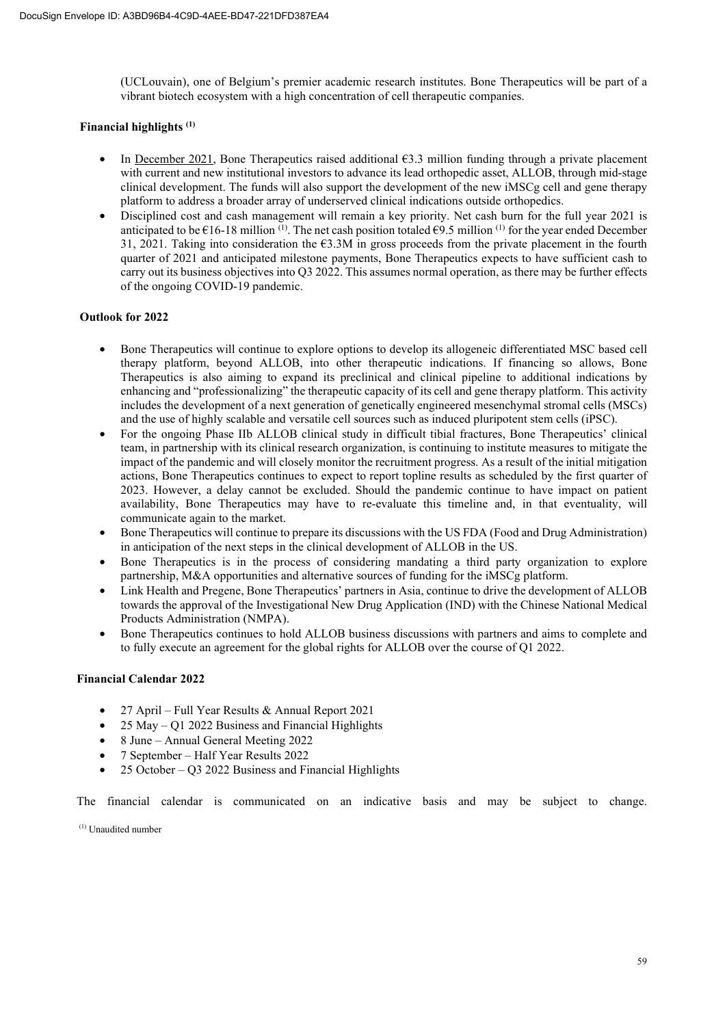(UCLouvain), one of Belgium's premier academic research institutes. Bone Therapeutics will be part of a vibrant biotech ecosystem with a high concentration of cell therapeutic companies.

# **Financial highlights (1)**

- In <u>December 2021</u>, Bone Therapeutics raised additional  $63.3$  million funding through a private placement with current and new institutional investors to advance its lead orthopedic asset, ALLOB, through mid-stage clinical development. The funds will also support the development of the new iMSCg cell and gene therapy platform to address a broader array of underserved clinical indications outside orthopedics.
- Disciplined cost and cash management will remain a key priority. Net cash burn for the full year 2021 is anticipated to be  $\epsilon$ 16-18 million <sup>(1)</sup>. The net cash position totaled  $\epsilon$ 9.5 million <sup>(1)</sup> for the year ended December 31, 2021. Taking into consideration the €3.3M in gross proceeds from the private placement in the fourth quarter of 2021 and anticipated milestone payments, Bone Therapeutics expects to have sufficient cash to carry out its business objectives into Q3 2022. This assumes normal operation, as there may be further effects of the ongoing COVID-19 pandemic.

# **Outlook for 2022**

- Bone Therapeutics will continue to explore options to develop its allogeneic differentiated MSC based cell therapy platform, beyond ALLOB, into other therapeutic indications. If financing so allows, Bone Therapeutics is also aiming to expand its preclinical and clinical pipeline to additional indications by enhancing and "professionalizing" the therapeutic capacity of its cell and gene therapy platform. This activity includes the development of a next generation of genetically engineered mesenchymal stromal cells (MSCs) and the use of highly scalable and versatile cell sources such as induced pluripotent stem cells (iPSC).
- For the ongoing Phase IIb ALLOB clinical study in difficult tibial fractures, Bone Therapeutics' clinical team, in partnership with its clinical research organization, is continuing to institute measures to mitigate the impact of the pandemic and will closely monitor the recruitment progress. As a result of the initial mitigation actions, Bone Therapeutics continues to expect to report topline results as scheduled by the first quarter of 2023. However, a delay cannot be excluded. Should the pandemic continue to have impact on patient availability, Bone Therapeutics may have to re-evaluate this timeline and, in that eventuality, will communicate again to the market.
- Bone Therapeutics will continue to prepare its discussions with the US FDA (Food and Drug Administration) in anticipation of the next steps in the clinical development of ALLOB in the US.
- Bone Therapeutics is in the process of considering mandating a third party organization to explore partnership, M&A opportunities and alternative sources of funding for the iMSCg platform.
- Link Health and Pregene, Bone Therapeutics' partners in Asia, continue to drive the development of ALLOB towards the approval of the Investigational New Drug Application (IND) with the Chinese National Medical Products Administration (NMPA).
- Bone Therapeutics continues to hold ALLOB business discussions with partners and aims to complete and to fully execute an agreement for the global rights for ALLOB over the course of Q1 2022.

# **Financial Calendar 2022**

- 27 April Full Year Results & Annual Report 2021
- 25 May Q1 2022 Business and Financial Highlights
- 8 June Annual General Meeting 2022
- 7 September Half Year Results 2022
- 25 October Q3 2022 Business and Financial Highlights

The financial calendar is communicated on an indicative basis and may be subject to change.

(1) Unaudited number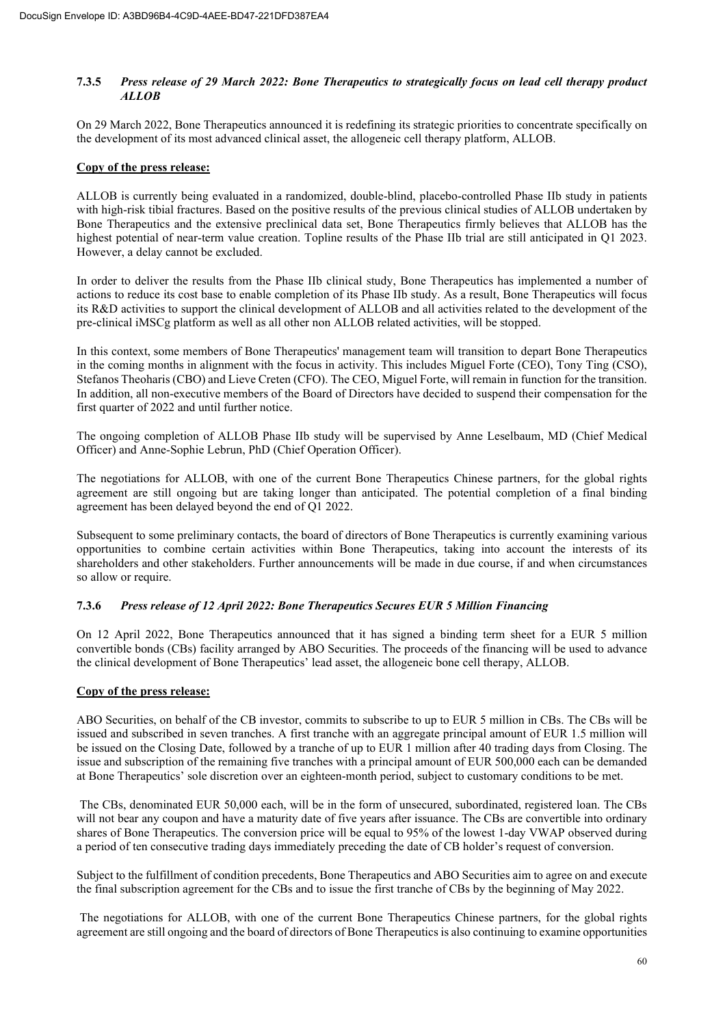# **7.3.5** *Press release of 29 March 2022: Bone Therapeutics to strategically focus on lead cell therapy product ALLOB*

On 29 March 2022, Bone Therapeutics announced it is redefining its strategic priorities to concentrate specifically on the development of its most advanced clinical asset, the allogeneic cell therapy platform, ALLOB.

# **Copy of the press release:**

ALLOB is currently being evaluated in a randomized, double-blind, placebo-controlled Phase IIb study in patients with high-risk tibial fractures. Based on the positive results of the previous clinical studies of ALLOB undertaken by Bone Therapeutics and the extensive preclinical data set, Bone Therapeutics firmly believes that ALLOB has the highest potential of near-term value creation. Topline results of the Phase IIb trial are still anticipated in Q1 2023. However, a delay cannot be excluded.

In order to deliver the results from the Phase IIb clinical study, Bone Therapeutics has implemented a number of actions to reduce its cost base to enable completion of its Phase IIb study. As a result, Bone Therapeutics will focus its R&D activities to support the clinical development of ALLOB and all activities related to the development of the pre-clinical iMSCg platform as well as all other non ALLOB related activities, will be stopped.

In this context, some members of Bone Therapeutics' management team will transition to depart Bone Therapeutics in the coming months in alignment with the focus in activity. This includes Miguel Forte (CEO), Tony Ting (CSO), Stefanos Theoharis (CBO) and Lieve Creten (CFO). The CEO, Miguel Forte, will remain in function for the transition. In addition, all non-executive members of the Board of Directors have decided to suspend their compensation for the first quarter of 2022 and until further notice.

The ongoing completion of ALLOB Phase IIb study will be supervised by Anne Leselbaum, MD (Chief Medical Officer) and Anne-Sophie Lebrun, PhD (Chief Operation Officer).

The negotiations for ALLOB, with one of the current Bone Therapeutics Chinese partners, for the global rights agreement are still ongoing but are taking longer than anticipated. The potential completion of a final binding agreement has been delayed beyond the end of Q1 2022.

Subsequent to some preliminary contacts, the board of directors of Bone Therapeutics is currently examining various opportunities to combine certain activities within Bone Therapeutics, taking into account the interests of its shareholders and other stakeholders. Further announcements will be made in due course, if and when circumstances so allow or require.

# **7.3.6** *Press release of 12 April 2022: Bone Therapeutics Secures EUR 5 Million Financing*

On 12 April 2022, Bone Therapeutics announced that it has signed a binding term sheet for a EUR 5 million convertible bonds (CBs) facility arranged by ABO Securities. The proceeds of the financing will be used to advance the clinical development of Bone Therapeutics' lead asset, the allogeneic bone cell therapy, ALLOB.

# **Copy of the press release:**

ABO Securities, on behalf of the CB investor, commits to subscribe to up to EUR 5 million in CBs. The CBs will be issued and subscribed in seven tranches. A first tranche with an aggregate principal amount of EUR 1.5 million will be issued on the Closing Date, followed by a tranche of up to EUR 1 million after 40 trading days from Closing. The issue and subscription of the remaining five tranches with a principal amount of EUR 500,000 each can be demanded at Bone Therapeutics' sole discretion over an eighteen-month period, subject to customary conditions to be met.

 The CBs, denominated EUR 50,000 each, will be in the form of unsecured, subordinated, registered loan. The CBs will not bear any coupon and have a maturity date of five years after issuance. The CBs are convertible into ordinary shares of Bone Therapeutics. The conversion price will be equal to 95% of the lowest 1-day VWAP observed during a period of ten consecutive trading days immediately preceding the date of CB holder's request of conversion.

Subject to the fulfillment of condition precedents, Bone Therapeutics and ABO Securities aim to agree on and execute the final subscription agreement for the CBs and to issue the first tranche of CBs by the beginning of May 2022.

 The negotiations for ALLOB, with one of the current Bone Therapeutics Chinese partners, for the global rights agreement are still ongoing and the board of directors of Bone Therapeutics is also continuing to examine opportunities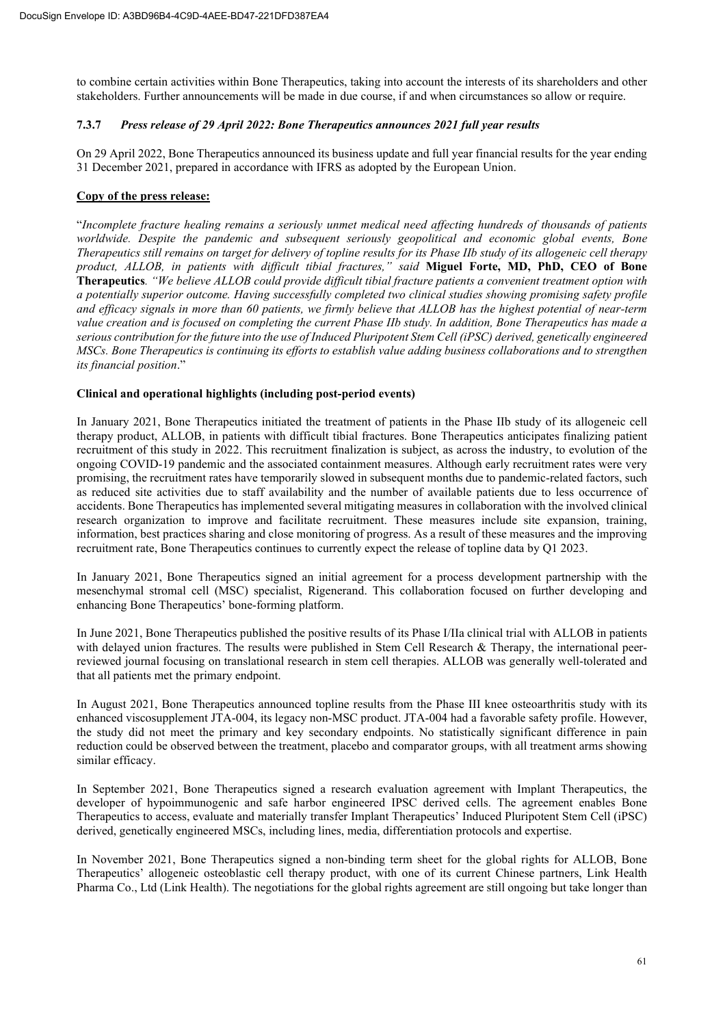to combine certain activities within Bone Therapeutics, taking into account the interests of its shareholders and other stakeholders. Further announcements will be made in due course, if and when circumstances so allow or require.

# **7.3.7** *Press release of 29 April 2022: Bone Therapeutics announces 2021 full year results*

On 29 April 2022, Bone Therapeutics announced its business update and full year financial results for the year ending 31 December 2021, prepared in accordance with IFRS as adopted by the European Union.

# **Copy of the press release:**

"*Incomplete fracture healing remains a seriously unmet medical need affecting hundreds of thousands of patients worldwide. Despite the pandemic and subsequent seriously geopolitical and economic global events, Bone Therapeutics still remains on target for delivery of topline results for its Phase IIb study of its allogeneic cell therapy product, ALLOB, in patients with difficult tibial fractures," said* **Miguel Forte, MD, PhD, CEO of Bone Therapeutics***. "We believe ALLOB could provide difficult tibial fracture patients a convenient treatment option with a potentially superior outcome. Having successfully completed two clinical studies showing promising safety profile and efficacy signals in more than 60 patients, we firmly believe that ALLOB has the highest potential of near-term value creation and is focused on completing the current Phase IIb study. In addition, Bone Therapeutics has made a serious contribution for the future into the use of Induced Pluripotent Stem Cell (iPSC) derived, genetically engineered MSCs. Bone Therapeutics is continuing its efforts to establish value adding business collaborations and to strengthen its financial position*."

# **Clinical and operational highlights (including post-period events)**

In January 2021, Bone Therapeutics initiated the treatment of patients in the Phase IIb study of its allogeneic cell therapy product, ALLOB, in patients with difficult tibial fractures. Bone Therapeutics anticipates finalizing patient recruitment of this study in 2022. This recruitment finalization is subject, as across the industry, to evolution of the ongoing COVID-19 pandemic and the associated containment measures. Although early recruitment rates were very promising, the recruitment rates have temporarily slowed in subsequent months due to pandemic-related factors, such as reduced site activities due to staff availability and the number of available patients due to less occurrence of accidents. Bone Therapeutics has implemented several mitigating measures in collaboration with the involved clinical research organization to improve and facilitate recruitment. These measures include site expansion, training, information, best practices sharing and close monitoring of progress. As a result of these measures and the improving recruitment rate, Bone Therapeutics continues to currently expect the release of topline data by Q1 2023.

In January 2021, Bone Therapeutics signed an initial agreement for a process development partnership with the mesenchymal stromal cell (MSC) specialist, Rigenerand. This collaboration focused on further developing and enhancing Bone Therapeutics' bone-forming platform.

In June 2021, Bone Therapeutics published the positive results of its Phase I/IIa clinical trial with ALLOB in patients with delayed union fractures. The results were published in Stem Cell Research & Therapy, the international peerreviewed journal focusing on translational research in stem cell therapies. ALLOB was generally well-tolerated and that all patients met the primary endpoint.

In August 2021, Bone Therapeutics announced topline results from the Phase III knee osteoarthritis study with its enhanced viscosupplement JTA-004, its legacy non-MSC product. JTA-004 had a favorable safety profile. However, the study did not meet the primary and key secondary endpoints. No statistically significant difference in pain reduction could be observed between the treatment, placebo and comparator groups, with all treatment arms showing similar efficacy.

In September 2021, Bone Therapeutics signed a research evaluation agreement with Implant Therapeutics, the developer of hypoimmunogenic and safe harbor engineered IPSC derived cells. The agreement enables Bone Therapeutics to access, evaluate and materially transfer Implant Therapeutics' Induced Pluripotent Stem Cell (iPSC) derived, genetically engineered MSCs, including lines, media, differentiation protocols and expertise.

In November 2021, Bone Therapeutics signed a non-binding term sheet for the global rights for ALLOB, Bone Therapeutics' allogeneic osteoblastic cell therapy product, with one of its current Chinese partners, Link Health Pharma Co., Ltd (Link Health). The negotiations for the global rights agreement are still ongoing but take longer than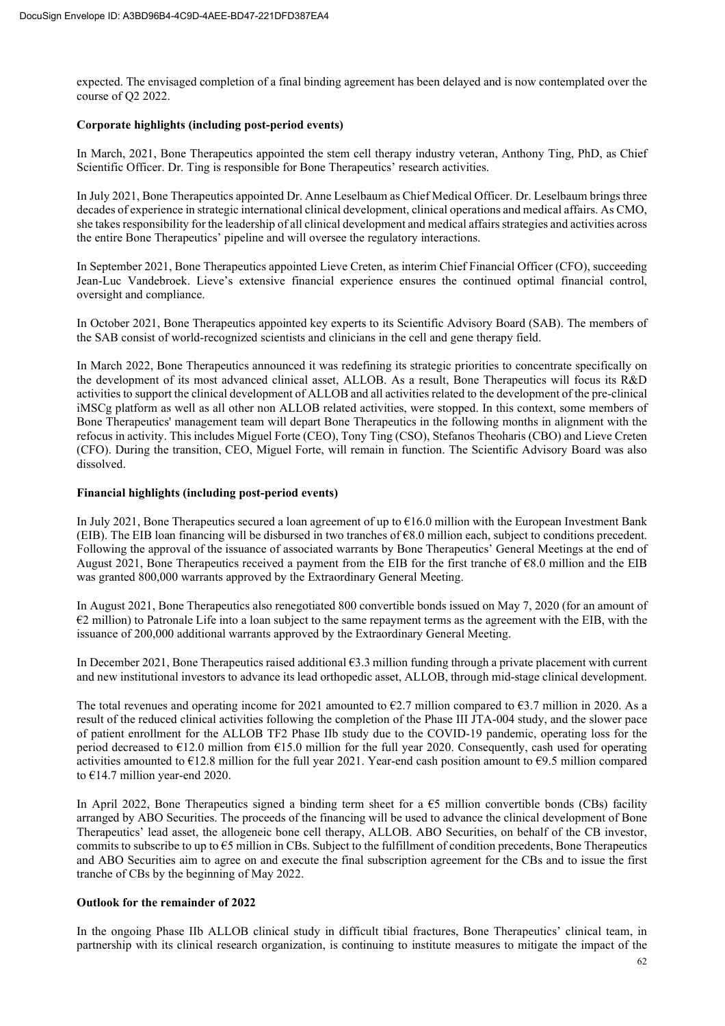expected. The envisaged completion of a final binding agreement has been delayed and is now contemplated over the course of Q2 2022.

# **Corporate highlights (including post-period events)**

In March, 2021, Bone Therapeutics appointed the stem cell therapy industry veteran, Anthony Ting, PhD, as Chief Scientific Officer. Dr. Ting is responsible for Bone Therapeutics' research activities.

In July 2021, Bone Therapeutics appointed Dr. Anne Leselbaum as Chief Medical Officer. Dr. Leselbaum brings three decades of experience in strategic international clinical development, clinical operations and medical affairs. As CMO, she takes responsibility for the leadership of all clinical development and medical affairs strategies and activities across the entire Bone Therapeutics' pipeline and will oversee the regulatory interactions.

In September 2021, Bone Therapeutics appointed Lieve Creten, as interim Chief Financial Officer (CFO), succeeding Jean-Luc Vandebroek. Lieve's extensive financial experience ensures the continued optimal financial control, oversight and compliance.

In October 2021, Bone Therapeutics appointed key experts to its Scientific Advisory Board (SAB). The members of the SAB consist of world-recognized scientists and clinicians in the cell and gene therapy field.

In March 2022, Bone Therapeutics announced it was redefining its strategic priorities to concentrate specifically on the development of its most advanced clinical asset, ALLOB. As a result, Bone Therapeutics will focus its R&D activities to support the clinical development of ALLOB and all activities related to the development of the pre-clinical iMSCg platform as well as all other non ALLOB related activities, were stopped. In this context, some members of Bone Therapeutics' management team will depart Bone Therapeutics in the following months in alignment with the refocus in activity. This includes Miguel Forte (CEO), Tony Ting (CSO), Stefanos Theoharis (CBO) and Lieve Creten (CFO). During the transition, CEO, Miguel Forte, will remain in function. The Scientific Advisory Board was also dissolved.

# **Financial highlights (including post-period events)**

In July 2021, Bone Therapeutics secured a loan agreement of up to €16.0 million with the European Investment Bank (EIB). The EIB loan financing will be disbursed in two tranches of  $68.0$  million each, subject to conditions precedent. Following the approval of the issuance of associated warrants by Bone Therapeutics' General Meetings at the end of August 2021, Bone Therapeutics received a payment from the EIB for the first tranche of  $68.0$  million and the EIB was granted 800,000 warrants approved by the Extraordinary General Meeting.

In August 2021, Bone Therapeutics also renegotiated 800 convertible bonds issued on May 7, 2020 (for an amount of €2 million) to Patronale Life into a loan subject to the same repayment terms as the agreement with the EIB, with the issuance of 200,000 additional warrants approved by the Extraordinary General Meeting.

In December 2021, Bone Therapeutics raised additional €3.3 million funding through a private placement with current and new institutional investors to advance its lead orthopedic asset, ALLOB, through mid-stage clinical development.

The total revenues and operating income for 2021 amounted to  $\epsilon$ 2.7 million compared to  $\epsilon$ 3.7 million in 2020. As a result of the reduced clinical activities following the completion of the Phase III JTA-004 study, and the slower pace of patient enrollment for the ALLOB TF2 Phase IIb study due to the COVID-19 pandemic, operating loss for the period decreased to  $\epsilon$ 12.0 million from  $\epsilon$ 15.0 million for the full year 2020. Consequently, cash used for operating activities amounted to €12.8 million for the full year 2021. Year-end cash position amount to €9.5 million compared to €14.7 million year-end 2020.

In April 2022, Bone Therapeutics signed a binding term sheet for a  $\epsilon$ 5 million convertible bonds (CBs) facility arranged by ABO Securities. The proceeds of the financing will be used to advance the clinical development of Bone Therapeutics' lead asset, the allogeneic bone cell therapy, ALLOB. ABO Securities, on behalf of the CB investor, commits to subscribe to up to  $65$  million in CBs. Subject to the fulfillment of condition precedents, Bone Therapeutics and ABO Securities aim to agree on and execute the final subscription agreement for the CBs and to issue the first tranche of CBs by the beginning of May 2022.

# **Outlook for the remainder of 2022**

In the ongoing Phase IIb ALLOB clinical study in difficult tibial fractures, Bone Therapeutics' clinical team, in partnership with its clinical research organization, is continuing to institute measures to mitigate the impact of the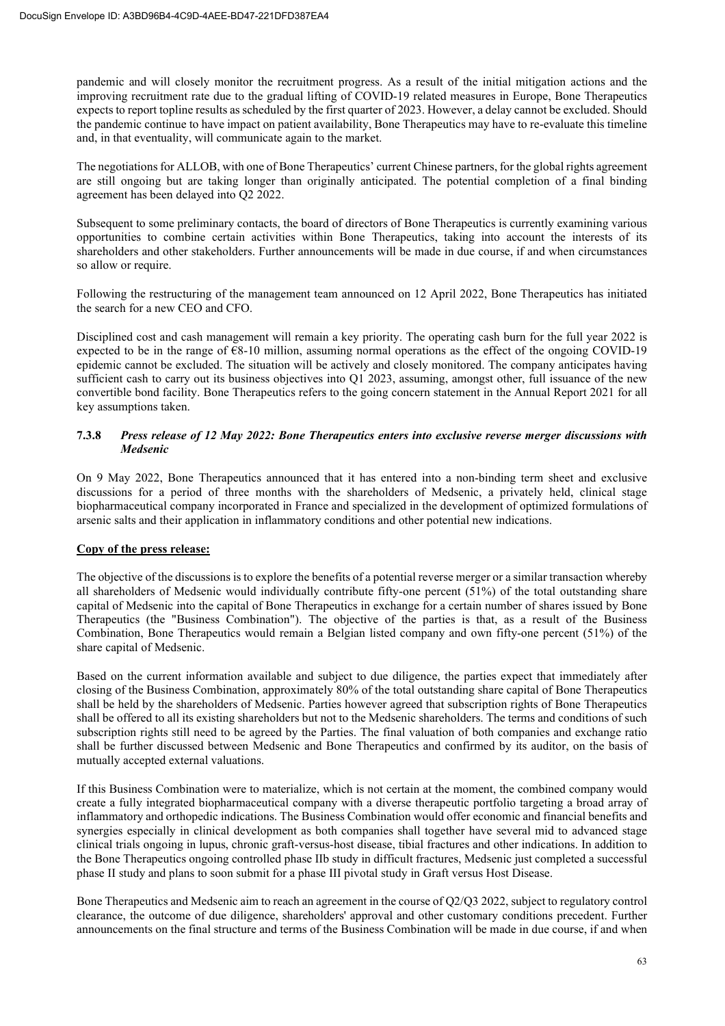pandemic and will closely monitor the recruitment progress. As a result of the initial mitigation actions and the improving recruitment rate due to the gradual lifting of COVID-19 related measures in Europe, Bone Therapeutics expects to report topline results as scheduled by the first quarter of 2023. However, a delay cannot be excluded. Should the pandemic continue to have impact on patient availability, Bone Therapeutics may have to re-evaluate this timeline and, in that eventuality, will communicate again to the market.

The negotiations for ALLOB, with one of Bone Therapeutics' current Chinese partners, for the global rights agreement are still ongoing but are taking longer than originally anticipated. The potential completion of a final binding agreement has been delayed into Q2 2022.

Subsequent to some preliminary contacts, the board of directors of Bone Therapeutics is currently examining various opportunities to combine certain activities within Bone Therapeutics, taking into account the interests of its shareholders and other stakeholders. Further announcements will be made in due course, if and when circumstances so allow or require.

Following the restructuring of the management team announced on 12 April 2022, Bone Therapeutics has initiated the search for a new CEO and CFO.

Disciplined cost and cash management will remain a key priority. The operating cash burn for the full year 2022 is expected to be in the range of  $68-10$  million, assuming normal operations as the effect of the ongoing COVID-19 epidemic cannot be excluded. The situation will be actively and closely monitored. The company anticipates having sufficient cash to carry out its business objectives into Q1 2023, assuming, amongst other, full issuance of the new convertible bond facility. Bone Therapeutics refers to the going concern statement in the Annual Report 2021 for all key assumptions taken.

# **7.3.8** *Press release of 12 May 2022: Bone Therapeutics enters into exclusive reverse merger discussions with Medsenic*

On 9 May 2022, Bone Therapeutics announced that it has entered into a non-binding term sheet and exclusive discussions for a period of three months with the shareholders of Medsenic, a privately held, clinical stage biopharmaceutical company incorporated in France and specialized in the development of optimized formulations of arsenic salts and their application in inflammatory conditions and other potential new indications.

# **Copy of the press release:**

The objective of the discussions is to explore the benefits of a potential reverse merger or a similar transaction whereby all shareholders of Medsenic would individually contribute fifty-one percent (51%) of the total outstanding share capital of Medsenic into the capital of Bone Therapeutics in exchange for a certain number of shares issued by Bone Therapeutics (the "Business Combination"). The objective of the parties is that, as a result of the Business Combination, Bone Therapeutics would remain a Belgian listed company and own fifty-one percent (51%) of the share capital of Medsenic.

Based on the current information available and subject to due diligence, the parties expect that immediately after closing of the Business Combination, approximately 80% of the total outstanding share capital of Bone Therapeutics shall be held by the shareholders of Medsenic. Parties however agreed that subscription rights of Bone Therapeutics shall be offered to all its existing shareholders but not to the Medsenic shareholders. The terms and conditions of such subscription rights still need to be agreed by the Parties. The final valuation of both companies and exchange ratio shall be further discussed between Medsenic and Bone Therapeutics and confirmed by its auditor, on the basis of mutually accepted external valuations.

If this Business Combination were to materialize, which is not certain at the moment, the combined company would create a fully integrated biopharmaceutical company with a diverse therapeutic portfolio targeting a broad array of inflammatory and orthopedic indications. The Business Combination would offer economic and financial benefits and synergies especially in clinical development as both companies shall together have several mid to advanced stage clinical trials ongoing in lupus, chronic graft-versus-host disease, tibial fractures and other indications. In addition to the Bone Therapeutics ongoing controlled phase IIb study in difficult fractures, Medsenic just completed a successful phase II study and plans to soon submit for a phase III pivotal study in Graft versus Host Disease.

Bone Therapeutics and Medsenic aim to reach an agreement in the course of Q2/Q3 2022, subject to regulatory control clearance, the outcome of due diligence, shareholders' approval and other customary conditions precedent. Further announcements on the final structure and terms of the Business Combination will be made in due course, if and when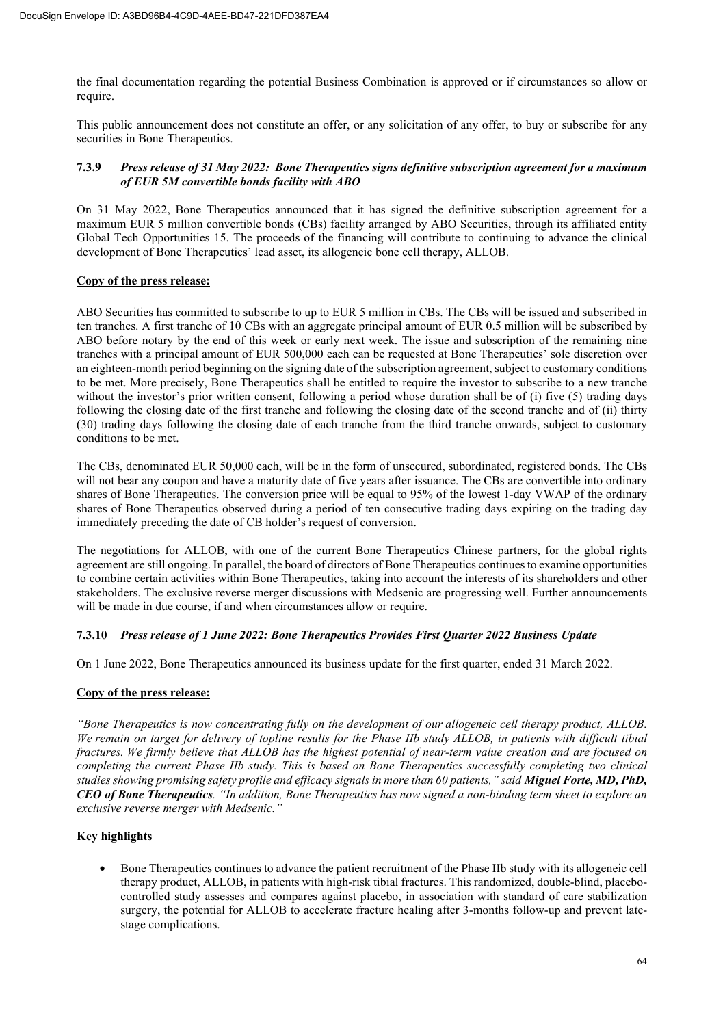the final documentation regarding the potential Business Combination is approved or if circumstances so allow or require.

This public announcement does not constitute an offer, or any solicitation of any offer, to buy or subscribe for any securities in Bone Therapeutics.

# **7.3.9** *Press release of 31 May 2022: Bone Therapeutics signs definitive subscription agreement for a maximum of EUR 5M convertible bonds facility with ABO*

On 31 May 2022, Bone Therapeutics announced that it has signed the definitive subscription agreement for a maximum EUR 5 million convertible bonds (CBs) facility arranged by ABO Securities, through its affiliated entity Global Tech Opportunities 15. The proceeds of the financing will contribute to continuing to advance the clinical development of Bone Therapeutics' lead asset, its allogeneic bone cell therapy, ALLOB.

# **Copy of the press release:**

ABO Securities has committed to subscribe to up to EUR 5 million in CBs. The CBs will be issued and subscribed in ten tranches. A first tranche of 10 CBs with an aggregate principal amount of EUR 0.5 million will be subscribed by ABO before notary by the end of this week or early next week. The issue and subscription of the remaining nine tranches with a principal amount of EUR 500,000 each can be requested at Bone Therapeutics' sole discretion over an eighteen-month period beginning on the signing date of the subscription agreement, subject to customary conditions to be met. More precisely, Bone Therapeutics shall be entitled to require the investor to subscribe to a new tranche without the investor's prior written consent, following a period whose duration shall be of (i) five (5) trading days following the closing date of the first tranche and following the closing date of the second tranche and of (ii) thirty (30) trading days following the closing date of each tranche from the third tranche onwards, subject to customary conditions to be met.

The CBs, denominated EUR 50,000 each, will be in the form of unsecured, subordinated, registered bonds. The CBs will not bear any coupon and have a maturity date of five years after issuance. The CBs are convertible into ordinary shares of Bone Therapeutics. The conversion price will be equal to 95% of the lowest 1-day VWAP of the ordinary shares of Bone Therapeutics observed during a period of ten consecutive trading days expiring on the trading day immediately preceding the date of CB holder's request of conversion.

The negotiations for ALLOB, with one of the current Bone Therapeutics Chinese partners, for the global rights agreement are still ongoing. In parallel, the board of directors of Bone Therapeutics continues to examine opportunities to combine certain activities within Bone Therapeutics, taking into account the interests of its shareholders and other stakeholders. The exclusive reverse merger discussions with Medsenic are progressing well. Further announcements will be made in due course, if and when circumstances allow or require.

# **7.3.10** *Press release of 1 June 2022: Bone Therapeutics Provides First Quarter 2022 Business Update*

On 1 June 2022, Bone Therapeutics announced its business update for the first quarter, ended 31 March 2022.

# **Copy of the press release:**

*"Bone Therapeutics is now concentrating fully on the development of our allogeneic cell therapy product, ALLOB. We remain on target for delivery of topline results for the Phase IIb study ALLOB, in patients with difficult tibial fractures. We firmly believe that ALLOB has the highest potential of near-term value creation and are focused on completing the current Phase IIb study. This is based on Bone Therapeutics successfully completing two clinical studies showing promising safety profile and efficacy signals in more than 60 patients," said Miguel Forte, MD, PhD, CEO of Bone Therapeutics. "In addition, Bone Therapeutics has now signed a non-binding term sheet to explore an exclusive reverse merger with Medsenic."* 

# **Key highlights**

• Bone Therapeutics continues to advance the patient recruitment of the Phase IIb study with its allogeneic cell therapy product, ALLOB, in patients with high-risk tibial fractures. This randomized, double-blind, placebocontrolled study assesses and compares against placebo, in association with standard of care stabilization surgery, the potential for ALLOB to accelerate fracture healing after 3-months follow-up and prevent latestage complications.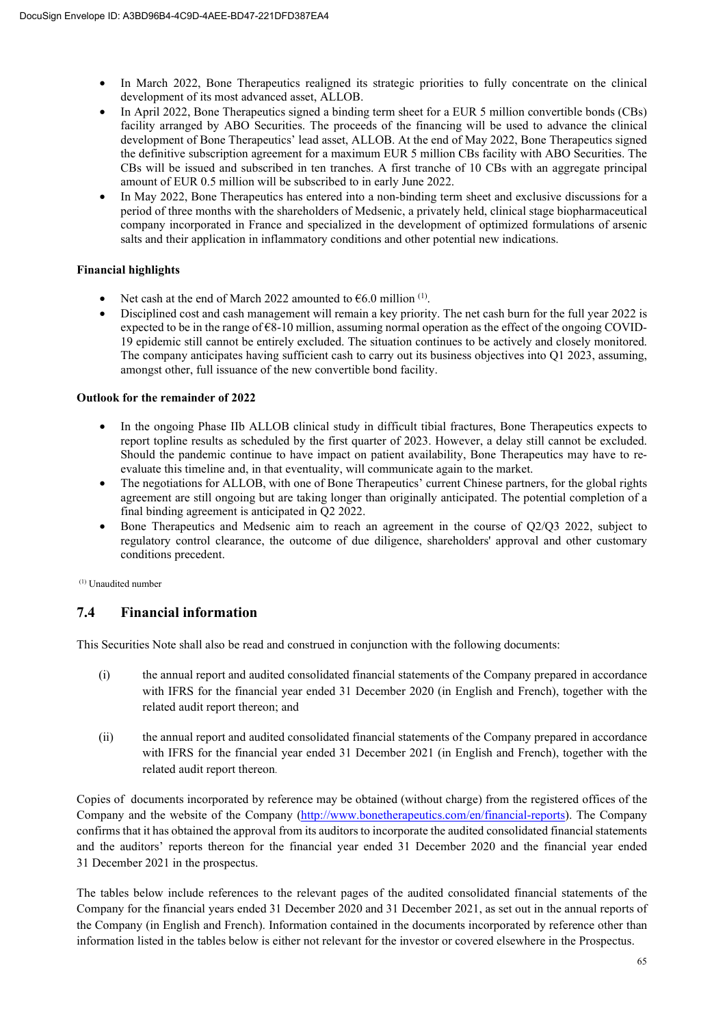- In March 2022, Bone Therapeutics realigned its strategic priorities to fully concentrate on the clinical development of its most advanced asset, ALLOB.
- In April 2022, Bone Therapeutics signed a binding term sheet for a EUR 5 million convertible bonds (CBs) facility arranged by ABO Securities. The proceeds of the financing will be used to advance the clinical development of Bone Therapeutics' lead asset, ALLOB. At the end of May 2022, Bone Therapeutics signed the definitive subscription agreement for a maximum EUR 5 million CBs facility with ABO Securities. The CBs will be issued and subscribed in ten tranches. A first tranche of 10 CBs with an aggregate principal amount of EUR 0.5 million will be subscribed to in early June 2022.
- In May 2022, Bone Therapeutics has entered into a non-binding term sheet and exclusive discussions for a period of three months with the shareholders of Medsenic, a privately held, clinical stage biopharmaceutical company incorporated in France and specialized in the development of optimized formulations of arsenic salts and their application in inflammatory conditions and other potential new indications.

# **Financial highlights**

- Net cash at the end of March 2022 amounted to  $\epsilon$ 6.0 million <sup>(1)</sup>.
- Disciplined cost and cash management will remain a key priority. The net cash burn for the full year 2022 is expected to be in the range of  $\epsilon$ 8-10 million, assuming normal operation as the effect of the ongoing COVID-19 epidemic still cannot be entirely excluded. The situation continues to be actively and closely monitored. The company anticipates having sufficient cash to carry out its business objectives into Q1 2023, assuming, amongst other, full issuance of the new convertible bond facility.

# **Outlook for the remainder of 2022**

- In the ongoing Phase IIb ALLOB clinical study in difficult tibial fractures, Bone Therapeutics expects to report topline results as scheduled by the first quarter of 2023. However, a delay still cannot be excluded. Should the pandemic continue to have impact on patient availability, Bone Therapeutics may have to reevaluate this timeline and, in that eventuality, will communicate again to the market.
- The negotiations for ALLOB, with one of Bone Therapeutics' current Chinese partners, for the global rights agreement are still ongoing but are taking longer than originally anticipated. The potential completion of a final binding agreement is anticipated in Q2 2022.
- Bone Therapeutics and Medsenic aim to reach an agreement in the course of Q2/Q3 2022, subject to regulatory control clearance, the outcome of due diligence, shareholders' approval and other customary conditions precedent.

(1) Unaudited number

# **7.4 Financial information**

This Securities Note shall also be read and construed in conjunction with the following documents:

- (i) the annual report and audited consolidated financial statements of the Company prepared in accordance with IFRS for the financial year ended 31 December 2020 (in English and French), together with the related audit report thereon; and
- (ii) the annual report and audited consolidated financial statements of the Company prepared in accordance with IFRS for the financial year ended 31 December 2021 (in English and French), together with the related audit report thereon.

Copies of documents incorporated by reference may be obtained (without charge) from the registered offices of the Company and the website of the Company (http://www.bonetherapeutics.com/en/financial-reports). The Company confirms that it has obtained the approval from its auditors to incorporate the audited consolidated financial statements and the auditors' reports thereon for the financial year ended 31 December 2020 and the financial year ended 31 December 2021 in the prospectus.

The tables below include references to the relevant pages of the audited consolidated financial statements of the Company for the financial years ended 31 December 2020 and 31 December 2021, as set out in the annual reports of the Company (in English and French). Information contained in the documents incorporated by reference other than information listed in the tables below is either not relevant for the investor or covered elsewhere in the Prospectus.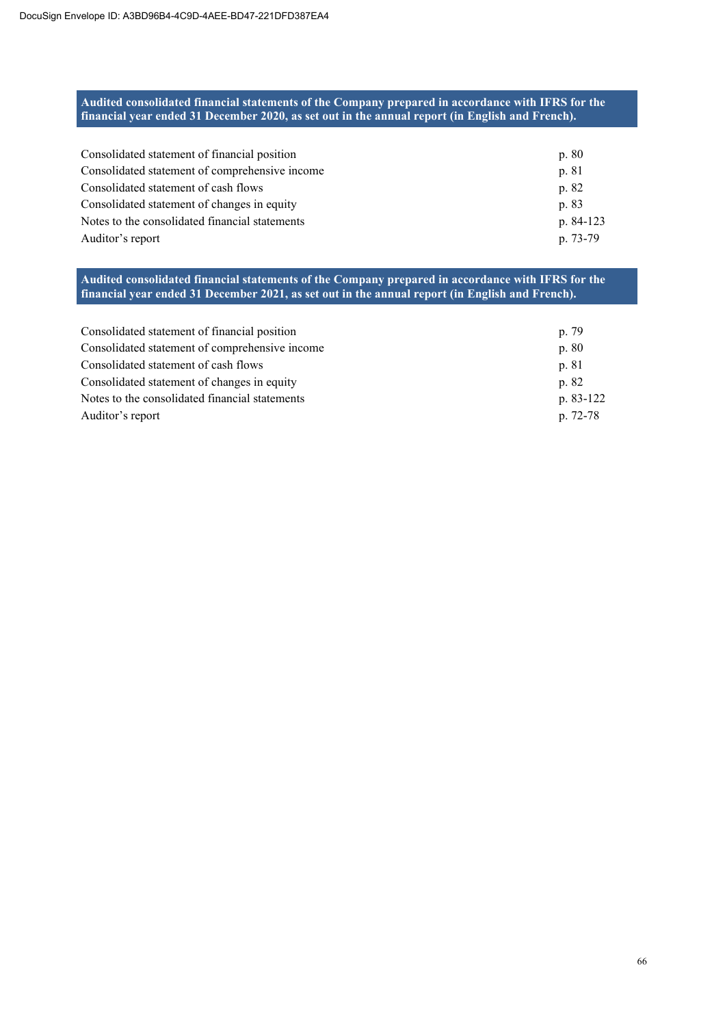# **Audited consolidated financial statements of the Company prepared in accordance with IFRS for the financial year ended 31 December 2020, as set out in the annual report (in English and French).**

| Consolidated statement of financial position   | p. 80     |
|------------------------------------------------|-----------|
| Consolidated statement of comprehensive income | p. 81     |
| Consolidated statement of cash flows           | p. 82     |
| Consolidated statement of changes in equity    | p. 83     |
| Notes to the consolidated financial statements | p. 84-123 |
| Auditor's report                               | p. 73-79  |

# **Audited consolidated financial statements of the Company prepared in accordance with IFRS for the financial year ended 31 December 2021, as set out in the annual report (in English and French).**

| Consolidated statement of financial position   | p. 79     |
|------------------------------------------------|-----------|
| Consolidated statement of comprehensive income | p. 80     |
| Consolidated statement of cash flows           | p. 81     |
| Consolidated statement of changes in equity    | p. 82     |
| Notes to the consolidated financial statements | p. 83-122 |
| Auditor's report                               | p. 72-78  |
|                                                |           |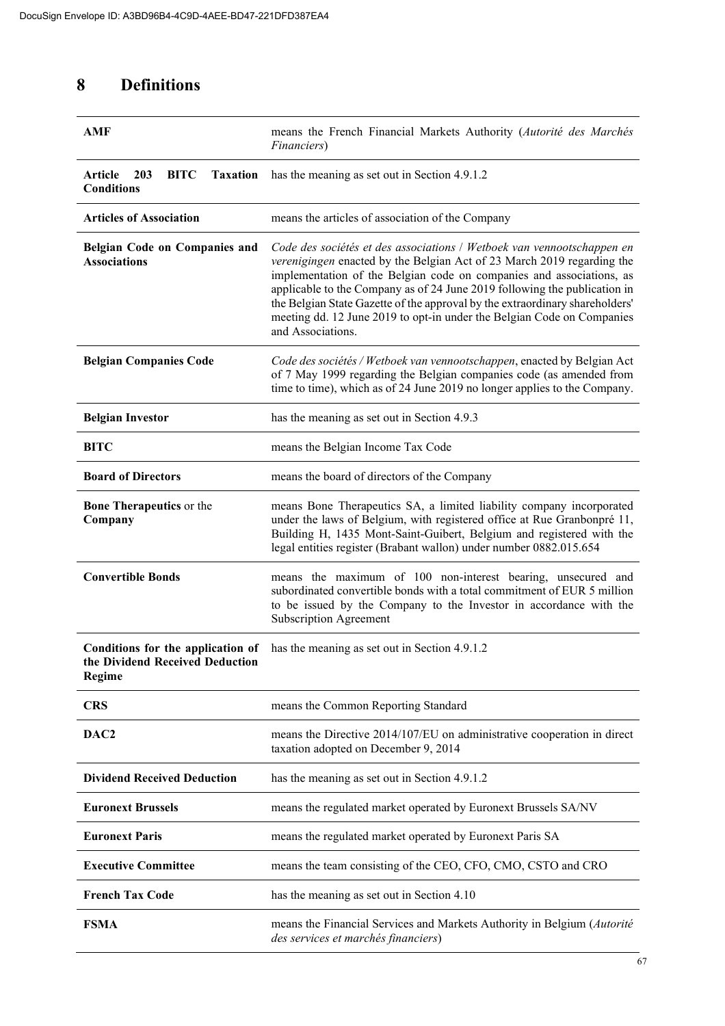# **8 Definitions**

| AMF                                                                            | means the French Financial Markets Authority (Autorité des Marchés<br>Financiers)                                                                                                                                                                                                                                                                                                                                                                                                    |
|--------------------------------------------------------------------------------|--------------------------------------------------------------------------------------------------------------------------------------------------------------------------------------------------------------------------------------------------------------------------------------------------------------------------------------------------------------------------------------------------------------------------------------------------------------------------------------|
| <b>BITC</b><br>Article<br>203<br><b>Taxation</b><br><b>Conditions</b>          | has the meaning as set out in Section 4.9.1.2                                                                                                                                                                                                                                                                                                                                                                                                                                        |
| <b>Articles of Association</b>                                                 | means the articles of association of the Company                                                                                                                                                                                                                                                                                                                                                                                                                                     |
| Belgian Code on Companies and<br><b>Associations</b>                           | Code des sociétés et des associations / Wetboek van vennootschappen en<br>verenigingen enacted by the Belgian Act of 23 March 2019 regarding the<br>implementation of the Belgian code on companies and associations, as<br>applicable to the Company as of 24 June 2019 following the publication in<br>the Belgian State Gazette of the approval by the extraordinary shareholders'<br>meeting dd. 12 June 2019 to opt-in under the Belgian Code on Companies<br>and Associations. |
| <b>Belgian Companies Code</b>                                                  | Code des sociétés / Wetboek van vennootschappen, enacted by Belgian Act<br>of 7 May 1999 regarding the Belgian companies code (as amended from<br>time to time), which as of 24 June 2019 no longer applies to the Company.                                                                                                                                                                                                                                                          |
| <b>Belgian Investor</b>                                                        | has the meaning as set out in Section 4.9.3                                                                                                                                                                                                                                                                                                                                                                                                                                          |
| <b>BITC</b>                                                                    | means the Belgian Income Tax Code                                                                                                                                                                                                                                                                                                                                                                                                                                                    |
| <b>Board of Directors</b>                                                      | means the board of directors of the Company                                                                                                                                                                                                                                                                                                                                                                                                                                          |
| <b>Bone Therapeutics</b> or the<br>Company                                     | means Bone Therapeutics SA, a limited liability company incorporated<br>under the laws of Belgium, with registered office at Rue Granbonpré 11,<br>Building H, 1435 Mont-Saint-Guibert, Belgium and registered with the<br>legal entities register (Brabant wallon) under number 0882.015.654                                                                                                                                                                                        |
| <b>Convertible Bonds</b>                                                       | means the maximum of 100 non-interest bearing, unsecured and<br>subordinated convertible bonds with a total commitment of EUR 5 million<br>to be issued by the Company to the Investor in accordance with the<br><b>Subscription Agreement</b>                                                                                                                                                                                                                                       |
| Conditions for the application of<br>the Dividend Received Deduction<br>Regime | has the meaning as set out in Section 4.9.1.2                                                                                                                                                                                                                                                                                                                                                                                                                                        |
| <b>CRS</b>                                                                     | means the Common Reporting Standard                                                                                                                                                                                                                                                                                                                                                                                                                                                  |
| DAC <sub>2</sub>                                                               | means the Directive 2014/107/EU on administrative cooperation in direct<br>taxation adopted on December 9, 2014                                                                                                                                                                                                                                                                                                                                                                      |
| <b>Dividend Received Deduction</b>                                             | has the meaning as set out in Section 4.9.1.2                                                                                                                                                                                                                                                                                                                                                                                                                                        |
| <b>Euronext Brussels</b>                                                       | means the regulated market operated by Euronext Brussels SA/NV                                                                                                                                                                                                                                                                                                                                                                                                                       |
| <b>Euronext Paris</b>                                                          | means the regulated market operated by Euronext Paris SA                                                                                                                                                                                                                                                                                                                                                                                                                             |
| <b>Executive Committee</b>                                                     | means the team consisting of the CEO, CFO, CMO, CSTO and CRO                                                                                                                                                                                                                                                                                                                                                                                                                         |
| <b>French Tax Code</b>                                                         | has the meaning as set out in Section 4.10                                                                                                                                                                                                                                                                                                                                                                                                                                           |
| <b>FSMA</b>                                                                    | means the Financial Services and Markets Authority in Belgium (Autorité<br>des services et marchés financiers)                                                                                                                                                                                                                                                                                                                                                                       |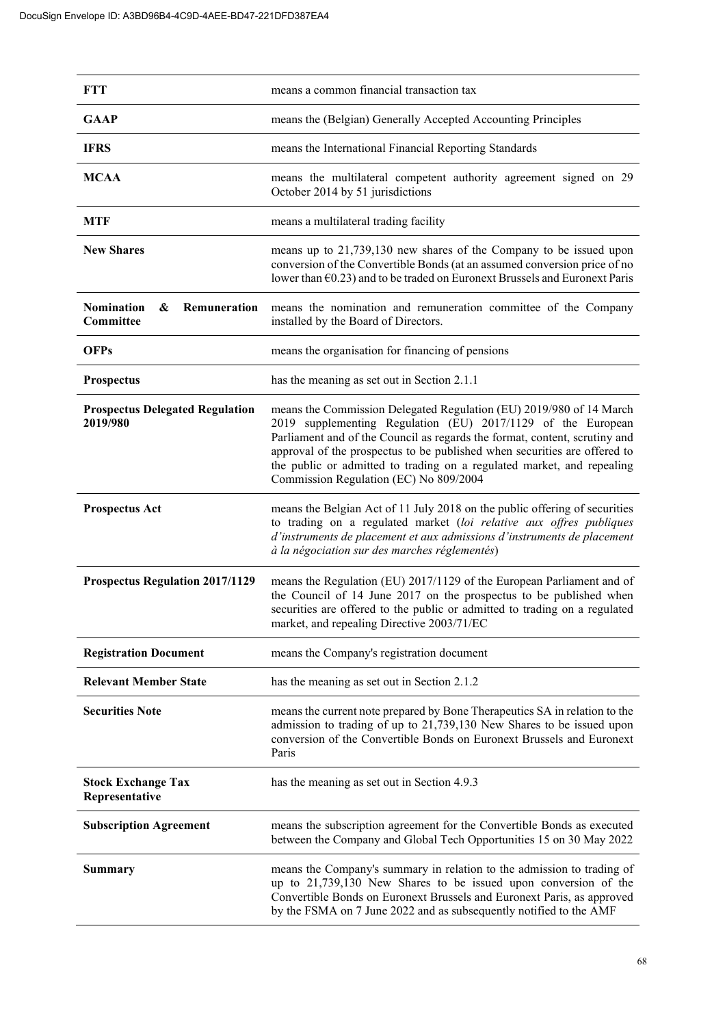| <b>FTT</b>                                          | means a common financial transaction tax                                                                                                                                                                                                                                                                                                                                                                           |
|-----------------------------------------------------|--------------------------------------------------------------------------------------------------------------------------------------------------------------------------------------------------------------------------------------------------------------------------------------------------------------------------------------------------------------------------------------------------------------------|
| <b>GAAP</b>                                         | means the (Belgian) Generally Accepted Accounting Principles                                                                                                                                                                                                                                                                                                                                                       |
| <b>IFRS</b>                                         | means the International Financial Reporting Standards                                                                                                                                                                                                                                                                                                                                                              |
| <b>MCAA</b>                                         | means the multilateral competent authority agreement signed on 29<br>October 2014 by 51 jurisdictions                                                                                                                                                                                                                                                                                                              |
| <b>MTF</b>                                          | means a multilateral trading facility                                                                                                                                                                                                                                                                                                                                                                              |
| <b>New Shares</b>                                   | means up to 21,739,130 new shares of the Company to be issued upon<br>conversion of the Convertible Bonds (at an assumed conversion price of no<br>lower than $\epsilon$ 0.23) and to be traded on Euronext Brussels and Euronext Paris                                                                                                                                                                            |
| <b>Nomination</b><br>&<br>Remuneration<br>Committee | means the nomination and remuneration committee of the Company<br>installed by the Board of Directors.                                                                                                                                                                                                                                                                                                             |
| <b>OFPs</b>                                         | means the organisation for financing of pensions                                                                                                                                                                                                                                                                                                                                                                   |
| Prospectus                                          | has the meaning as set out in Section 2.1.1                                                                                                                                                                                                                                                                                                                                                                        |
| <b>Prospectus Delegated Regulation</b><br>2019/980  | means the Commission Delegated Regulation (EU) 2019/980 of 14 March<br>2019 supplementing Regulation (EU) 2017/1129 of the European<br>Parliament and of the Council as regards the format, content, scrutiny and<br>approval of the prospectus to be published when securities are offered to<br>the public or admitted to trading on a regulated market, and repealing<br>Commission Regulation (EC) No 809/2004 |
| <b>Prospectus Act</b>                               | means the Belgian Act of 11 July 2018 on the public offering of securities<br>to trading on a regulated market (loi relative aux offres publiques<br>d'instruments de placement et aux admissions d'instruments de placement<br>à la négociation sur des marches réglementés)                                                                                                                                      |
| <b>Prospectus Regulation 2017/1129</b>              | means the Regulation (EU) 2017/1129 of the European Parliament and of<br>the Council of 14 June 2017 on the prospectus to be published when<br>securities are offered to the public or admitted to trading on a regulated<br>market, and repealing Directive 2003/71/EC                                                                                                                                            |
| <b>Registration Document</b>                        | means the Company's registration document                                                                                                                                                                                                                                                                                                                                                                          |
| <b>Relevant Member State</b>                        | has the meaning as set out in Section 2.1.2                                                                                                                                                                                                                                                                                                                                                                        |
| <b>Securities Note</b>                              | means the current note prepared by Bone Therapeutics SA in relation to the<br>admission to trading of up to 21,739,130 New Shares to be issued upon<br>conversion of the Convertible Bonds on Euronext Brussels and Euronext<br>Paris                                                                                                                                                                              |
| <b>Stock Exchange Tax</b><br>Representative         | has the meaning as set out in Section 4.9.3                                                                                                                                                                                                                                                                                                                                                                        |
| <b>Subscription Agreement</b>                       | means the subscription agreement for the Convertible Bonds as executed<br>between the Company and Global Tech Opportunities 15 on 30 May 2022                                                                                                                                                                                                                                                                      |
| <b>Summary</b>                                      | means the Company's summary in relation to the admission to trading of<br>up to 21,739,130 New Shares to be issued upon conversion of the<br>Convertible Bonds on Euronext Brussels and Euronext Paris, as approved<br>by the FSMA on 7 June 2022 and as subsequently notified to the AMF                                                                                                                          |